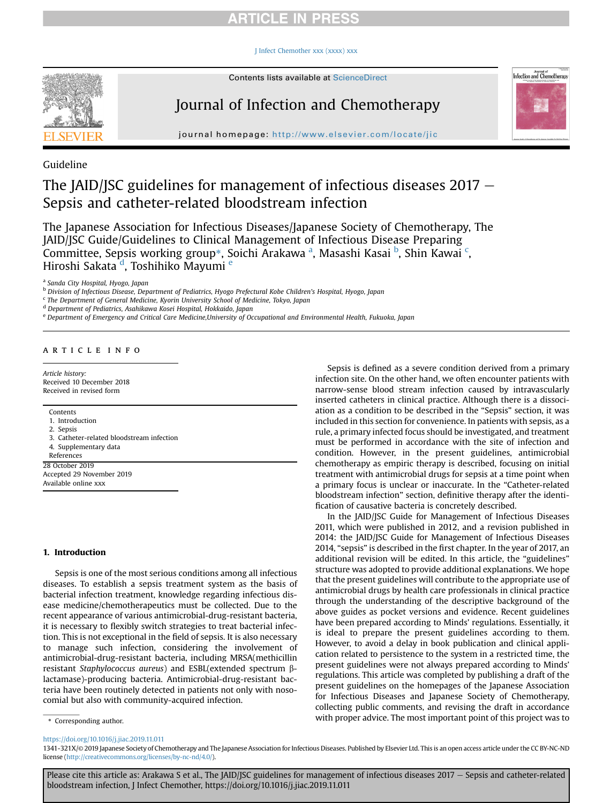#### [J Infect Chemother xxx \(xxxx\) xxx](https://doi.org/10.1016/j.jiac.2019.11.011)



Contents lists available at ScienceDirect

## Journal of Infection and Chemotherapy



journal homepage: <http://www.elsevier.com/locate/jic>

Guideline

### The JAID/JSC guidelines for management of infectious diseases  $2017 -$ Sepsis and catheter-related bloodstream infection

The Japanese Association for Infectious Diseases/Japanese Society of Chemotherapy, The JAID/JSC Guide/Guidelines to Clinical Management of Infectious Disease Preparing Committee, Sepsis working group[\\*](#page-0-0), Soichi Ar[a](#page-0-1)kawa <sup>a</sup>, Masashi Kasai <sup>[b](#page-0-2)</sup>, Shin Kawai <sup>[c](#page-0-3)</sup>, Hiroshi Sakata<sup>'[d](#page-0-4)</sup>, Toshihiko Mayumi <sup>[e](#page-0-5)</sup>

<span id="page-0-1"></span><sup>a</sup> Sanda City Hospital, Hyogo, Japan

<span id="page-0-2"></span><sup>b</sup> Division of Infectious Disease, Department of Pediatrics, Hyogo Prefectural Kobe Children's Hospital, Hyogo, Japan

<span id="page-0-3"></span> $c$  The Department of General Medicine, Kyorin University School of Medicine, Tokyo, Japan

<span id="page-0-4"></span><sup>d</sup> Department of Pediatrics, Asahikawa Kosei Hospital, Hokkaido, Japan

<span id="page-0-5"></span><sup>e</sup> Department of Emergency and Critical Care Medicine,University of Occupational and Environmental Health, Fukuoka, Japan

#### article info

Article history: Received 10 December 2018 Received in revised form

#### Contents

- 1. Introduction
- 2. Sepsis
- 3. Catheter-related bloodstream infection
- 4. Supplementary data
- References

28 October 2019 Accepted 29 November 2019 Available online xxx

#### 1. Introduction

Sepsis is one of the most serious conditions among all infectious diseases. To establish a sepsis treatment system as the basis of bacterial infection treatment, knowledge regarding infectious disease medicine/chemotherapeutics must be collected. Due to the recent appearance of various antimicrobial-drug-resistant bacteria, it is necessary to flexibly switch strategies to treat bacterial infection. This is not exceptional in the field of sepsis. It is also necessary to manage such infection, considering the involvement of antimicrobial-drug-resistant bacteria, including MRSA(methicillin resistant Staphylococcus aureus) and ESBL(extended spectrum blactamase)-producing bacteria. Antimicrobial-drug-resistant bacteria have been routinely detected in patients not only with nosocomial but also with community-acquired infection.

Sepsis is defined as a severe condition derived from a primary infection site. On the other hand, we often encounter patients with narrow-sense blood stream infection caused by intravascularly inserted catheters in clinical practice. Although there is a dissociation as a condition to be described in the "Sepsis" section, it was included in this section for convenience. In patients with sepsis, as a rule, a primary infected focus should be investigated, and treatment must be performed in accordance with the site of infection and condition. However, in the present guidelines, antimicrobial chemotherapy as empiric therapy is described, focusing on initial treatment with antimicrobial drugs for sepsis at a time point when a primary focus is unclear or inaccurate. In the "Catheter-related bloodstream infection" section, definitive therapy after the identification of causative bacteria is concretely described.

In the JAID/JSC Guide for Management of Infectious Diseases 2011, which were published in 2012, and a revision published in 2014: the JAID/JSC Guide for Management of Infectious Diseases 2014, "sepsis" is described in the first chapter. In the year of 2017, an additional revision will be edited. In this article, the "guidelines" structure was adopted to provide additional explanations. We hope that the present guidelines will contribute to the appropriate use of antimicrobial drugs by health care professionals in clinical practice through the understanding of the descriptive background of the above guides as pocket versions and evidence. Recent guidelines have been prepared according to Minds' regulations. Essentially, it is ideal to prepare the present guidelines according to them. However, to avoid a delay in book publication and clinical application related to persistence to the system in a restricted time, the present guidelines were not always prepared according to Minds' regulations. This article was completed by publishing a draft of the present guidelines on the homepages of the Japanese Association for Infectious Diseases and Japanese Society of Chemotherapy, collecting public comments, and revising the draft in accordance with proper advice. The most important point of this project was to

<span id="page-0-0"></span>\* Corresponding author.

<https://doi.org/10.1016/j.jiac.2019.11.011>

1341-321X/© 2019 Japanese Society of Chemotherapy and The Japanese Association for Infectious Diseases. Published by Elsevier Ltd. This is an open access article under the CC BY-NC-ND license (<http://creativecommons.org/licenses/by-nc-nd/4.0/>).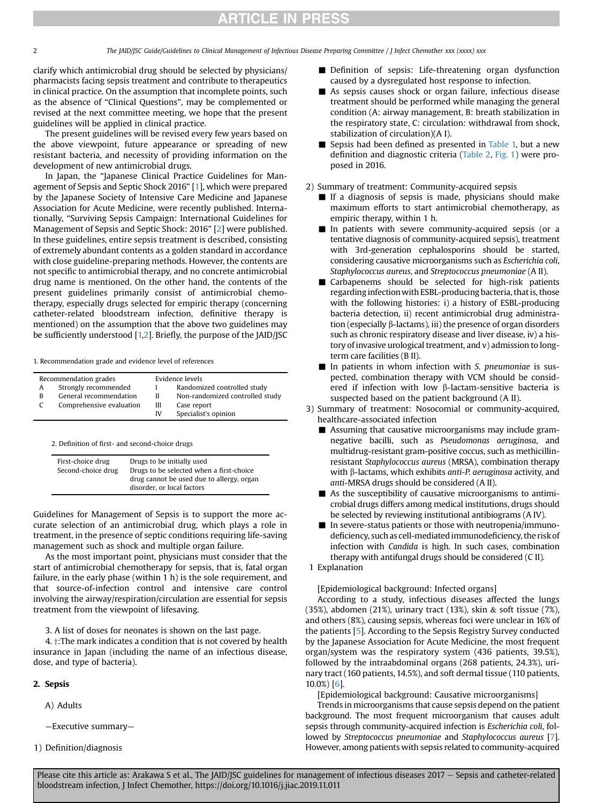clarify which antimicrobial drug should be selected by physicians/ pharmacists facing sepsis treatment and contribute to therapeutics in clinical practice. On the assumption that incomplete points, such as the absence of "Clinical Questions", may be complemented or revised at the next committee meeting, we hope that the present guidelines will be applied in clinical practice.

The present guidelines will be revised every few years based on the above viewpoint, future appearance or spreading of new resistant bacteria, and necessity of providing information on the development of new antimicrobial drugs.

In Japan, the "Japanese Clinical Practice Guidelines for Management of Sepsis and Septic Shock 2016" [[1](#page-16-0)], which were prepared by the Japanese Society of Intensive Care Medicine and Japanese Association for Acute Medicine, were recently published. Internationally, "Surviving Sepsis Campaign: International Guidelines for Management of Sepsis and Septic Shock: 2016" [\[2\]](#page-16-1) were published. In these guidelines, entire sepsis treatment is described, consisting of extremely abundant contents as a golden standard in accordance with close guideline-preparing methods. However, the contents are not specific to antimicrobial therapy, and no concrete antimicrobial drug name is mentioned. On the other hand, the contents of the present guidelines primarily consist of antimicrobial chemotherapy, especially drugs selected for empiric therapy (concerning catheter-related bloodstream infection, definitive therapy is mentioned) on the assumption that the above two guidelines may be sufficiently understood [\[1,](#page-16-0)[2\]](#page-16-1). Briefly, the purpose of the JAID/JSC

1. Recommendation grade and evidence level of references

| Recommendation grades |                          | Evidence levels  |                                 |  |
|-----------------------|--------------------------|------------------|---------------------------------|--|
| A                     | Strongly recommended     |                  | Randomized controlled study     |  |
| B                     | General recommendation   | H                | Non-randomized controlled study |  |
| C                     | Comprehensive evaluation | Case report<br>Ш |                                 |  |
|                       |                          | IV               | Specialist's opinion            |  |

2. Definition of first- and second-choice drugs

| First-choice drug<br>Second-choice drug | Drugs to be initially used<br>Drugs to be selected when a first-choice<br>drug cannot be used due to allergy, organ |
|-----------------------------------------|---------------------------------------------------------------------------------------------------------------------|
|                                         | disorder, or local factors                                                                                          |

Guidelines for Management of Sepsis is to support the more accurate selection of an antimicrobial drug, which plays a role in treatment, in the presence of septic conditions requiring life-saving management such as shock and multiple organ failure.

As the most important point, physicians must consider that the start of antimicrobial chemotherapy for sepsis, that is, fatal organ failure, in the early phase (within 1 h) is the sole requirement, and that source-of-infection control and intensive care control involving the airway/respiration/circulation are essential for sepsis treatment from the viewpoint of lifesaving.

3. A list of doses for neonates is shown on the last page.

4.  $\dagger$ :The mark indicates a condition that is not covered by health insurance in Japan (including the name of an infectious disease, dose, and type of bacteria).

#### 2. Sepsis

A) Adults

—Executive summary—

1) Definition/diagnosis

- Definition of sepsis: Life-threatening organ dysfunction caused by a dysregulated host response to infection.
- As sepsis causes shock or organ failure, infectious disease treatment should be performed while managing the general condition (A: airway management, B: breath stabilization in the respiratory state, C: circulation: withdrawal from shock, stabilization of circulation)(A I).
- Sepsis had been defined as presented in [Table 1,](#page-2-0) but a new definition and diagnostic criteria [\(Table 2,](#page-2-1) [Fig. 1](#page-3-0)) were proposed in 2016.
- 2) Summary of treatment: Community-acquired sepsis
	- $\blacksquare$  If a diagnosis of sepsis is made, physicians should make maximum efforts to start antimicrobial chemotherapy, as empiric therapy, within 1 h.
	- In patients with severe community-acquired sepsis (or a tentative diagnosis of community-acquired sepsis), treatment with 3rd-generation cephalosporins should be started, considering causative microorganisms such as Escherichia coli, Staphylococcus aureus, and Streptococcus pneumoniae (A II).
	- Carbapenems should be selected for high-risk patients regarding infection with ESBL-producing bacteria, that is, those with the following histories: i) a history of ESBL-producing bacteria detection, ii) recent antimicrobial drug administration (especially  $\beta$ -lactams), iii) the presence of organ disorders such as chronic respiratory disease and liver disease, iv) a history of invasive urological treatment, and v) admission to longterm care facilities (B II).
	- In patients in whom infection with S. pneumoniae is suspected, combination therapy with VCM should be considered if infection with low  $\beta$ -lactam-sensitive bacteria is suspected based on the patient background (A II).
- 3) Summary of treatment: Nosocomial or community-acquired, healthcare-associated infection
	- $\blacksquare$  Assuming that causative microorganisms may include gramnegative bacilli, such as Pseudomonas aeruginosa, and multidrug-resistant gram-positive coccus, such as methicillinresistant Staphylococcus aureus (MRSA), combination therapy with  $\beta$ -lactams, which exhibits anti-P. aeruginosa activity, and anti-MRSA drugs should be considered (A II).
	- $\blacksquare$  As the susceptibility of causative microorganisms to antimicrobial drugs differs among medical institutions, drugs should be selected by reviewing institutional antibiograms (A IV).
	- In severe-status patients or those with neutropenia/immunodeficiency, such as cell-mediatedimmunodeficiency, the risk of infection with Candida is high. In such cases, combination therapy with antifungal drugs should be considered (C II).
- 1 Explanation

[Epidemiological background: Infected organs]

According to a study, infectious diseases affected the lungs (35%), abdomen (21%), urinary tract (13%), skin & soft tissue (7%), and others (8%), causing sepsis, whereas foci were unclear in 16% of the patients [[5\]](#page-16-2). According to the Sepsis Registry Survey conducted by the Japanese Association for Acute Medicine, the most frequent organ/system was the respiratory system (436 patients, 39.5%), followed by the intraabdominal organs (268 patients, 24.3%), urinary tract (160 patients, 14.5%), and soft dermal tissue (110 patients, 10.0%) [[6\]](#page-16-3).

[Epidemiological background: Causative microorganisms]

Trends in microorganisms that cause sepsis depend on the patient background. The most frequent microorganism that causes adult sepsis through community-acquired infection is Escherichia coli, followed by Streptococcus pneumoniae and Staphylococcus aureus [[7](#page-16-4)]. However, among patients with sepsis related to community-acquired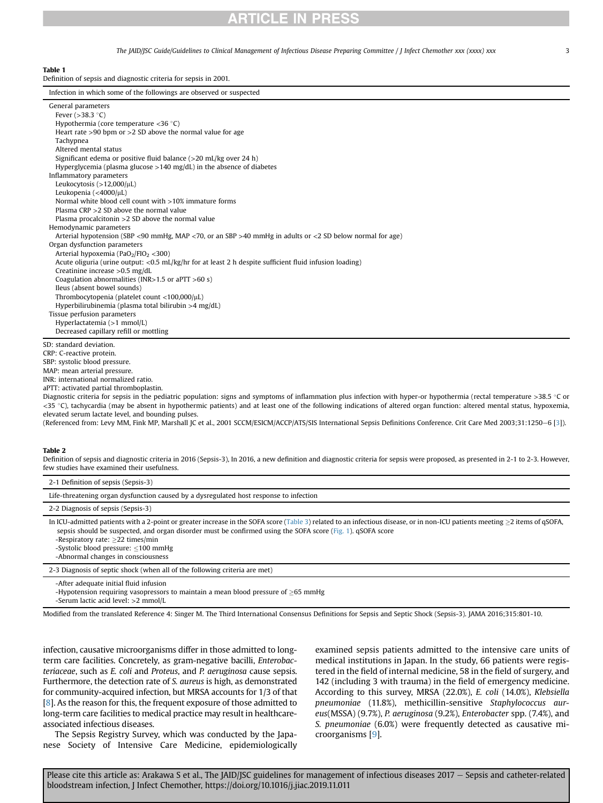### ICLE IN PRES

The JAID/JSC Guide/Guidelines to Clinical Management of Infectious Disease Preparing Committee / J Infect Chemother xxx (xxxx) xxx 33

<span id="page-2-0"></span>Table 1

Definition of sepsis and diagnostic criteria for sepsis in 2001.

| Infection in which some of the followings are observed or suspected                                                                                                                 |
|-------------------------------------------------------------------------------------------------------------------------------------------------------------------------------------|
| General parameters                                                                                                                                                                  |
| Fever $(>38.3$ °C)                                                                                                                                                                  |
| Hypothermia (core temperature $\langle 36 \degree C \rangle$                                                                                                                        |
| Heart rate $>90$ bpm or $>2$ SD above the normal value for age                                                                                                                      |
| Tachypnea                                                                                                                                                                           |
| Altered mental status                                                                                                                                                               |
| Significant edema or positive fluid balance (>20 mL/kg over 24 h)                                                                                                                   |
| Hyperglycemia (plasma glucose $>140$ mg/dL) in the absence of diabetes                                                                                                              |
| Inflammatory parameters                                                                                                                                                             |
| Leukocytosis $(>12,000/\mu L)$                                                                                                                                                      |
| Leukopenia (<4000/ $\mu$ L)                                                                                                                                                         |
| Normal white blood cell count with >10% immature forms                                                                                                                              |
| Plasma $CRP > 2$ SD above the normal value                                                                                                                                          |
| Plasma procalcitonin $>2$ SD above the normal value                                                                                                                                 |
| Hemodynamic parameters                                                                                                                                                              |
| Arterial hypotension (SBP <90 mmHg, MAP <70, or an SBP >40 mmHg in adults or <2 SD below normal for age)                                                                            |
| Organ dysfunction parameters                                                                                                                                                        |
| Arterial hypoxemia (PaO <sub>2</sub> /FIO <sub>2</sub> <300)                                                                                                                        |
| Acute oliguria (urine output: < $0.5$ mL/kg/hr for at least 2 h despite sufficient fluid infusion loading)                                                                          |
| Creatinine increase $>0.5$ mg/dL<br>Coagulation abnormalities (INR> $1.5$ or aPTT >60 s)                                                                                            |
| Ileus (absent bowel sounds)                                                                                                                                                         |
| Thrombocytopenia (platelet count $<$ 100,000/ $\mu$ L)                                                                                                                              |
| Hyperbilirubinemia (plasma total bilirubin $>4$ mg/dL)                                                                                                                              |
| Tissue perfusion parameters                                                                                                                                                         |
| Hyperlactatemia (>1 mmol/L)                                                                                                                                                         |
| Decreased capillary refill or mottling                                                                                                                                              |
|                                                                                                                                                                                     |
| SD: standard deviation.                                                                                                                                                             |
| CRP: C-reactive protein.                                                                                                                                                            |
| SBP: systolic blood pressure.                                                                                                                                                       |
| MAP: mean arterial pressure.                                                                                                                                                        |
| INR: international normalized ratio.                                                                                                                                                |
| aPTT: activated partial thromboplastin.                                                                                                                                             |
| Diagnostic criteria for sepsis in the pediatric population: signs and symptoms of inflammation plus infection with hyper-or hypothermia (rectal temperature >38.5 °C or             |
| <35 °C), tachycardia (may be absent in hypothermic patients) and at least one of the following indications of altered organ function: altered mental status, hypoxemia,             |
| elevated serum lactate level, and bounding pulses.                                                                                                                                  |
| (Referenced from: Levy MM, Fink MP, Marshall JC et al., 2001 SCCM/ESICM/ACCP/ATS/SIS International Sepsis Definitions Conference. Crit Care Med 2003;31:1250-6 [3]).                |
|                                                                                                                                                                                     |
| Table 2<br>Definition of consistent discretize with in 2016 (Sopris 2) In 2016, a new definition and discretize within for sensis were prepared as presented in 2, 1 to 2,2 However |
|                                                                                                                                                                                     |

<span id="page-2-1"></span>definition and diagnostic criteria for sepsis-were proposed, as presented in 2-1 to few studies have examined their usefulness.

| 2-1 Definition of sepsis (Sepsis-3)                                                                                                                                                                                                                                                                                                                                                                              |  |  |  |  |  |  |
|------------------------------------------------------------------------------------------------------------------------------------------------------------------------------------------------------------------------------------------------------------------------------------------------------------------------------------------------------------------------------------------------------------------|--|--|--|--|--|--|
| Life-threatening organ dysfunction caused by a dysregulated host response to infection                                                                                                                                                                                                                                                                                                                           |  |  |  |  |  |  |
| 2-2 Diagnosis of sepsis (Sepsis-3)                                                                                                                                                                                                                                                                                                                                                                               |  |  |  |  |  |  |
| In ICU-admitted patients with a 2-point or greater increase in the SOFA score (Table 3) related to an infectious disease, or in non-ICU patients meeting $>$ 2 items of qSOFA,<br>sepsis should be suspected, and organ disorder must be confirmed using the SOFA score (Fig. 1), qSOFA score<br>-Respiratory rate: $>22$ times/min<br>-Systolic blood pressure: <100 mmHg<br>-Abnormal changes in consciousness |  |  |  |  |  |  |
| 2-3 Diagnosis of septic shock (when all of the following criteria are met)                                                                                                                                                                                                                                                                                                                                       |  |  |  |  |  |  |
| -After adequate initial fluid infusion<br>-Hypotension requiring vasopressors to maintain a mean blood pressure of $>65$ mmHg<br>-Serum lactic acid level: >2 mmol/L                                                                                                                                                                                                                                             |  |  |  |  |  |  |

Modified from the translated Reference 4: Singer M. The Third International Consensus Definitions for Sepsis and Septic Shock (Sepsis-3). JAMA 2016;315:801-10.

infection, causative microorganisms differ in those admitted to longterm care facilities. Concretely, as gram-negative bacilli, Enterobacteriaceae, such as E. coli and Proteus, and P. aeruginosa cause sepsis. Furthermore, the detection rate of S. aureus is high, as demonstrated for community-acquired infection, but MRSA accounts for 1/3 of that [\[8](#page-16-5)]. As the reason for this, the frequent exposure of those admitted to long-term care facilities to medical practice may result in healthcareassociated infectious diseases.

The Sepsis Registry Survey, which was conducted by the Japanese Society of Intensive Care Medicine, epidemiologically examined sepsis patients admitted to the intensive care units of medical institutions in Japan. In the study, 66 patients were registered in the field of internal medicine, 58 in the field of surgery, and 142 (including 3 with trauma) in the field of emergency medicine. According to this survey, MRSA (22.0%), E. coli (14.0%), Klebsiella pneumoniae (11.8%), methicillin-sensitive Staphylococcus aureus(MSSA) (9.7%), P. aeruginosa (9.2%), Enterobacter spp. (7.4%), and S. pneumoniae (6.0%) were frequently detected as causative microorganisms [[9](#page-16-6)].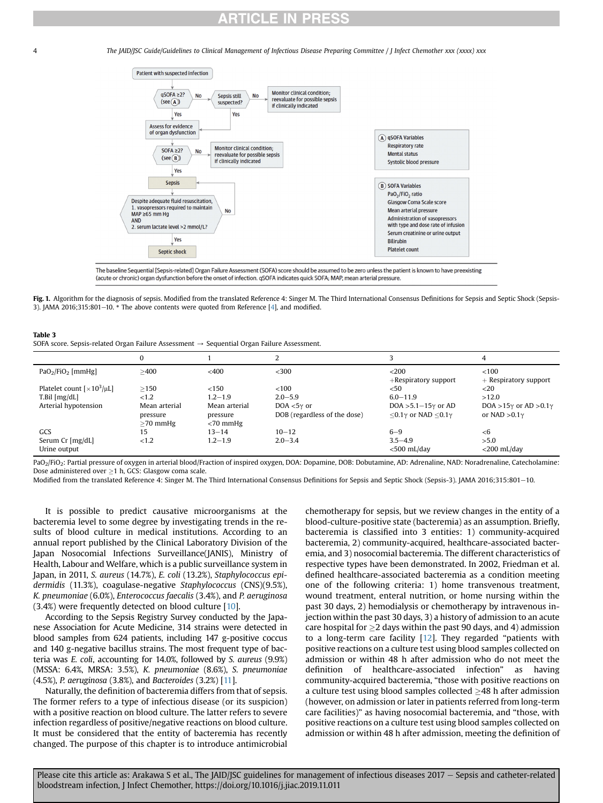<span id="page-3-0"></span>4 The JAID/JSC Guide/Guidelines to Clinical Management of Infectious Disease Preparing Committee / J Infect Chemother xxx (xxxx) xxx



The baseline Sequential [Sepsis-related] Organ Failure Assessment (SOFA) score should be assumed to be zero unless the patient is known to have preexisting (acute or chronic) organ dysfunction before the onset of infection. qSOFA indicates quick SOFA; MAP, mean arterial pressure.

Fig. 1. Algorithm for the diagnosis of sepsis. Modified from the translated Reference 4: Singer M. The Third International Consensus Definitions for Sepsis and Septic Shock (Sepsis-3). JAMA 2016;315:801-10.  $*$  The above contents were quoted from Reference [\[4](#page-16-8)], and modified.

#### <span id="page-3-1"></span>Table 3

SOFA score. Sepsis-related Organ Failure Assessment  $\rightarrow$  Sequential Organ Failure Assessment.

|                                                       |                                         |                                          |                                                       |                                                                        | 4                                                            |
|-------------------------------------------------------|-----------------------------------------|------------------------------------------|-------------------------------------------------------|------------------------------------------------------------------------|--------------------------------------------------------------|
| $PaO2/FiO2$ [mmHg]                                    | >400                                    | $<$ 400                                  | $<$ 300                                               | $<$ 200<br>$+$ Respiratory support                                     | < 100<br>$+$ Respiratory support                             |
| Platelet count $\left[\times 10^3/\mu\text{L}\right]$ | >150                                    | < 150                                    | <100                                                  | $<$ 50                                                                 | $<$ 20                                                       |
| T.Bil [mg/dL]                                         | < 1.2                                   | $1.2 - 1.9$                              | $2.0 - 5.9$                                           | $6.0 - 11.9$                                                           | >12.0                                                        |
| Arterial hypotension                                  | Mean arterial<br>pressure<br>$>70$ mmHg | Mean arterial<br>pressure<br>$<$ 70 mmHg | DOA $<$ 5 $\gamma$ or<br>DOB (regardless of the dose) | DOA > $5.1-15\gamma$ or AD<br>$<$ 0.1 $\gamma$ or NAD $<$ 0.1 $\gamma$ | DOA > $15\gamma$ or AD > 0.1 $\gamma$<br>or NAD $>0.1\gamma$ |
| GCS                                                   | 15                                      | $13 - 14$                                | $10 - 12$                                             | $6 - 9$                                                                | < 6                                                          |
| Serum Cr [mg/dL]<br>Urine output                      | < 1.2                                   | $1.2 - 1.9$                              | $2.0 - 3.4$                                           | $3.5 - 4.9$<br>$<$ 500 mL/day                                          | >5.0<br>$<$ 200 mL/day                                       |

PaO<sub>2</sub>/FiO<sub>2</sub>: Partial pressure of oxygen in arterial blood/Fraction of inspired oxygen, DOA: Dopamine, DOB: Dobutamine, AD: Adrenaline, NAD: Noradrenaline, Catecholamine: Dose administered over  $\geq$ 1 h, GCS: Glasgow coma scale.

Modified from the translated Reference 4: Singer M. The Third International Consensus Definitions for Sepsis and Septic Shock (Sepsis-3). JAMA 2016;315:801-10.

It is possible to predict causative microorganisms at the bacteremia level to some degree by investigating trends in the results of blood culture in medical institutions. According to an annual report published by the Clinical Laboratory Division of the Japan Nosocomial Infections Surveillance(JANIS), Ministry of Health, Labour and Welfare, which is a public surveillance system in Japan, in 2011, S. aureus (14.7%), E. coli (13.2%), Staphylococcus epidermidis (11.3%), coagulase-negative Staphylococcus (CNS)(9.5%), K. pneumoniae (6.0%), Enterococcus faecalis (3.4%), and P. aeruginosa (3.4%) were frequently detected on blood culture [[10\]](#page-17-0).

According to the Sepsis Registry Survey conducted by the Japanese Association for Acute Medicine, 314 strains were detected in blood samples from 624 patients, including 147 g-positive coccus and 140 g-negative bacillus strains. The most frequent type of bacteria was E. coli, accounting for 14.0%, followed by S. aureus (9.9%) (MSSA: 6.4%, MRSA: 3.5%), K. pneumoniae (8.6%), S. pneumoniae (4.5%), P. aeruginosa (3.8%), and Bacteroides (3.2%) [[11](#page-17-1)].

Naturally, the definition of bacteremia differs from that of sepsis. The former refers to a type of infectious disease (or its suspicion) with a positive reaction on blood culture. The latter refers to severe infection regardless of positive/negative reactions on blood culture. It must be considered that the entity of bacteremia has recently changed. The purpose of this chapter is to introduce antimicrobial chemotherapy for sepsis, but we review changes in the entity of a blood-culture-positive state (bacteremia) as an assumption. Briefly, bacteremia is classified into 3 entities: 1) community-acquired bacteremia, 2) community-acquired, healthcare-associated bacteremia, and 3) nosocomial bacteremia. The different characteristics of respective types have been demonstrated. In 2002, Friedman et al. defined healthcare-associated bacteremia as a condition meeting one of the following criteria: 1) home transvenous treatment, wound treatment, enteral nutrition, or home nursing within the past 30 days, 2) hemodialysis or chemotherapy by intravenous injection within the past 30 days, 3) a history of admission to an acute care hospital for  $\geq$  days within the past 90 days, and 4) admission to a long-term care facility [[12\]](#page-17-2). They regarded "patients with positive reactions on a culture test using blood samples collected on admission or within 48 h after admission who do not meet the definition of healthcare-associated infection" as having community-acquired bacteremia, "those with positive reactions on a culture test using blood samples collected  $>48$  h after admission (however, on admission or later in patients referred from long-term care facilities)" as having nosocomial bacteremia, and "those, with positive reactions on a culture test using blood samples collected on admission or within 48 h after admission, meeting the definition of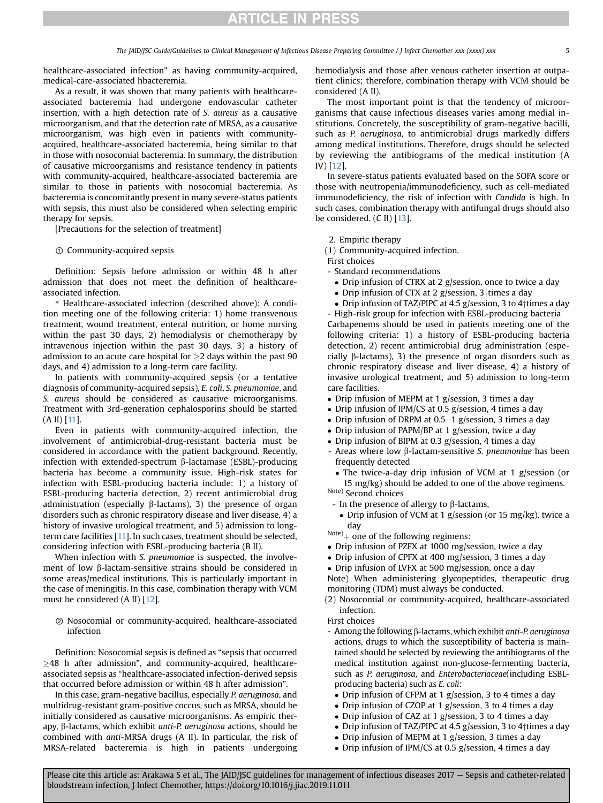healthcare-associated infection" as having community-acquired, medical-care-associated hbacteremia.

As a result, it was shown that many patients with healthcareassociated bacteremia had undergone endovascular catheter insertion, with a high detection rate of S. aureus as a causative microorganism, and that the detection rate of MRSA, as a causative microorganism, was high even in patients with communityacquired, healthcare-associated bacteremia, being similar to that in those with nosocomial bacteremia. In summary, the distribution of causative microorganisms and resistance tendency in patients with community-acquired, healthcare-associated bacteremia are similar to those in patients with nosocomial bacteremia. As bacteremia is concomitantly present in many severe-status patients with sepsis, this must also be considered when selecting empiric therapy for sepsis.

[Precautions for the selection of treatment]

#### ① Community-acquired sepsis

Definition: Sepsis before admission or within 48 h after admission that does not meet the definition of healthcareassociated infection.

\* Healthcare-associated infection (described above): A condition meeting one of the following criteria: 1) home transvenous treatment, wound treatment, enteral nutrition, or home nursing within the past 30 days, 2) hemodialysis or chemotherapy by intravenous injection within the past 30 days, 3) a history of admission to an acute care hospital for  $>$ 2 days within the past 90 days, and 4) admission to a long-term care facility.

In patients with community-acquired sepsis (or a tentative diagnosis of community-acquired sepsis), E. coli, S. pneumoniae, and S. aureus should be considered as causative microorganisms. Treatment with 3rd-generation cephalosporins should be started (A II) [[11\]](#page-17-1).

Even in patients with community-acquired infection, the involvement of antimicrobial-drug-resistant bacteria must be considered in accordance with the patient background. Recently, infection with extended-spectrum  $\beta$ -lactamase (ESBL)-producing bacteria has become a community issue. High-risk states for infection with ESBL-producing bacteria include: 1) a history of ESBL-producing bacteria detection, 2) recent antimicrobial drug administration (especially  $\beta$ -lactams), 3) the presence of organ disorders such as chronic respiratory disease and liver disease, 4) a history of invasive urological treatment, and 5) admission to longterm care facilities [\[11\]](#page-17-1). In such cases, treatment should be selected, considering infection with ESBL-producing bacteria (B II).

When infection with S. pneumoniae is suspected, the involvement of low b-lactam-sensitive strains should be considered in some areas/medical institutions. This is particularly important in the case of meningitis. In this case, combination therapy with VCM must be considered (A II) [[12](#page-17-2)].

② Nosocomial or community-acquired, healthcare-associated infection

Definition: Nosocomial sepsis is defined as "sepsis that occurred  $\geq$ 48 h after admission", and community-acquired, healthcareassociated sepsis as "healthcare-associated infection-derived sepsis that occurred before admission or within 48 h after admission".

In this case, gram-negative bacillus, especially P. aeruginosa, and multidrug-resistant gram-positive coccus, such as MRSA, should be initially considered as causative microorganisms. As empiric therapy, b-lactams, which exhibit anti-P. aeruginosa actions, should be combined with anti-MRSA drugs (A II). In particular, the risk of MRSA-related bacteremia is high in patients undergoing

hemodialysis and those after venous catheter insertion at outpatient clinics; therefore, combination therapy with VCM should be considered (A II).

The most important point is that the tendency of microorganisms that cause infectious diseases varies among medial institutions. Concretely, the susceptibility of gram-negative bacilli, such as P. aeruginosa, to antimicrobial drugs markedly differs among medical institutions. Therefore, drugs should be selected by reviewing the antibiograms of the medical institution (A IV) [\[12\]](#page-17-2).

In severe-status patients evaluated based on the SOFA score or those with neutropenia/immunodeficiency, such as cell-mediated immunodeficiency, the risk of infection with Candida is high. In such cases, combination therapy with antifungal drugs should also be considered. (C II) [[13\]](#page-17-3).

2. Empiric therapy

(1) Community-acquired infection.

First choices

- Standard recommendations
	- Drip infusion of CTRX at 2 g/session, once to twice a day
	- Drip infusion of CTX at 2 g/session, 3 $\dagger$ times a day
	- Drip infusion of TAZ/PIPC at 4.5 g/session, 3 to 4 $\dagger$ times a day

- High-risk group for infection with ESBL-producing bacteria Carbapenems should be used in patients meeting one of the following criteria: 1) a history of ESBL-producing bacteria detection, 2) recent antimicrobial drug administration (especially  $\beta$ -lactams), 3) the presence of organ disorders such as chronic respiratory disease and liver disease, 4) a history of invasive urological treatment, and 5) admission to long-term care facilities.

- Drip infusion of MEPM at 1 g/session, 3 times a day
- Drip infusion of IPM/CS at 0.5 g/session, 4 times a day
- Drip infusion of DRPM at  $0.5-1$  g/session, 3 times a day
- Drip infusion of PAPM/BP at 1 g/session, twice a day
- Drip infusion of BIPM at 0.3 g/session, 4 times a day
- Areas where low b-lactam-sensitive S. pneumoniae has been frequently detected

 The twice-a-day drip infusion of VCM at 1 g/session (or 15 mg/kg) should be added to one of the above regimens. Note) Second choices

- In the presence of allergy to  $\beta$ -lactams,

- Drip infusion of VCM at 1 g/session (or 15 mg/kg), twice a day
- $\text{Note}_{+}$  one of the following regimens:
- Drip infusion of PZFX at 1000 mg/session, twice a day
- Drip infusion of CPFX at 400 mg/session, 3 times a day
- Drip infusion of LVFX at 500 mg/session, once a day

Note) When administering glycopeptides, therapeutic drug monitoring (TDM) must always be conducted.

- (2) Nosocomial or community-acquired, healthcare-associated infection.
- First choices
- Among the following  $\beta$ -lactams, which exhibit anti-P. aeruginosa actions, drugs to which the susceptibility of bacteria is maintained should be selected by reviewing the antibiograms of the medical institution against non-glucose-fermenting bacteria, such as P. aeruginosa, and Enterobacteriaceae(including ESBLproducing bacteria) such as E. coli:
	- Drip infusion of CFPM at 1 g/session, 3 to 4 times a day
	- Drip infusion of CZOP at 1 g/session, 3 to 4 times a day
	- Drip infusion of CAZ at 1 g/session, 3 to 4 times a day
	- Drip infusion of TAZ/PIPC at 4.5 g/session, 3 to 4 $\dagger$ times a day
	- Drip infusion of MEPM at 1 g/session, 3 times a day
	- Drip infusion of IPM/CS at 0.5 g/session, 4 times a day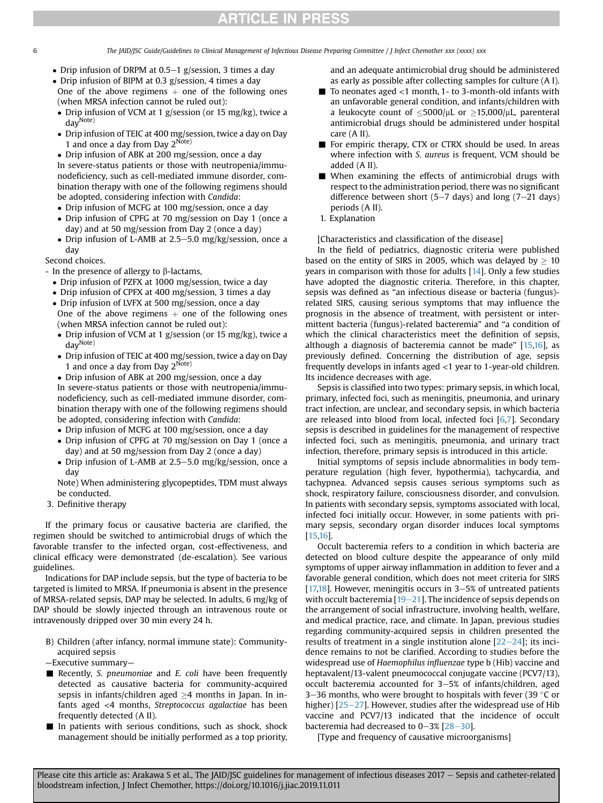6 The JAID/JSC Guide/Guidelines to Clinical Management of Infectious Disease Preparing Committee / J Infect Chemother xxx (xxxx) xxx

- Drip infusion of DRPM at  $0.5-1$  g/session, 3 times a day
- Drip infusion of BIPM at 0.3 g/session, 4 times a day One of the above regimens  $+$  one of the following ones (when MRSA infection cannot be ruled out):
- Drip infusion of VCM at 1 g/session (or 15 mg/kg), twice a dayNote)
- Drip infusion of TEIC at 400 mg/session, twice a day on Day 1 and once a day from Day  $2^{\text{Note}}$
- Drip infusion of ABK at 200 mg/session, once a day In severe-status patients or those with neutropenia/immunodeficiency, such as cell-mediated immune disorder, combination therapy with one of the following regimens should be adopted, considering infection with Candida:
- Drip infusion of MCFG at 100 mg/session, once a day
- Drip infusion of CPFG at 70 mg/session on Day 1 (once a day) and at 50 mg/session from Day 2 (once a day)
- Drip infusion of L-AMB at 2.5–5.0 mg/kg/session, once a day

### Second choices.

- In the presence of allergy to  $\beta$ -lactams,
	- Drip infusion of PZFX at 1000 mg/session, twice a day
	- Drip infusion of CPFX at 400 mg/session, 3 times a day
	- Drip infusion of LVFX at 500 mg/session, once a day One of the above regimens  $+$  one of the following ones (when MRSA infection cannot be ruled out):
	- Drip infusion of VCM at 1 g/session (or 15 mg/kg), twice a dayNote)
	- Drip infusion of TEIC at 400 mg/session, twice a day on Day 1 and once a day from Day  $2^{Note}$

 Drip infusion of ABK at 200 mg/session, once a day In severe-status patients or those with neutropenia/immunodeficiency, such as cell-mediated immune disorder, combination therapy with one of the following regimens should be adopted, considering infection with Candida:

- Drip infusion of MCFG at 100 mg/session, once a day
- Drip infusion of CPFG at 70 mg/session on Day 1 (once a day) and at 50 mg/session from Day 2 (once a day)
- Drip infusion of L-AMB at 2.5–5.0 mg/kg/session, once a day

Note) When administering glycopeptides, TDM must always be conducted.

3. Definitive therapy

If the primary focus or causative bacteria are clarified, the regimen should be switched to antimicrobial drugs of which the favorable transfer to the infected organ, cost-effectiveness, and clinical efficacy were demonstrated (de-escalation). See various guidelines.

Indications for DAP include sepsis, but the type of bacteria to be targeted is limited to MRSA. If pneumonia is absent in the presence of MRSA-related sepsis, DAP may be selected. In adults, 6 mg/kg of DAP should be slowly injected through an intravenous route or intravenously dripped over 30 min every 24 h.

- B) Children (after infancy, normal immune state): Communityacquired sepsis
- —Executive summary—
- Recently, S. pneumoniae and E. coli have been frequently detected as causative bacteria for community-acquired sepsis in infants/children aged  $\geq$ 4 months in Japan. In infants aged <4 months, Streptococcus agalactiae has been frequently detected (A II).
- $\blacksquare$  In patients with serious conditions, such as shock, shock management should be initially performed as a top priority,

and an adequate antimicrobial drug should be administered as early as possible after collecting samples for culture (A I).

- $\blacksquare$  To neonates aged <1 month, 1- to 3-month-old infants with an unfavorable general condition, and infants/children with a leukocyte count of  $\leq 5000/\mu L$  or  $> 15.000/\mu L$ , parenteral antimicrobial drugs should be administered under hospital care (A II).
- For empiric therapy, CTX or CTRX should be used. In areas where infection with S. aureus is frequent, VCM should be added (A II).
- When examining the effects of antimicrobial drugs with respect to the administration period, there was no significant difference between short (5–7 days) and long (7–21 days) periods (A II).
- 1. Explanation

[Characteristics and classification of the disease]

In the field of pediatrics, diagnostic criteria were published based on the entity of SIRS in 2005, which was delayed by  $\geq 10$ years in comparison with those for adults [\[14](#page-17-4)]. Only a few studies have adopted the diagnostic criteria. Therefore, in this chapter, sepsis was defined as "an infectious disease or bacteria (fungus) related SIRS, causing serious symptoms that may influence the prognosis in the absence of treatment, with persistent or intermittent bacteria (fungus)-related bacteremia" and "a condition of which the clinical characteristics meet the definition of sepsis, although a diagnosis of bacteremia cannot be made" [\[15](#page-17-5)[,16](#page-17-6)], as previously defined. Concerning the distribution of age, sepsis frequently develops in infants aged <1 year to 1-year-old children. Its incidence decreases with age.

Sepsis is classified into two types: primary sepsis, in which local, primary, infected foci, such as meningitis, pneumonia, and urinary tract infection, are unclear, and secondary sepsis, in which bacteria are released into blood from local, infected foci  $[6,7]$  $[6,7]$  $[6,7]$ . Secondary sepsis is described in guidelines for the management of respective infected foci, such as meningitis, pneumonia, and urinary tract infection, therefore, primary sepsis is introduced in this article.

Initial symptoms of sepsis include abnormalities in body temperature regulation (high fever, hypothermia), tachycardia, and tachypnea. Advanced sepsis causes serious symptoms such as shock, respiratory failure, consciousness disorder, and convulsion. In patients with secondary sepsis, symptoms associated with local, infected foci initially occur. However, in some patients with primary sepsis, secondary organ disorder induces local symptoms [[15,](#page-17-5)[16\]](#page-17-6).

Occult bacteremia refers to a condition in which bacteria are detected on blood culture despite the appearance of only mild symptoms of upper airway inflammation in addition to fever and a favorable general condition, which does not meet criteria for SIRS [[17,](#page-17-7)[18\]](#page-17-8). However, meningitis occurs in  $3-5%$  of untreated patients with occult bacteremia  $[19-21]$  $[19-21]$  $[19-21]$  $[19-21]$ . The incidence of sepsis depends on the arrangement of social infrastructure, involving health, welfare, and medical practice, race, and climate. In Japan, previous studies regarding community-acquired sepsis in children presented the results of treatment in a single institution alone  $[22-24]$  $[22-24]$  $[22-24]$  $[22-24]$ ; its incidence remains to not be clarified. According to studies before the widespread use of Haemophilus influenzae type b (Hib) vaccine and heptavalent/13-valent pneumococcal conjugate vaccine (PCV7/13), occult bacteremia accounted for  $3-5%$  of infants/children, aged 3-36 months, who were brought to hospitals with fever (39  $\degree$ C or higher)  $[25-27]$  $[25-27]$  $[25-27]$  $[25-27]$ . However, studies after the widespread use of Hib vaccine and PCV7/13 indicated that the incidence of occult bacteremia had decreased to  $0-3\%$  [ $28-30$ ].

[Type and frequency of causative microorganisms]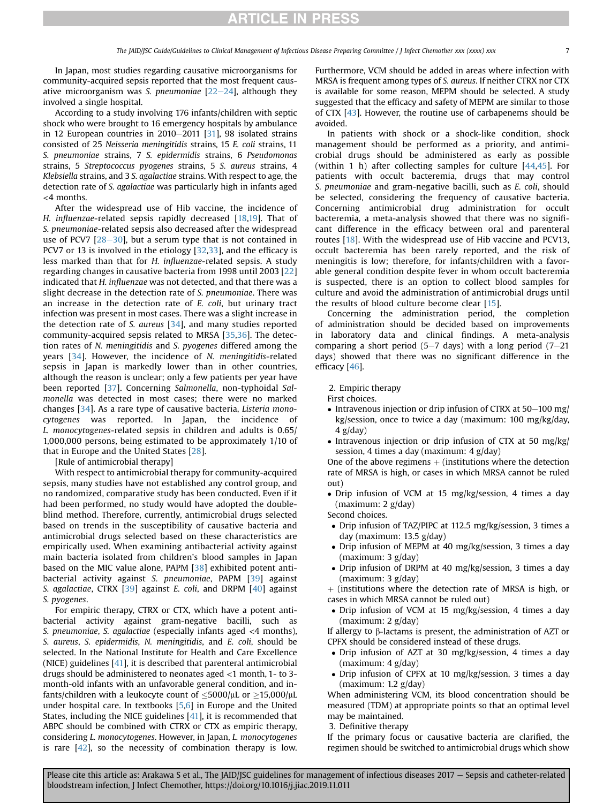In Japan, most studies regarding causative microorganisms for community-acquired sepsis reported that the most frequent causative microorganism was S. pneumoniae  $[22-24]$  $[22-24]$  $[22-24]$  $[22-24]$ , although they involved a single hospital.

According to a study involving 176 infants/children with septic shock who were brought to 16 emergency hospitals by ambulance in 12 European countries in  $2010-2011$  [[31\]](#page-17-13), 98 isolated strains consisted of 25 Neisseria meningitidis strains, 15 E. coli strains, 11 S. pneumoniae strains, 7 S. epidermidis strains, 6 Pseudomonas strains, 5 Streptococcus pyogenes strains, 5 S. aureus strains, 4 Klebsiella strains, and 3 S. agalactiae strains. With respect to age, the detection rate of S. agalactiae was particularly high in infants aged <4 months.

After the widespread use of Hib vaccine, the incidence of H. influenzae-related sepsis rapidly decreased  $[18,19]$  $[18,19]$  $[18,19]$  $[18,19]$ . That of S. pneumoniae-related sepsis also decreased after the widespread use of PCV7  $[28-30]$  $[28-30]$  $[28-30]$  $[28-30]$  $[28-30]$ , but a serum type that is not contained in PCV7 or 13 is involved in the etiology [[32](#page-17-14)[,33\]](#page-17-15), and the efficacy is less marked than that for H. influenzae-related sepsis. A study regarding changes in causative bacteria from 1998 until 2003 [[22\]](#page-17-10) indicated that H. influenzae was not detected, and that there was a slight decrease in the detection rate of S. pneumoniae. There was an increase in the detection rate of E. coli, but urinary tract infection was present in most cases. There was a slight increase in the detection rate of S. aureus [[34](#page-17-16)], and many studies reported community-acquired sepsis related to MRSA [[35](#page-17-17)[,36](#page-17-18)]. The detection rates of N. meningitidis and S. pyogenes differed among the years [[34\]](#page-17-16). However, the incidence of N. meningitidis-related sepsis in Japan is markedly lower than in other countries, although the reason is unclear; only a few patients per year have been reported [[37](#page-17-19)]. Concerning Salmonella, non-typhoidal Salmonella was detected in most cases; there were no marked changes [\[34](#page-17-16)]. As a rare type of causative bacteria, Listeria monocytogenes was reported. In Japan, the incidence of L. monocytogenes-related sepsis in children and adults is 0.65/ 1,000,000 persons, being estimated to be approximately 1/10 of that in Europe and the United States [\[28\]](#page-17-12).

[Rule of antimicrobial therapy]

With respect to antimicrobial therapy for community-acquired sepsis, many studies have not established any control group, and no randomized, comparative study has been conducted. Even if it had been performed, no study would have adopted the doubleblind method. Therefore, currently, antimicrobial drugs selected based on trends in the susceptibility of causative bacteria and antimicrobial drugs selected based on these characteristics are empirically used. When examining antibacterial activity against main bacteria isolated from children's blood samples in Japan based on the MIC value alone, PAPM [\[38\]](#page-17-20) exhibited potent antibacterial activity against S. pneumoniae, PAPM [\[39\]](#page-17-21) against S. agalactiae, CTRX [\[39](#page-17-21)] against E. coli, and DRPM [[40](#page-17-22)] against S. pyogenes.

For empiric therapy, CTRX or CTX, which have a potent antibacterial activity against gram-negative bacilli, such as S. pneumoniae, S. agalactiae (especially infants aged <4 months), S. aureus, S. epidermidis, N. meningitidis, and E. coli, should be selected. In the National Institute for Health and Care Excellence (NICE) guidelines [\[41](#page-17-23)], it is described that parenteral antimicrobial drugs should be administered to neonates aged <1 month, 1- to 3 month-old infants with an unfavorable general condition, and infants/children with a leukocyte count of  $\leq$ 5000/ $\mu$ L or  $\geq$ 15,000/ $\mu$ L under hospital care. In textbooks [[5,](#page-16-2)[6](#page-16-3)] in Europe and the United States, including the NICE guidelines [[41\]](#page-17-23), it is recommended that ABPC should be combined with CTRX or CTX as empiric therapy, considering L. monocytogenes. However, in Japan, L. monocytogenes is rare  $[42]$  $[42]$  $[42]$ , so the necessity of combination therapy is low. Furthermore, VCM should be added in areas where infection with MRSA is frequent among types of S. aureus. If neither CTRX nor CTX is available for some reason, MEPM should be selected. A study suggested that the efficacy and safety of MEPM are similar to those of CTX [[43](#page-17-25)]. However, the routine use of carbapenems should be avoided.

In patients with shock or a shock-like condition, shock management should be performed as a priority, and antimicrobial drugs should be administered as early as possible (within 1 h) after collecting samples for culture [[44,](#page-17-26)[45\]](#page-17-27). For patients with occult bacteremia, drugs that may control S. pneumoniae and gram-negative bacilli, such as E. coli, should be selected, considering the frequency of causative bacteria. Concerning antimicrobial drug administration for occult bacteremia, a meta-analysis showed that there was no significant difference in the efficacy between oral and parenteral routes [[18\]](#page-17-8). With the widespread use of Hib vaccine and PCV13, occult bacteremia has been rarely reported, and the risk of meningitis is low; therefore, for infants/children with a favorable general condition despite fever in whom occult bacteremia is suspected, there is an option to collect blood samples for culture and avoid the administration of antimicrobial drugs until the results of blood culture become clear [\[15](#page-17-5)].

Concerning the administration period, the completion of administration should be decided based on improvements in laboratory data and clinical findings. A meta-analysis comparing a short period (5-7 days) with a long period (7-21 days) showed that there was no significant difference in the efficacy [\[46\]](#page-17-28).

2. Empiric therapy

- First choices.
- Intravenous injection or drip infusion of CTRX at  $50-100$  mg/ kg/session, once to twice a day (maximum: 100 mg/kg/day,  $4$  g/day)
- Intravenous injection or drip infusion of CTX at 50 mg/kg/ session, 4 times a day (maximum: 4 g/day)

One of the above regimens  $+$  (institutions where the detection rate of MRSA is high, or cases in which MRSA cannot be ruled out)

 Drip infusion of VCM at 15 mg/kg/session, 4 times a day (maximum: 2 g/day)

Second choices.

- Drip infusion of TAZ/PIPC at 112.5 mg/kg/session, 3 times a day (maximum: 13.5 g/day)
- Drip infusion of MEPM at 40 mg/kg/session, 3 times a day (maximum: 3 g/day)
- Drip infusion of DRPM at 40 mg/kg/session, 3 times a day (maximum: 3 g/day)

 $+$  (institutions where the detection rate of MRSA is high, or cases in which MRSA cannot be ruled out)

 Drip infusion of VCM at 15 mg/kg/session, 4 times a day (maximum: 2 g/day)

If allergy to  $\beta$ -lactams is present, the administration of AZT or CPFX should be considered instead of these drugs.

- Drip infusion of AZT at 30 mg/kg/session, 4 times a day (maximum: 4 g/day)
- Drip infusion of CPFX at 10 mg/kg/session, 3 times a day (maximum: 1.2 g/day)

When administering VCM, its blood concentration should be measured (TDM) at appropriate points so that an optimal level may be maintained.

3. Definitive therapy

If the primary focus or causative bacteria are clarified, the regimen should be switched to antimicrobial drugs which show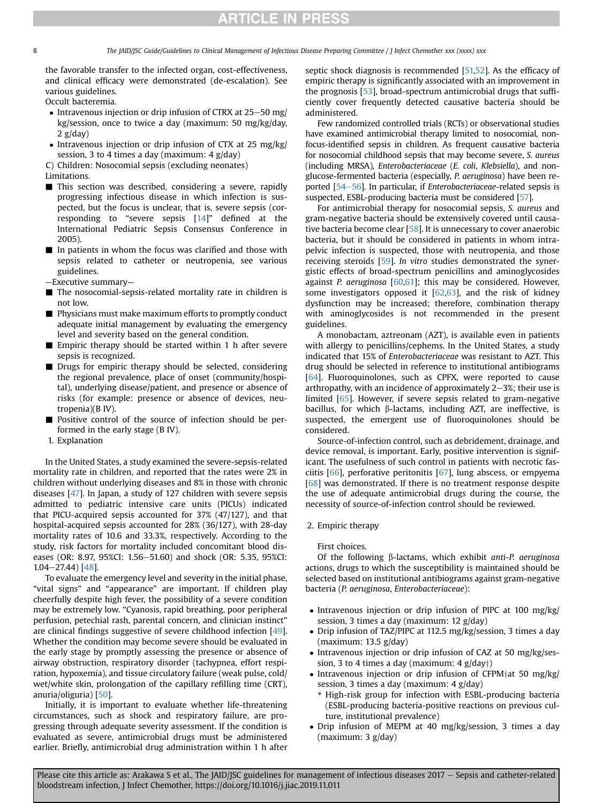The JAID/JSC Guide/Guidelines to Clinical Management of Infectious Disease Preparing Committee / J Infect Chemother xxx (xxxx) xxx

the favorable transfer to the infected organ, cost-effectiveness, and clinical efficacy were demonstrated (de-escalation). See various guidelines.

Occult bacteremia.

- $\bullet$  Intravenous injection or drip infusion of CTRX at 25–50 mg/ kg/session, once to twice a day (maximum: 50 mg/kg/day,  $2$  g/day)
- Intravenous injection or drip infusion of CTX at 25 mg/kg/ session, 3 to 4 times a day (maximum: 4 g/day)

C) Children: Nosocomial sepsis (excluding neonates)

Limitations.

- This section was described, considering a severe, rapidly progressing infectious disease in which infection is suspected, but the focus is unclear, that is, severe sepsis (corresponding to "severe sepsis [[14](#page-17-4)]" defined at the International Pediatric Sepsis Consensus Conference in 2005).
- In patients in whom the focus was clarified and those with sepsis related to catheter or neutropenia, see various guidelines.
- —Executive summary—
- The nosocomial-sepsis-related mortality rate in children is not low.
- Physicians must make maximum efforts to promptly conduct adequate initial management by evaluating the emergency level and severity based on the general condition.
- Empiric therapy should be started within 1 h after severe sepsis is recognized.
- Drugs for empiric therapy should be selected, considering the regional prevalence, place of onset (community/hospital), underlying disease/patient, and presence or absence of risks (for example: presence or absence of devices, neutropenia)(B IV).
- Positive control of the source of infection should be performed in the early stage (B IV).
- 1. Explanation

In the United States, a study examined the severe-sepsis-related mortality rate in children, and reported that the rates were 2% in children without underlying diseases and 8% in those with chronic diseases [[47\]](#page-17-29). In Japan, a study of 127 children with severe sepsis admitted to pediatric intensive care units (PICUs) indicated that PICU-acquired sepsis accounted for 37% (47/127), and that hospital-acquired sepsis accounted for 28% (36/127), with 28-day mortality rates of 10.6 and 33.3%, respectively. According to the study, risk factors for mortality included concomitant blood diseases (OR: 8.97, 95%CI: 1.56-51.60) and shock (OR: 5.35, 95%CI:  $1.04 - 27.44$ ) [\[48\]](#page-17-30).

To evaluate the emergency level and severity in the initial phase, "vital signs" and "appearance" are important. If children play cheerfully despite high fever, the possibility of a severe condition may be extremely low. "Cyanosis, rapid breathing, poor peripheral perfusion, petechial rash, parental concern, and clinician instinct" are clinical findings suggestive of severe childhood infection [\[49](#page-17-31)]. Whether the condition may become severe should be evaluated in the early stage by promptly assessing the presence or absence of airway obstruction, respiratory disorder (tachypnea, effort respiration, hypoxemia), and tissue circulatory failure (weak pulse, cold/ wet/white skin, prolongation of the capillary refilling time (CRT), anuria/oliguria) [\[50\]](#page-17-32).

Initially, it is important to evaluate whether life-threatening circumstances, such as shock and respiratory failure, are progressing through adequate severity assessment. If the condition is evaluated as severe, antimicrobial drugs must be administered earlier. Briefly, antimicrobial drug administration within 1 h after septic shock diagnosis is recommended [\[51,](#page-17-33)[52](#page-17-34)]. As the efficacy of empiric therapy is significantly associated with an improvement in the prognosis [[53](#page-17-35)], broad-spectrum antimicrobial drugs that sufficiently cover frequently detected causative bacteria should be administered.

Few randomized controlled trials (RCTs) or observational studies have examined antimicrobial therapy limited to nosocomial, nonfocus-identified sepsis in children. As frequent causative bacteria for nosocomial childhood sepsis that may become severe, S. aureus (including MRSA), Enterobacteriaceae (E. coli, Klebsiella), and nonglucose-fermented bacteria (especially, P. aeruginosa) have been re-ported [\[54](#page-17-36)-[56\]](#page-17-36). In particular, if *Enterobacteriaceae*-related sepsis is suspected, ESBL-producing bacteria must be considered [\[57](#page-17-37)].

For antimicrobial therapy for nosocomial sepsis, S. aureus and gram-negative bacteria should be extensively covered until causa-tive bacteria become clear [\[58\]](#page-17-38). It is unnecessary to cover anaerobic bacteria, but it should be considered in patients in whom intrapelvic infection is suspected, those with neutropenia, and those receiving steroids [\[59\]](#page-17-39). In vitro studies demonstrated the synergistic effects of broad-spectrum penicillins and aminoglycosides against P. aeruginosa  $[60,61]$  $[60,61]$  $[60,61]$  $[60,61]$ ; this may be considered. However, some investigators opposed it  $[62,63]$  $[62,63]$  $[62,63]$ , and the risk of kidney dysfunction may be increased; therefore, combination therapy with aminoglycosides is not recommended in the present guidelines.

A monobactam, aztreonam (AZT), is available even in patients with allergy to penicillins/cephems. In the United States, a study indicated that 15% of Enterobacteriaceae was resistant to AZT. This drug should be selected in reference to institutional antibiograms [[64](#page-18-1)]. Fluoroquinolones, such as CPFX, were reported to cause arthropathy, with an incidence of approximately  $2-3\%$ ; their use is limited [[65](#page-18-2)]. However, if severe sepsis related to gram-negative bacillus, for which  $\beta$ -lactams, including AZT, are ineffective, is suspected, the emergent use of fluoroquinolones should be considered.

Source-of-infection control, such as debridement, drainage, and device removal, is important. Early, positive intervention is significant. The usefulness of such control in patients with necrotic fasciitis [[66](#page-18-3)], perforative peritonitis [[67](#page-18-4)], lung abscess, or empyema [[68](#page-18-5)] was demonstrated. If there is no treatment response despite the use of adequate antimicrobial drugs during the course, the necessity of source-of-infection control should be reviewed.

#### 2. Empiric therapy

#### First choices.

Of the following  $\beta$ -lactams, which exhibit anti-P. aeruginosa actions, drugs to which the susceptibility is maintained should be selected based on institutional antibiograms against gram-negative bacteria (P. aeruginosa, Enterobacteriaceae):

- Intravenous injection or drip infusion of PIPC at 100 mg/kg/ session, 3 times a day (maximum: 12 g/day)
- Drip infusion of TAZ/PIPC at 112.5 mg/kg/session, 3 times a day (maximum: 13.5 g/day)
- Intravenous injection or drip infusion of CAZ at 50 mg/kg/session, 3 to 4 times a day (maximum:  $4$  g/day†)
- Intravenous injection or drip infusion of CFPM $\uparrow$ at 50 mg/kg/ session, 3 times a day (maximum: 4 g/day)
	- \* High-risk group for infection with ESBL-producing bacteria (ESBL-producing bacteria-positive reactions on previous culture, institutional prevalence)
- Drip infusion of MEPM at 40 mg/kg/session, 3 times a day (maximum: 3 g/day)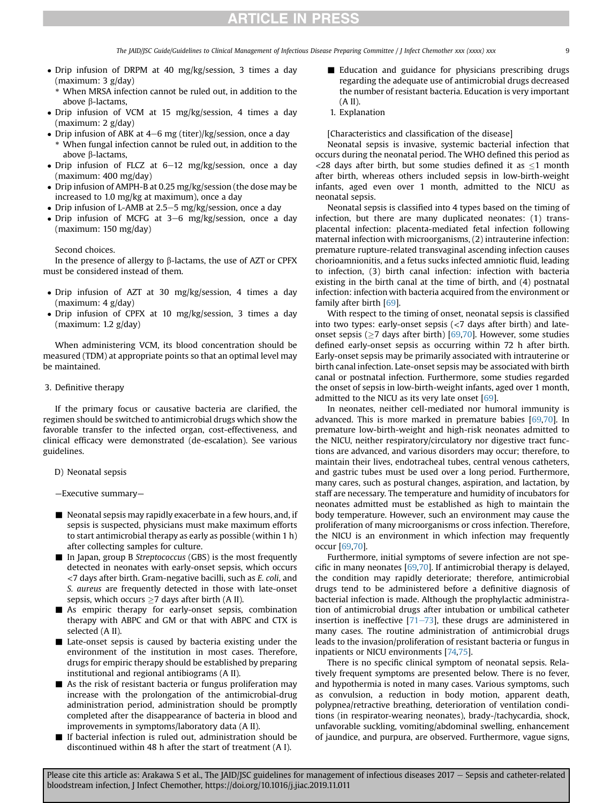The JAID/JSC Guide/Guidelines to Clinical Management of Infectious Disease Preparing Committee / J Infect Chemother xxx (xxxx) xxx

- Drip infusion of DRPM at 40 mg/kg/session, 3 times a day (maximum: 3 g/day)
	- When MRSA infection cannot be ruled out, in addition to the above **B**-lactams.
- Drip infusion of VCM at 15 mg/kg/session, 4 times a day (maximum: 2 g/day)
- Drip infusion of ABK at  $4-6$  mg (titer)/kg/session, once a day
- \* When fungal infection cannot be ruled out, in addition to the above β-lactams,
- Drip infusion of FLCZ at  $6-12$  mg/kg/session, once a day (maximum: 400 mg/day)
- Drip infusion of AMPH-B at 0.25 mg/kg/session (the dose may be increased to 1.0 mg/kg at maximum), once a day
- Drip infusion of L-AMB at 2.5–5 mg/kg/session, once a day
- Drip infusion of MCFG at  $3-6$  mg/kg/session, once a day (maximum: 150 mg/day)

#### Second choices.

In the presence of allergy to  $\beta$ -lactams, the use of AZT or CPFX must be considered instead of them.

- Drip infusion of AZT at 30 mg/kg/session, 4 times a day (maximum: 4 g/day)
- Drip infusion of CPFX at 10 mg/kg/session, 3 times a day (maximum: 1.2 g/day)

When administering VCM, its blood concentration should be measured (TDM) at appropriate points so that an optimal level may be maintained.

#### 3. Definitive therapy

If the primary focus or causative bacteria are clarified, the regimen should be switched to antimicrobial drugs which show the favorable transfer to the infected organ, cost-effectiveness, and clinical efficacy were demonstrated (de-escalation). See various guidelines.

- D) Neonatal sepsis
- —Executive summary—
- $\blacksquare$  Neonatal sepsis may rapidly exacerbate in a few hours, and, if sepsis is suspected, physicians must make maximum efforts to start antimicrobial therapy as early as possible (within 1 h) after collecting samples for culture.
- In Japan, group B Streptococcus (GBS) is the most frequently detected in neonates with early-onset sepsis, which occurs <7 days after birth. Gram-negative bacilli, such as E. coli, and S. aureus are frequently detected in those with late-onset sepsis, which occurs  $\geq$  7 days after birth (A II).
- $\blacksquare$  As empiric therapy for early-onset sepsis, combination therapy with ABPC and GM or that with ABPC and CTX is selected (A II).
- $\blacksquare$  Late-onset sepsis is caused by bacteria existing under the environment of the institution in most cases. Therefore, drugs for empiric therapy should be established by preparing institutional and regional antibiograms (A II).
- $\blacksquare$  As the risk of resistant bacteria or fungus proliferation may increase with the prolongation of the antimicrobial-drug administration period, administration should be promptly completed after the disappearance of bacteria in blood and improvements in symptoms/laboratory data (A II).
- $\blacksquare$  If bacterial infection is ruled out, administration should be discontinued within 48 h after the start of treatment (A I).
- **Education and guidance for physicians prescribing drugs** regarding the adequate use of antimicrobial drugs decreased the number of resistant bacteria. Education is very important (A II).
- 1. Explanation

#### [Characteristics and classification of the disease]

Neonatal sepsis is invasive, systemic bacterial infection that occurs during the neonatal period. The WHO defined this period as <28 days after birth, but some studies defined it as  $\leq$ 1 month after birth, whereas others included sepsis in low-birth-weight infants, aged even over 1 month, admitted to the NICU as neonatal sepsis.

Neonatal sepsis is classified into 4 types based on the timing of infection, but there are many duplicated neonates: (1) transplacental infection: placenta-mediated fetal infection following maternal infection with microorganisms, (2) intrauterine infection: premature rupture-related transvaginal ascending infection causes chorioamnionitis, and a fetus sucks infected amniotic fluid, leading to infection, (3) birth canal infection: infection with bacteria existing in the birth canal at the time of birth, and (4) postnatal infection: infection with bacteria acquired from the environment or family after birth [[69](#page-18-6)].

With respect to the timing of onset, neonatal sepsis is classified into two types: early-onset sepsis  $\left( < 7 \right)$  days after birth) and lateonset sepsis ( $>7$  days after birth) [[69](#page-18-6),[70](#page-18-7)]. However, some studies defined early-onset sepsis as occurring within 72 h after birth. Early-onset sepsis may be primarily associated with intrauterine or birth canal infection. Late-onset sepsis may be associated with birth canal or postnatal infection. Furthermore, some studies regarded the onset of sepsis in low-birth-weight infants, aged over 1 month, admitted to the NICU as its very late onset  $[69]$ .

In neonates, neither cell-mediated nor humoral immunity is advanced. This is more marked in premature babies [\[69,](#page-18-6)[70](#page-18-7)]. In premature low-birth-weight and high-risk neonates admitted to the NICU, neither respiratory/circulatory nor digestive tract functions are advanced, and various disorders may occur; therefore, to maintain their lives, endotracheal tubes, central venous catheters, and gastric tubes must be used over a long period. Furthermore, many cares, such as postural changes, aspiration, and lactation, by staff are necessary. The temperature and humidity of incubators for neonates admitted must be established as high to maintain the body temperature. However, such an environment may cause the proliferation of many microorganisms or cross infection. Therefore, the NICU is an environment in which infection may frequently occur [[69](#page-18-6)[,70](#page-18-7)].

Furthermore, initial symptoms of severe infection are not specific in many neonates  $[69,70]$  $[69,70]$  $[69,70]$ . If antimicrobial therapy is delayed, the condition may rapidly deteriorate; therefore, antimicrobial drugs tend to be administered before a definitive diagnosis of bacterial infection is made. Although the prophylactic administration of antimicrobial drugs after intubation or umbilical catheter insertion is ineffective  $[71–73]$  $[71–73]$  $[71–73]$  $[71–73]$ , these drugs are administered in many cases. The routine administration of antimicrobial drugs leads to the invasion/proliferation of resistant bacteria or fungus in inpatients or NICU environments [\[74,](#page-18-9)[75](#page-18-10)].

There is no specific clinical symptom of neonatal sepsis. Relatively frequent symptoms are presented below. There is no fever, and hypothermia is noted in many cases. Various symptoms, such as convulsion, a reduction in body motion, apparent death, polypnea/retractive breathing, deterioration of ventilation conditions (in respirator-wearing neonates), brady-/tachycardia, shock, unfavorable suckling, vomiting/abdominal swelling, enhancement of jaundice, and purpura, are observed. Furthermore, vague signs,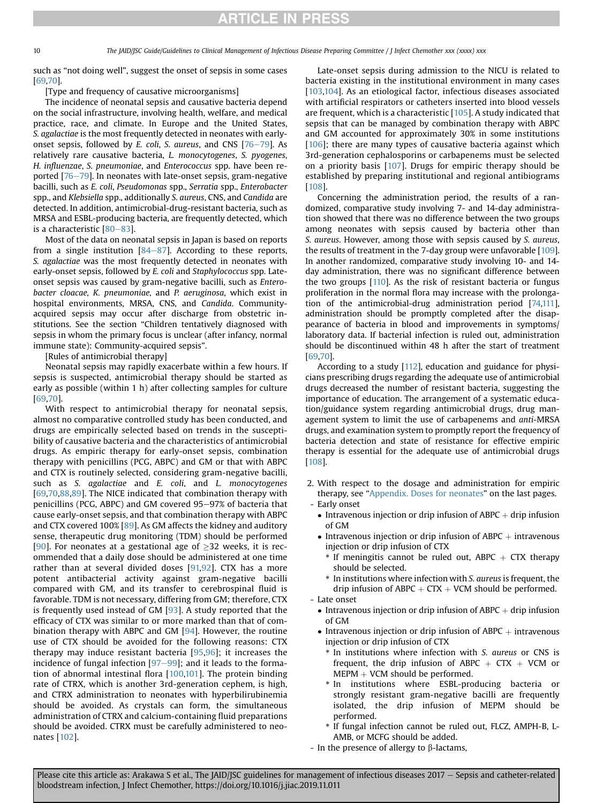10 The JAID/JSC Guide/Guidelines to Clinical Management of Infectious Disease Preparing Committee / J Infect Chemother xxx (xxxx) xxx

such as "not doing well", suggest the onset of sepsis in some cases [[69](#page-18-6)[,70\]](#page-18-7).

[Type and frequency of causative microorganisms]

The incidence of neonatal sepsis and causative bacteria depend on the social infrastructure, involving health, welfare, and medical practice, race, and climate. In Europe and the United States, S. agalactiae is the most frequently detected in neonates with earlyonset sepsis, followed by E. coli, S. aureus, and CNS  $[76-79]$  $[76-79]$  $[76-79]$  $[76-79]$  $[76-79]$ . As relatively rare causative bacteria, L. monocytogenes, S. pyogenes, H. influenzae, S. pneumoniae, and Enterococcus spp. have been reported  $[76-79]$  $[76-79]$  $[76-79]$  $[76-79]$ . In neonates with late-onset sepsis, gram-negative bacilli, such as E. coli, Pseudomonas spp., Serratia spp., Enterobacter spp., and Klebsiella spp., additionally S. aureus, CNS, and Candida are detected. In addition, antimicrobial-drug-resistant bacteria, such as MRSA and ESBL-producing bacteria, are frequently detected, which is a characteristic  $[80-83]$  $[80-83]$  $[80-83]$  $[80-83]$  $[80-83]$ .

Most of the data on neonatal sepsis in Japan is based on reports from a single institution  $[84-87]$  $[84-87]$  $[84-87]$  $[84-87]$ . According to these reports, S. agalactiae was the most frequently detected in neonates with early-onset sepsis, followed by E. coli and Staphylococcus spp. Lateonset sepsis was caused by gram-negative bacilli, such as Enterobacter cloacae, K. pneumoniae, and P. aeruginosa, which exist in hospital environments, MRSA, CNS, and Candida. Communityacquired sepsis may occur after discharge from obstetric institutions. See the section "Children tentatively diagnosed with sepsis in whom the primary focus is unclear (after infancy, normal immune state): Community-acquired sepsis".

[Rules of antimicrobial therapy]

Neonatal sepsis may rapidly exacerbate within a few hours. If sepsis is suspected, antimicrobial therapy should be started as early as possible (within 1 h) after collecting samples for culture [[69,](#page-18-6)[70](#page-18-7)].

With respect to antimicrobial therapy for neonatal sepsis, almost no comparative controlled study has been conducted, and drugs are empirically selected based on trends in the susceptibility of causative bacteria and the characteristics of antimicrobial drugs. As empiric therapy for early-onset sepsis, combination therapy with penicillins (PCG, ABPC) and GM or that with ABPC and CTX is routinely selected, considering gram-negative bacilli, such as S. agalactiae and E. coli, and L. monocytogenes [[69,](#page-18-6)[70](#page-18-7)[,88,](#page-18-14)[89\]](#page-18-15). The NICE indicated that combination therapy with penicillins (PCG, ABPC) and GM covered 95-97% of bacteria that cause early-onset sepsis, and that combination therapy with ABPC and CTX covered 100% [[89](#page-18-15)]. As GM affects the kidney and auditory sense, therapeutic drug monitoring (TDM) should be performed [[90\]](#page-18-16). For neonates at a gestational age of  $\geq$ 32 weeks, it is recommended that a daily dose should be administered at one time rather than at several divided doses [\[91,](#page-18-17)[92\]](#page-18-18). CTX has a more potent antibacterial activity against gram-negative bacilli compared with GM, and its transfer to cerebrospinal fluid is favorable. TDM is not necessary, differing from GM; therefore, CTX is frequently used instead of GM [\[93](#page-18-19)]. A study reported that the efficacy of CTX was similar to or more marked than that of combination therapy with ABPC and GM [[94](#page-18-20)]. However, the routine use of CTX should be avoided for the following reasons: CTX therapy may induce resistant bacteria [\[95](#page-18-21),[96\]](#page-18-22); it increases the incidence of fungal infection  $[97-99]$  $[97-99]$  $[97-99]$  $[97-99]$  $[97-99]$ ; and it leads to the formation of abnormal intestinal flora [\[100](#page-18-24)[,101\]](#page-18-25). The protein binding rate of CTRX, which is another 3rd-generation cephem, is high, and CTRX administration to neonates with hyperbilirubinemia should be avoided. As crystals can form, the simultaneous administration of CTRX and calcium-containing fluid preparations should be avoided. CTRX must be carefully administered to neonates [[102\]](#page-18-26).

Late-onset sepsis during admission to the NICU is related to bacteria existing in the institutional environment in many cases [[103,](#page-18-27)[104](#page-18-28)]. As an etiological factor, infectious diseases associated with artificial respirators or catheters inserted into blood vessels are frequent, which is a characteristic [\[105\]](#page-18-29). A study indicated that sepsis that can be managed by combination therapy with ABPC and GM accounted for approximately 30% in some institutions [[106\]](#page-18-30); there are many types of causative bacteria against which 3rd-generation cephalosporins or carbapenems must be selected on a priority basis [[107\]](#page-18-31). Drugs for empiric therapy should be established by preparing institutional and regional antibiograms [[108\]](#page-18-32).

Concerning the administration period, the results of a randomized, comparative study involving 7- and 14-day administration showed that there was no difference between the two groups among neonates with sepsis caused by bacteria other than S. aureus. However, among those with sepsis caused by S. aureus, the results of treatment in the 7-day group were unfavorable [\[109](#page-18-33)]. In another randomized, comparative study involving 10- and 14 day administration, there was no significant difference between the two groups [\[110\]](#page-18-34). As the risk of resistant bacteria or fungus proliferation in the normal flora may increase with the prolongation of the antimicrobial-drug administration period [\[74](#page-18-9)[,111](#page-18-35)], administration should be promptly completed after the disappearance of bacteria in blood and improvements in symptoms/ laboratory data. If bacterial infection is ruled out, administration should be discontinued within 48 h after the start of treatment [[69](#page-18-6)[,70\]](#page-18-7).

According to a study [[112\]](#page-18-36), education and guidance for physicians prescribing drugs regarding the adequate use of antimicrobial drugs decreased the number of resistant bacteria, suggesting the importance of education. The arrangement of a systematic education/guidance system regarding antimicrobial drugs, drug management system to limit the use of carbapenems and anti-MRSA drugs, and examination system to promptly report the frequency of bacteria detection and state of resistance for effective empiric therapy is essential for the adequate use of antimicrobial drugs [[108](#page-18-32)].

- 2. With respect to the dosage and administration for empiric therapy, see "Appendix. Doses for neonates" on the last pages. - Early onset
	- Intravenous injection or drip infusion of ABPC  $+$  drip infusion of GM
	- Intravenous injection or drip infusion of ABPC  $+$  intravenous injection or drip infusion of CTX
		- $*$  If meningitis cannot be ruled out, ABPC  $+$  CTX therapy should be selected.
		- \* In institutions where infection with S. aureus is frequent, the drip infusion of  $ABPC + CTX + VCM$  should be performed.
- Late onset
	- Intravenous injection or drip infusion of ABPC  $+$  drip infusion of GM
	- Intravenous injection or drip infusion of ABPC  $+$  intravenous injection or drip infusion of CTX
		- \* In institutions where infection with S. aureus or CNS is frequent, the drip infusion of ABPC  $+$  CTX  $+$  VCM or  $MEPM + VCM$  should be performed.
		- \* In institutions where ESBL-producing bacteria or strongly resistant gram-negative bacilli are frequently isolated, the drip infusion of MEPM should be performed.
		- \* If fungal infection cannot be ruled out, FLCZ, AMPH-B, L-AMB, or MCFG should be added.

- In the presence of allergy to  $\beta$ -lactams,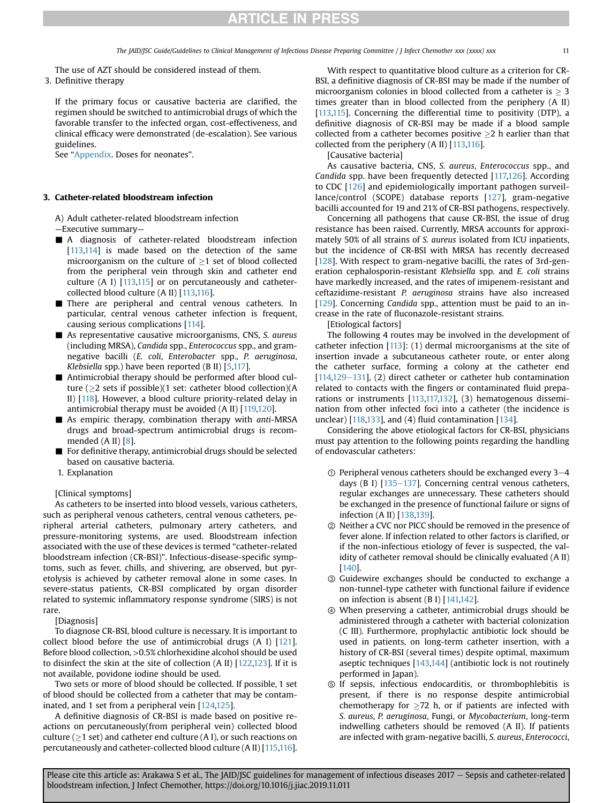The use of AZT should be considered instead of them.

3. Definitive therapy

If the primary focus or causative bacteria are clarified, the regimen should be switched to antimicrobial drugs of which the favorable transfer to the infected organ, cost-effectiveness, and clinical efficacy were demonstrated (de-escalation). See various guidelines.

See "Appendix. Doses for neonates".

#### 3. Catheter-related bloodstream infection

A) Adult catheter-related bloodstream infection

- —Executive summary—
- A diagnosis of catheter-related bloodstream infection [\[113](#page-18-37)[,114](#page-18-38)] is made based on the detection of the same microorganism on the culture of  $\geq 1$  set of blood collected from the peripheral vein through skin and catheter end culture (A I) [\[113](#page-18-37)[,115](#page-18-39)] or on percutaneously and cathetercollected blood culture (A II) [\[113,](#page-18-37)[116](#page-18-40)].
- There are peripheral and central venous catheters. In particular, central venous catheter infection is frequent, causing serious complications [[114\]](#page-18-38).
- $\blacksquare$  As representative causative microorganisms, CNS, S. aureus (including MRSA), Candida spp., Enterococcus spp., and gramnegative bacilli (E. coli, Enterobacter spp., P. aeruginosa, Klebsiella spp.) have been reported (B II) [\[5,](#page-16-2)[117\]](#page-18-41).
- $\blacksquare$  Antimicrobial therapy should be performed after blood culture ( $>$ 2 sets if possible)(1 set: catheter blood collection)(A II) [\[118](#page-18-42)]. However, a blood culture priority-related delay in antimicrobial therapy must be avoided (A II) [\[119](#page-19-0)[,120](#page-19-1)].
- $\blacksquare$  As empiric therapy, combination therapy with anti-MRSA drugs and broad-spectrum antimicrobial drugs is recommended (A II) [\[8](#page-16-5)].
- $\blacksquare$  For definitive therapy, antimicrobial drugs should be selected based on causative bacteria.
- 1. Explanation

#### [Clinical symptoms]

As catheters to be inserted into blood vessels, various catheters, such as peripheral venous catheters, central venous catheters, peripheral arterial catheters, pulmonary artery catheters, and pressure-monitoring systems, are used. Bloodstream infection associated with the use of these devices is termed "catheter-related bloodstream infection (CR-BSI)". Infectious-disease-specific symptoms, such as fever, chills, and shivering, are observed, but pyretolysis is achieved by catheter removal alone in some cases. In severe-status patients, CR-BSI complicated by organ disorder related to systemic inflammatory response syndrome (SIRS) is not rare.

[Diagnosis]

To diagnose CR-BSI, blood culture is necessary. It is important to collect blood before the use of antimicrobial drugs (A I) [\[121\]](#page-19-2). Before blood collection, >0.5% chlorhexidine alcohol should be used to disinfect the skin at the site of collection  $(A II)$   $[122,123]$  $[122,123]$  $[122,123]$ . If it is not available, povidone iodine should be used.

Two sets or more of blood should be collected. If possible, 1 set of blood should be collected from a catheter that may be contaminated, and 1 set from a peripheral vein [\[124](#page-19-5)[,125](#page-19-6)].

A definitive diagnosis of CR-BSI is made based on positive reactions on percutaneously(from peripheral vein) collected blood culture ( $\geq$ 1 set) and catheter end culture (A I), or such reactions on percutaneously and catheter-collected blood culture (A II) [[115](#page-18-39)[,116\]](#page-18-40).

With respect to quantitative blood culture as a criterion for CR-BSI, a definitive diagnosis of CR-BSI may be made if the number of microorganism colonies in blood collected from a catheter is  $\geq 3$ times greater than in blood collected from the periphery (A II) [\[113](#page-18-37)[,115](#page-18-39)]. Concerning the differential time to positivity (DTP), a definitive diagnosis of CR-BSI may be made if a blood sample collected from a catheter becomes positive  $>2$  h earlier than that collected from the periphery (A II) [\[113](#page-18-37),[116](#page-18-40)].

[Causative bacteria]

As causative bacteria, CNS, S. aureus, Enterococcus spp., and Candida spp. have been frequently detected [\[117,](#page-18-41)[126](#page-19-7)]. According to CDC [[126\]](#page-19-7) and epidemiologically important pathogen surveillance/control (SCOPE) database reports [[127\]](#page-19-8), gram-negative bacilli accounted for 19 and 21% of CR-BSI pathogens, respectively.

Concerning all pathogens that cause CR-BSI, the issue of drug resistance has been raised. Currently, MRSA accounts for approximately 50% of all strains of S. aureus isolated from ICU inpatients, but the incidence of CR-BSI with MRSA has recently decreased [\[128](#page-19-9)]. With respect to gram-negative bacilli, the rates of 3rd-generation cephalosporin-resistant Klebsiella spp. and E. coli strains have markedly increased, and the rates of imipenem-resistant and ceftazidime-resistant P. aeruginosa strains have also increased [\[129](#page-19-10)]. Concerning Candida spp., attention must be paid to an increase in the rate of fluconazole-resistant strains.

[Etiological factors]

The following 4 routes may be involved in the development of catheter infection [[113\]](#page-18-37): (1) dermal microorganisms at the site of insertion invade a subcutaneous catheter route, or enter along the catheter surface, forming a colony at the catheter end [ $114,129-131$  $114,129-131$  $114,129-131$ ], (2) direct catheter or catheter hub contamination related to contacts with the fingers or contaminated fluid preparations or instruments [\[113](#page-18-37)[,117,](#page-18-41)[132](#page-19-11)], (3) hematogenous dissemination from other infected foci into a catheter (the incidence is unclear)  $[118,133]$  $[118,133]$ , and  $(4)$  fluid contamination  $[134]$  $[134]$ .

Considering the above etiological factors for CR-BSI, physicians must pay attention to the following points regarding the handling of endovascular catheters:

- $\odot$  Peripheral venous catheters should be exchanged every 3-4 days (B I)  $[135-137]$  $[135-137]$  $[135-137]$  $[135-137]$ . Concerning central venous catheters, regular exchanges are unnecessary. These catheters should be exchanged in the presence of functional failure or signs of infection (A II) [[138](#page-19-15)[,139](#page-19-16)].
- ② Neither a CVC nor PICC should be removed in the presence of fever alone. If infection related to other factors is clarified, or if the non-infectious etiology of fever is suspected, the validity of catheter removal should be clinically evaluated (A II) [\[140](#page-19-17)].
- ③ Guidewire exchanges should be conducted to exchange a non-tunnel-type catheter with functional failure if evidence on infection is absent (B I) [[141,](#page-19-18)[142](#page-19-19)].
- ④ When preserving a catheter, antimicrobial drugs should be administered through a catheter with bacterial colonization (C III). Furthermore, prophylactic antibiotic lock should be used in patients, on long-term catheter insertion, with a history of CR-BSI (several times) despite optimal, maximum aseptic techniques  $[143,144]$  $[143,144]$  $[143,144]$  (antibiotic lock is not routinely performed in Japan).
- ⑤ If sepsis, infectious endocarditis, or thrombophlebitis is present, if there is no response despite antimicrobial chemotherapy for  $\geq$ 72 h, or if patients are infected with S. aureus, P. aeruginosa, Fungi, or Mycobacterium, long-term indwelling catheters should be removed (A II). If patients are infected with gram-negative bacilli, S. aureus, Enterococci,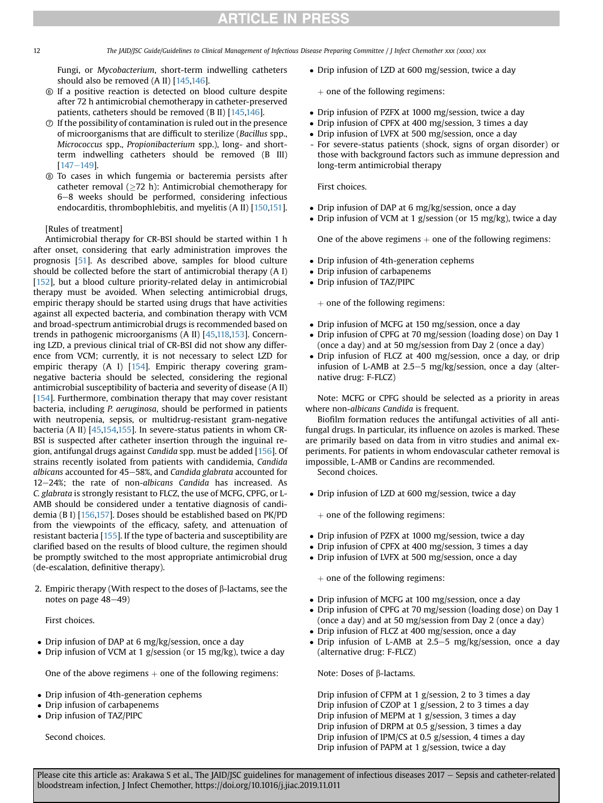12 The JAID/JSC Guide/Guidelines to Clinical Management of Infectious Disease Preparing Committee / J Infect Chemother xxx (xxxx) xxx

Fungi, or Mycobacterium, short-term indwelling catheters should also be removed (A II) [[145,](#page-19-22)[146\]](#page-19-23).

- ⑥ If a positive reaction is detected on blood culture despite after 72 h antimicrobial chemotherapy in catheter-preserved patients, catheters should be removed (B II) [\[145,](#page-19-22)[146\]](#page-19-23).
- $\odot$  If the possibility of contamination is ruled out in the presence of microorganisms that are difficult to sterilize (Bacillus spp., Micrococcus spp., Propionibacterium spp.), long- and shortterm indwelling catheters should be removed (B III)  $[147 - 149]$  $[147 - 149]$  $[147 - 149]$  $[147 - 149]$ .
- ⑧ To cases in which fungemia or bacteremia persists after catheter removal  $(\geq 72$  h): Antimicrobial chemotherapy for 6-8 weeks should be performed, considering infectious endocarditis, thrombophlebitis, and myelitis (A II) [[150](#page-19-25)[,151](#page-19-26)].

### [Rules of treatment]

Antimicrobial therapy for CR-BSI should be started within 1 h after onset, considering that early administration improves the prognosis [\[51](#page-17-33)]. As described above, samples for blood culture should be collected before the start of antimicrobial therapy (A I) [[152](#page-19-27)], but a blood culture priority-related delay in antimicrobial therapy must be avoided. When selecting antimicrobial drugs, empiric therapy should be started using drugs that have activities against all expected bacteria, and combination therapy with VCM and broad-spectrum antimicrobial drugs is recommended based on trends in pathogenic microorganisms (A II) [\[45,](#page-17-27)[118,](#page-18-42)[153\]](#page-19-28). Concerning LZD, a previous clinical trial of CR-BSI did not show any difference from VCM; currently, it is not necessary to select LZD for empiric therapy (A I) [[154](#page-19-29)]. Empiric therapy covering gramnegative bacteria should be selected, considering the regional antimicrobial susceptibility of bacteria and severity of disease (A II) [[154](#page-19-29)]. Furthermore, combination therapy that may cover resistant bacteria, including P. aeruginosa, should be performed in patients with neutropenia, sepsis, or multidrug-resistant gram-negative bacteria (A II) [[45](#page-17-27),[154](#page-19-29),[155\]](#page-19-30). In severe-status patients in whom CR-BSI is suspected after catheter insertion through the inguinal region, antifungal drugs against Candida spp. must be added [[156\]](#page-19-31). Of strains recently isolated from patients with candidemia, Candida albicans accounted for 45-58%, and Candida glabrata accounted for 12-24%; the rate of non-albicans Candida has increased. As C. glabrata is strongly resistant to FLCZ, the use of MCFG, CPFG, or L-AMB should be considered under a tentative diagnosis of candidemia (B I) [[156,](#page-19-31)[157](#page-19-32)]. Doses should be established based on PK/PD from the viewpoints of the efficacy, safety, and attenuation of resistant bacteria [\[155\]](#page-19-30). If the type of bacteria and susceptibility are clarified based on the results of blood culture, the regimen should be promptly switched to the most appropriate antimicrobial drug (de-escalation, definitive therapy).

2. Empiric therapy (With respect to the doses of  $\beta$ -lactams, see the notes on page  $48-49$ )

First choices.

- Drip infusion of DAP at 6 mg/kg/session, once a day
- Drip infusion of VCM at 1 g/session (or 15 mg/kg), twice a day

One of the above regimens  $+$  one of the following regimens:

- Drip infusion of 4th-generation cephems
- Drip infusion of carbapenems
- Drip infusion of TAZ/PIPC

Second choices.

• Drip infusion of LZD at 600 mg/session, twice a day

 $+$  one of the following regimens:

- Drip infusion of PZFX at 1000 mg/session, twice a day
- Drip infusion of CPFX at 400 mg/session, 3 times a day
- Drip infusion of LVFX at 500 mg/session, once a day
- For severe-status patients (shock, signs of organ disorder) or those with background factors such as immune depression and long-term antimicrobial therapy

First choices.

- Drip infusion of DAP at 6 mg/kg/session, once a day
- Drip infusion of VCM at 1 g/session (or 15 mg/kg), twice a day

One of the above regimens  $+$  one of the following regimens:

- Drip infusion of 4th-generation cephems
- Drip infusion of carbapenems
- Drip infusion of TAZ/PIPC

 $+$  one of the following regimens:

- Drip infusion of MCFG at 150 mg/session, once a day
- Drip infusion of CPFG at 70 mg/session (loading dose) on Day 1 (once a day) and at 50 mg/session from Day 2 (once a day)
- Drip infusion of FLCZ at 400 mg/session, once a day, or drip infusion of L-AMB at 2.5–5 mg/kg/session, once a day (alternative drug: F-FLCZ)

Note: MCFG or CPFG should be selected as a priority in areas where non-albicans Candida is frequent.

Biofilm formation reduces the antifungal activities of all antifungal drugs. In particular, its influence on azoles is marked. These are primarily based on data from in vitro studies and animal experiments. For patients in whom endovascular catheter removal is impossible, L-AMB or Candins are recommended.

Second choices.

- Drip infusion of LZD at 600 mg/session, twice a day
	- $+$  one of the following regimens:
- Drip infusion of PZFX at 1000 mg/session, twice a day
- Drip infusion of CPFX at 400 mg/session, 3 times a day
- Drip infusion of LVFX at 500 mg/session, once a day

 $+$  one of the following regimens:

- Drip infusion of MCFG at 100 mg/session, once a day
- Drip infusion of CPFG at 70 mg/session (loading dose) on Day 1 (once a day) and at 50 mg/session from Day 2 (once a day)
- Drip infusion of FLCZ at 400 mg/session, once a day
- Drip infusion of L-AMB at 2.5–5 mg/kg/session, once a day (alternative drug: F-FLCZ)

Note: Doses of  $\beta$ -lactams.

Drip infusion of CFPM at 1 g/session, 2 to 3 times a day Drip infusion of CZOP at 1 g/session, 2 to 3 times a day Drip infusion of MEPM at 1 g/session, 3 times a day Drip infusion of DRPM at 0.5 g/session, 3 times a day Drip infusion of IPM/CS at 0.5 g/session, 4 times a day Drip infusion of PAPM at 1 g/session, twice a day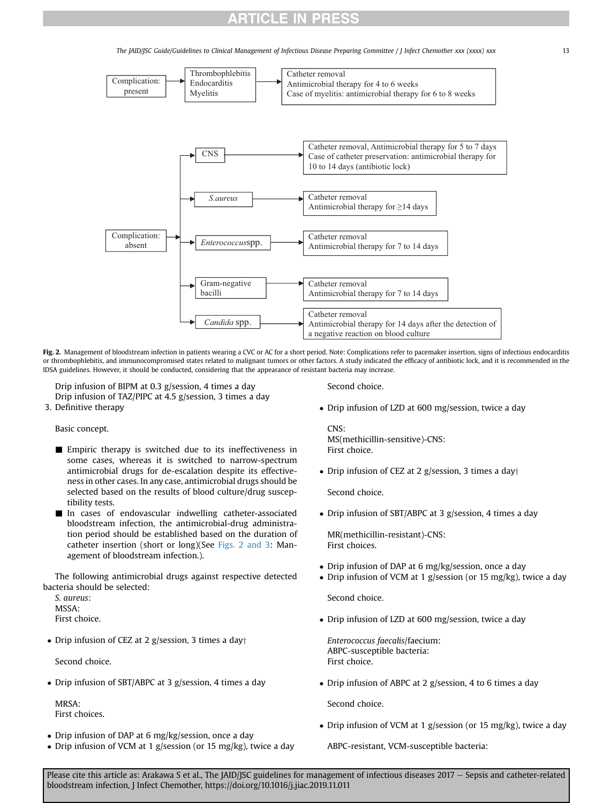The JAID/JSC Guide/Guidelines to Clinical Management of Infectious Disease Preparing Committee / J Infect Chemother xxx (xxxx) xxx 13

<span id="page-12-0"></span>

Fig. 2. Management of bloodstream infection in patients wearing a CVC or AC for a short period. Note: Complications refer to pacemaker insertion, signs of infectious endocarditis or thrombophlebitis, and immunocompromised states related to malignant tumors or other factors. A study indicated the efficacy of antibiotic lock, and it is recommended in the IDSA guidelines. However, it should be conducted, considering that the appearance of resistant bacteria may increase.

Drip infusion of BIPM at 0.3 g/session, 4 times a day Drip infusion of TAZ/PIPC at 4.5 g/session, 3 times a day

3. Definitive therapy

Basic concept.

- $\blacksquare$  Empiric therapy is switched due to its ineffectiveness in some cases, whereas it is switched to narrow-spectrum antimicrobial drugs for de-escalation despite its effectiveness in other cases. In any case, antimicrobial drugs should be selected based on the results of blood culture/drug susceptibility tests.
- In cases of endovascular indwelling catheter-associated bloodstream infection, the antimicrobial-drug administration period should be established based on the duration of catheter insertion (short or long)(See [Figs. 2 and 3:](#page-12-0) Management of bloodstream infection.).

The following antimicrobial drugs against respective detected bacteria should be selected:

S. aureus: MSSA: First choice.

• Drip infusion of CEZ at 2 g/session, 3 times a day $\dagger$ 

Second choice.

Drip infusion of SBT/ABPC at 3 g/session, 4 times a day

MRSA: First choices.

- Drip infusion of DAP at 6 mg/kg/session, once a day
- Drip infusion of VCM at 1 g/session (or 15 mg/kg), twice a day

Second choice.

Drip infusion of LZD at 600 mg/session, twice a day

 $CNS$ MS(methicillin-sensitive)-CNS: First choice.

• Drip infusion of CEZ at 2 g/session, 3 times a day $\dagger$ 

Second choice.

Drip infusion of SBT/ABPC at 3 g/session, 4 times a day

MR(methicillin-resistant)-CNS: First choices.

- Drip infusion of DAP at 6 mg/kg/session, once a day
- Drip infusion of VCM at 1 g/session (or 15 mg/kg), twice a day

Second choice.

Drip infusion of LZD at 600 mg/session, twice a day

Enterococcus faecalis/faecium: ABPC-susceptible bacteria: First choice.

• Drip infusion of ABPC at 2 g/session, 4 to 6 times a day

Second choice.

• Drip infusion of VCM at 1 g/session (or 15 mg/kg), twice a day

ABPC-resistant, VCM-susceptible bacteria: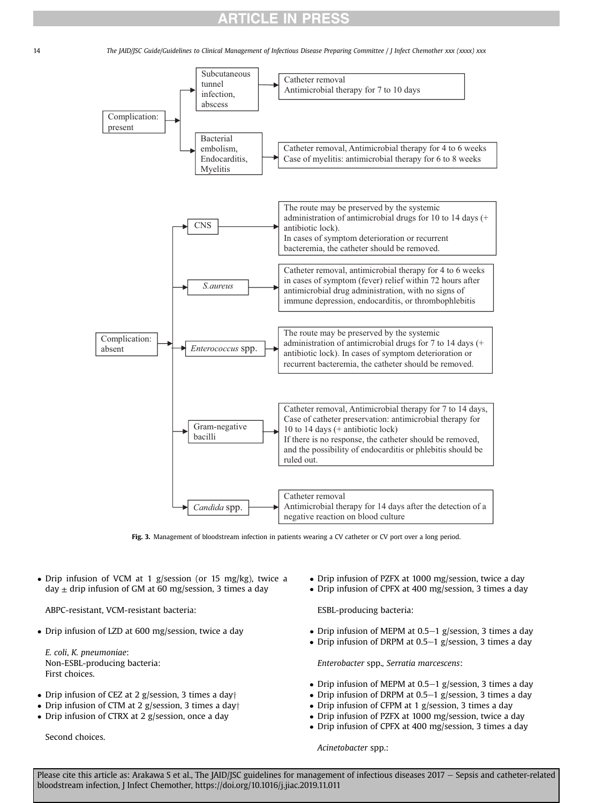14 The JAID/JSC Guide/Guidelines to Clinical Management of Infectious Disease Preparing Committee / J Infect Chemother xxx (xxxx) xxx



Fig. 3. Management of bloodstream infection in patients wearing a CV catheter or CV port over a long period.

 Drip infusion of VCM at 1 g/session (or 15 mg/kg), twice a day  $\pm$  drip infusion of GM at 60 mg/session, 3 times a day

ABPC-resistant, VCM-resistant bacteria:

Drip infusion of LZD at 600 mg/session, twice a day

E. coli, K. pneumoniae: Non-ESBL-producing bacteria: First choices.

- Drip infusion of CEZ at 2 g/session, 3 times a day $\dagger$
- Drip infusion of CTM at 2 g/session, 3 times a day $\dagger$
- Drip infusion of CTRX at 2 g/session, once a day

Second choices.

- Drip infusion of PZFX at 1000 mg/session, twice a day
- Drip infusion of CPFX at 400 mg/session, 3 times a day

ESBL-producing bacteria:

- Drip infusion of MEPM at 0.5–1 g/session, 3 times a day
- Drip infusion of DRPM at 0.5–1 g/session, 3 times a day

Enterobacter spp., Serratia marcescens:

- Drip infusion of MEPM at 0.5–1 g/session, 3 times a day
- Drip infusion of DRPM at  $0.5-1$  g/session, 3 times a day
- Drip infusion of CFPM at 1 g/session, 3 times a day
- Drip infusion of PZFX at 1000 mg/session, twice a day
- Drip infusion of CPFX at 400 mg/session, 3 times a day

Acinetobacter spp.: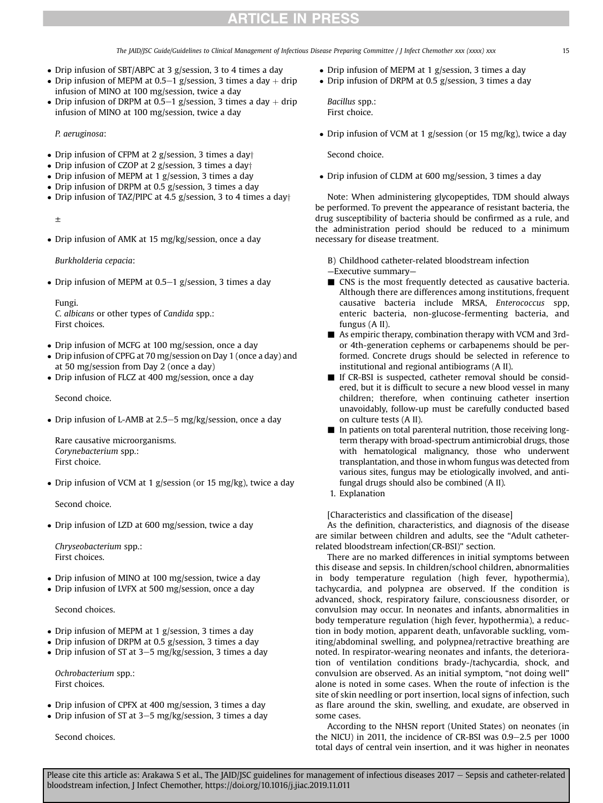The JAID/JSC Guide/Guidelines to Clinical Management of Infectious Disease Preparing Committee / J Infect Chemother xxx (xxxx) xxx 15

- Drip infusion of SBT/ABPC at 3 g/session, 3 to 4 times a day
- Drip infusion of MEPM at 0.5–1 g/session, 3 times a day  $+$  drip infusion of MINO at 100 mg/session, twice a day
- Drip infusion of DRPM at 0.5–1 g/session, 3 times a day  $+$  drip infusion of MINO at 100 mg/session, twice a day

P. aeruginosa:

- Drip infusion of CFPM at 2 g/session, 3 times a day $\dagger$
- Drip infusion of CZOP at 2 g/session, 3 times a day $\dagger$
- Drip infusion of MEPM at 1 g/session, 3 times a day
- Drip infusion of DRPM at 0.5 g/session, 3 times a day
- Drip infusion of TAZ/PIPC at 4.5 g/session, 3 to 4 times a day $\dagger$

±

• Drip infusion of AMK at 15 mg/kg/session, once a day

Burkholderia cepacia:

• Drip infusion of MEPM at  $0.5-1$  g/session, 3 times a day

Fungi. C. albicans or other types of Candida spp.: First choices.

- Drip infusion of MCFG at 100 mg/session, once a day
- Drip infusion of CPFG at 70 mg/session on Day 1 (once a day) and at 50 mg/session from Day 2 (once a day)
- Drip infusion of FLCZ at 400 mg/session, once a day

Second choice.

• Drip infusion of L-AMB at 2.5–5 mg/kg/session, once a day

Rare causative microorganisms. Corynebacterium spp.: First choice.

• Drip infusion of VCM at 1 g/session (or 15 mg/kg), twice a day

Second choice.

Drip infusion of LZD at 600 mg/session, twice a day

Chryseobacterium spp.: First choices.

- Drip infusion of MINO at 100 mg/session, twice a day
- Drip infusion of LVFX at 500 mg/session, once a day

Second choices.

- Drip infusion of MEPM at 1 g/session, 3 times a day
- Drip infusion of DRPM at 0.5 g/session, 3 times a day
- Drip infusion of ST at  $3-5$  mg/kg/session, 3 times a day

Ochrobacterium spp.: First choices.

- Drip infusion of CPFX at 400 mg/session, 3 times a day
- Drip infusion of ST at  $3-5$  mg/kg/session, 3 times a day

Second choices.

- Drip infusion of MEPM at 1 g/session, 3 times a day
- Drip infusion of DRPM at 0.5 g/session, 3 times a day

Bacillus spp.: First choice.

• Drip infusion of VCM at 1 g/session (or 15 mg/kg), twice a day

Second choice.

Drip infusion of CLDM at 600 mg/session, 3 times a day

Note: When administering glycopeptides, TDM should always be performed. To prevent the appearance of resistant bacteria, the drug susceptibility of bacteria should be confirmed as a rule, and the administration period should be reduced to a minimum necessary for disease treatment.

B) Childhood catheter-related bloodstream infection

—Executive summary—

- $\blacksquare$  CNS is the most frequently detected as causative bacteria. Although there are differences among institutions, frequent causative bacteria include MRSA, Enterococcus spp, enteric bacteria, non-glucose-fermenting bacteria, and fungus (A II).
- $\blacksquare$  As empiric therapy, combination therapy with VCM and 3rdor 4th-generation cephems or carbapenems should be performed. Concrete drugs should be selected in reference to institutional and regional antibiograms (A II).
- $\blacksquare$  If CR-BSI is suspected, catheter removal should be considered, but it is difficult to secure a new blood vessel in many children; therefore, when continuing catheter insertion unavoidably, follow-up must be carefully conducted based on culture tests (A II).
- $\blacksquare$  In patients on total parenteral nutrition, those receiving longterm therapy with broad-spectrum antimicrobial drugs, those with hematological malignancy, those who underwent transplantation, and those in whom fungus was detected from various sites, fungus may be etiologically involved, and antifungal drugs should also be combined (A II).
- 1. Explanation

[Characteristics and classification of the disease]

As the definition, characteristics, and diagnosis of the disease are similar between children and adults, see the "Adult catheterrelated bloodstream infection(CR-BSI)" section.

There are no marked differences in initial symptoms between this disease and sepsis. In children/school children, abnormalities in body temperature regulation (high fever, hypothermia), tachycardia, and polypnea are observed. If the condition is advanced, shock, respiratory failure, consciousness disorder, or convulsion may occur. In neonates and infants, abnormalities in body temperature regulation (high fever, hypothermia), a reduction in body motion, apparent death, unfavorable suckling, vomiting/abdominal swelling, and polypnea/retractive breathing are noted. In respirator-wearing neonates and infants, the deterioration of ventilation conditions brady-/tachycardia, shock, and convulsion are observed. As an initial symptom, "not doing well" alone is noted in some cases. When the route of infection is the site of skin needling or port insertion, local signs of infection, such as flare around the skin, swelling, and exudate, are observed in some cases.

According to the NHSN report (United States) on neonates (in the NICU) in 2011, the incidence of CR-BSI was  $0.9-2.5$  per 1000 total days of central vein insertion, and it was higher in neonates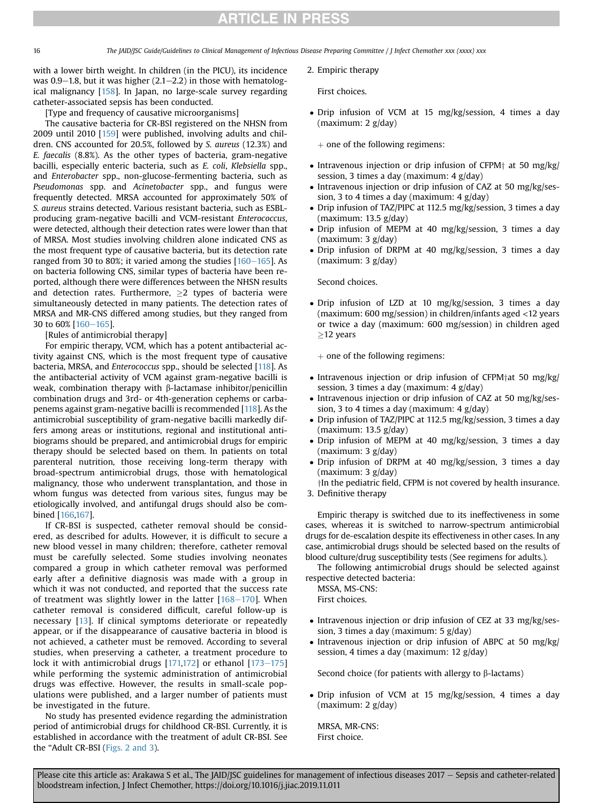16 The JAID/JSC Guide/Guidelines to Clinical Management of Infectious Disease Preparing Committee / J Infect Chemother xxx (xxxx) xxx

with a lower birth weight. In children (in the PICU), its incidence was  $0.9-1.8$ , but it was higher (2.1-2.2) in those with hematological malignancy [\[158\]](#page-19-33). In Japan, no large-scale survey regarding catheter-associated sepsis has been conducted.

[Type and frequency of causative microorganisms]

The causative bacteria for CR-BSI registered on the NHSN from 2009 until 2010 [[159](#page-19-34)] were published, involving adults and children. CNS accounted for 20.5%, followed by S. aureus (12.3%) and E. faecalis (8.8%). As the other types of bacteria, gram-negative bacilli, especially enteric bacteria, such as E. coli, Klebsiella spp., and Enterobacter spp., non-glucose-fermenting bacteria, such as Pseudomonas spp. and Acinetobacter spp., and fungus were frequently detected. MRSA accounted for approximately 50% of S. aureus strains detected. Various resistant bacteria, such as ESBLproducing gram-negative bacilli and VCM-resistant Enterococcus, were detected, although their detection rates were lower than that of MRSA. Most studies involving children alone indicated CNS as the most frequent type of causative bacteria, but its detection rate ranged from 30 to 80%; it varied among the studies  $[160-165]$  $[160-165]$  $[160-165]$  $[160-165]$ . As on bacteria following CNS, similar types of bacteria have been reported, although there were differences between the NHSN results and detection rates. Furthermore,  $\geq 2$  types of bacteria were simultaneously detected in many patients. The detection rates of MRSA and MR-CNS differed among studies, but they ranged from 30 to 60% [[160](#page-19-35)-[165](#page-19-35)].

[Rules of antimicrobial therapy]

For empiric therapy, VCM, which has a potent antibacterial activity against CNS, which is the most frequent type of causative bacteria, MRSA, and Enterococcus spp., should be selected [[118\]](#page-18-42). As the antibacterial activity of VCM against gram-negative bacilli is weak, combination therapy with  $\beta$ -lactamase inhibitor/penicillin combination drugs and 3rd- or 4th-generation cephems or carbapenems against gram-negative bacilli is recommended [\[118](#page-18-42)]. As the antimicrobial susceptibility of gram-negative bacilli markedly differs among areas or institutions, regional and institutional antibiograms should be prepared, and antimicrobial drugs for empiric therapy should be selected based on them. In patients on total parenteral nutrition, those receiving long-term therapy with broad-spectrum antimicrobial drugs, those with hematological malignancy, those who underwent transplantation, and those in whom fungus was detected from various sites, fungus may be etiologically involved, and antifungal drugs should also be combined [[166](#page-19-36)[,167](#page-19-37)].

If CR-BSI is suspected, catheter removal should be considered, as described for adults. However, it is difficult to secure a new blood vessel in many children; therefore, catheter removal must be carefully selected. Some studies involving neonates compared a group in which catheter removal was performed early after a definitive diagnosis was made with a group in which it was not conducted, and reported that the success rate of treatment was slightly lower in the latter  $[168-170]$  $[168-170]$  $[168-170]$  $[168-170]$  $[168-170]$ . When catheter removal is considered difficult, careful follow-up is necessary [[13](#page-17-3)]. If clinical symptoms deteriorate or repeatedly appear, or if the disappearance of causative bacteria in blood is not achieved, a catheter must be removed. According to several studies, when preserving a catheter, a treatment procedure to lock it with antimicrobial drugs  $[171,172]$  $[171,172]$  $[171,172]$  or ethanol  $[173-175]$  $[173-175]$  $[173-175]$  $[173-175]$ while performing the systemic administration of antimicrobial drugs was effective. However, the results in small-scale populations were published, and a larger number of patients must be investigated in the future.

No study has presented evidence regarding the administration period of antimicrobial drugs for childhood CR-BSI. Currently, it is established in accordance with the treatment of adult CR-BSI. See the "Adult CR-BSI ([Figs. 2 and 3](#page-12-0)).

2. Empiric therapy

First choices.

 Drip infusion of VCM at 15 mg/kg/session, 4 times a day (maximum: 2 g/day)

 $+$  one of the following regimens:

- Intravenous injection or drip infusion of CFPM $\dagger$  at 50 mg/kg/ session, 3 times a day (maximum: 4 g/day)
- Intravenous injection or drip infusion of CAZ at 50 mg/kg/session, 3 to 4 times a day (maximum: 4 g/day)
- Drip infusion of TAZ/PIPC at 112.5 mg/kg/session, 3 times a day (maximum: 13.5 g/day)
- Drip infusion of MEPM at 40 mg/kg/session, 3 times a day (maximum: 3 g/day)
- Drip infusion of DRPM at 40 mg/kg/session, 3 times a day (maximum: 3 g/day)

Second choices.

 Drip infusion of LZD at 10 mg/kg/session, 3 times a day (maximum: 600 mg/session) in children/infants aged <12 years or twice a day (maximum: 600 mg/session) in children aged  $\geq$ 12 years

 $+$  one of the following regimens:

- $\bullet$  Intravenous injection or drip infusion of CFPM<sup>†</sup>at 50 mg/kg/ session, 3 times a day (maximum: 4 g/day)
- Intravenous injection or drip infusion of CAZ at 50 mg/kg/session, 3 to 4 times a day (maximum: 4 g/day)
- Drip infusion of TAZ/PIPC at 112.5 mg/kg/session, 3 times a day (maximum: 13.5 g/day)
- Drip infusion of MEPM at 40 mg/kg/session, 3 times a day (maximum: 3 g/day)
- Drip infusion of DRPM at 40 mg/kg/session, 3 times a day (maximum: 3 g/day)
- <sup>†</sup>In the pediatric field, CFPM is not covered by health insurance. 3. Definitive therapy

Empiric therapy is switched due to its ineffectiveness in some cases, whereas it is switched to narrow-spectrum antimicrobial drugs for de-escalation despite its effectiveness in other cases. In any case, antimicrobial drugs should be selected based on the results of blood culture/drug susceptibility tests (See regimens for adults.).

The following antimicrobial drugs should be selected against respective detected bacteria:

MSSA, MS-CNS: First choices.

- Intravenous injection or drip infusion of CEZ at 33 mg/kg/session, 3 times a day (maximum: 5 g/day)
- $\bullet$  Intravenous injection or drip infusion of ABPC at 50 mg/kg/ session, 4 times a day (maximum: 12 g/day)

Second choice (for patients with allergy to  $\beta$ -lactams)

 Drip infusion of VCM at 15 mg/kg/session, 4 times a day (maximum: 2 g/day)

MRSA, MR-CNS: First choice.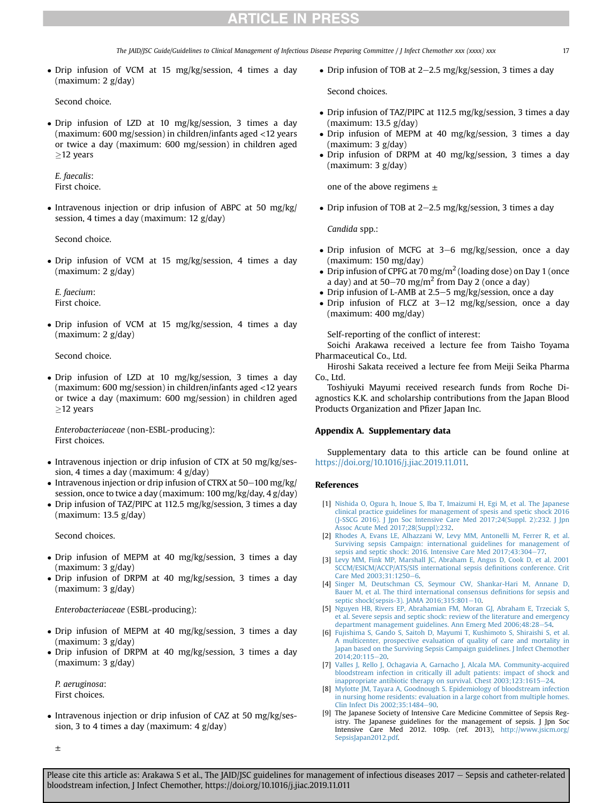The JAID/JSC Guide/Guidelines to Clinical Management of Infectious Disease Preparing Committee / J Infect Chemother xxx (xxxx) xxx 17

 Drip infusion of VCM at 15 mg/kg/session, 4 times a day (maximum: 2 g/day)

Second choice.

 Drip infusion of LZD at 10 mg/kg/session, 3 times a day (maximum: 600 mg/session) in children/infants aged <12 years or twice a day (maximum: 600 mg/session) in children aged  $\geq$ 12 years

E. faecalis: First choice.

 $\bullet$  Intravenous injection or drip infusion of ABPC at 50 mg/kg/ session, 4 times a day (maximum: 12 g/day)

Second choice.

 Drip infusion of VCM at 15 mg/kg/session, 4 times a day (maximum: 2 g/day)

E. faecium: First choice.

• Drip infusion of VCM at 15 mg/kg/session, 4 times a day (maximum: 2 g/day)

Second choice.

 Drip infusion of LZD at 10 mg/kg/session, 3 times a day (maximum: 600 mg/session) in children/infants aged <12 years or twice a day (maximum: 600 mg/session) in children aged  $\geq$ 12 years

Enterobacteriaceae (non-ESBL-producing): First choices.

- Intravenous injection or drip infusion of CTX at 50 mg/kg/session, 4 times a day (maximum: 4 g/day)
- $\bullet$  Intravenous injection or drip infusion of CTRX at 50-100 mg/kg/ session, once to twice a day (maximum: 100 mg/kg/day, 4 g/day)
- Drip infusion of TAZ/PIPC at 112.5 mg/kg/session, 3 times a day (maximum: 13.5 g/day)

Second choices.

- Drip infusion of MEPM at 40 mg/kg/session, 3 times a day (maximum: 3 g/day)
- Drip infusion of DRPM at 40 mg/kg/session, 3 times a day (maximum: 3 g/day)

Enterobacteriaceae (ESBL-producing):

- Drip infusion of MEPM at 40 mg/kg/session, 3 times a day (maximum: 3 g/day)
- Drip infusion of DRPM at 40 mg/kg/session, 3 times a day (maximum: 3 g/day)

P. aeruginosa: First choices.

• Intravenous injection or drip infusion of CAZ at 50 mg/kg/session, 3 to 4 times a day (maximum: 4 g/day)

• Drip infusion of TOB at  $2-2.5$  mg/kg/session, 3 times a day

Second choices.

- Drip infusion of TAZ/PIPC at 112.5 mg/kg/session, 3 times a day (maximum: 13.5 g/day)
- Drip infusion of MEPM at 40 mg/kg/session, 3 times a day (maximum: 3 g/day)
- Drip infusion of DRPM at 40 mg/kg/session, 3 times a day (maximum: 3 g/day)

one of the above regimens  $\pm$ 

• Drip infusion of TOB at 2–2.5 mg/kg/session, 3 times a day

Candida spp.:

- Drip infusion of MCFG at 3-6 mg/kg/session, once a day (maximum: 150 mg/day)
- Drip infusion of CPFG at 70 mg/m<sup>2</sup> (loading dose) on Day 1 (once a day) and at 50–70 mg/m<sup>2</sup> from Day 2 (once a day)
- Drip infusion of L-AMB at 2.5–5 mg/kg/session, once a day
- $\bullet$  Drip infusion of FLCZ at 3-12 mg/kg/session, once a day (maximum: 400 mg/day)

Self-reporting of the conflict of interest:

Soichi Arakawa received a lecture fee from Taisho Toyama Pharmaceutical Co., Ltd.

Hiroshi Sakata received a lecture fee from Meiji Seika Pharma Co., Ltd.

Toshiyuki Mayumi received research funds from Roche Diagnostics K.K. and scholarship contributions from the Japan Blood Products Organization and Pfizer Japan Inc.

#### Appendix A. Supplementary data

Supplementary data to this article can be found online at [https://doi.org/10.1016/j.jiac.2019.11.011.](https://doi.org/10.1016/j.jiac.2019.11.011)

#### References

- <span id="page-16-0"></span>[1] [Nishida O, Ogura h, Inoue S, Iba T, Imaizumi H, Egi M, et al. The Japanese](http://refhub.elsevier.com/S1341-321X(19)30368-X/sref1) [clinical practice guidelines for management of spesis and spetic shock 2016](http://refhub.elsevier.com/S1341-321X(19)30368-X/sref1) [\(J-SSCG 2016\). J Jpn Soc Intensive Care Med 2017;24\(Suppl. 2\):232. J Jpn](http://refhub.elsevier.com/S1341-321X(19)30368-X/sref1) [Assoc Acute Med 2017;28\(Suppl\):232](http://refhub.elsevier.com/S1341-321X(19)30368-X/sref1).
- <span id="page-16-1"></span>[2] [Rhodes A, Evans LE, Alhazzani W, Levy MM, Antonelli M, Ferrer R, et al.](http://refhub.elsevier.com/S1341-321X(19)30368-X/sref2) [Surviving sepsis Campaign: international guidelines for management of](http://refhub.elsevier.com/S1341-321X(19)30368-X/sref2) sepsis and septic shock: 2016. Intensive Care Med  $2017:43:304-77$  $2017:43:304-77$ .
- <span id="page-16-7"></span>[3] [Levy MM, Fink MP, Marshall JC, Abraham E, Angus D, Cook D, et al. 2001](http://refhub.elsevier.com/S1341-321X(19)30368-X/sref3) [SCCM/ESICM/ACCP/ATS/SIS international sepsis de](http://refhub.elsevier.com/S1341-321X(19)30368-X/sref3)finitions conference. Crit Care Med 2003:31:1250-[6.](http://refhub.elsevier.com/S1341-321X(19)30368-X/sref3)
- <span id="page-16-8"></span>[4] [Singer M, Deutschman CS, Seymour CW, Shankar-Hari M, Annane D,](http://refhub.elsevier.com/S1341-321X(19)30368-X/sref4) [Bauer M, et al. The third international consensus de](http://refhub.elsevier.com/S1341-321X(19)30368-X/sref4)finitions for sepsis and [septic shock\(sepsis-3\). JAMA 2016;315:801](http://refhub.elsevier.com/S1341-321X(19)30368-X/sref4)-[10.](http://refhub.elsevier.com/S1341-321X(19)30368-X/sref4)
- <span id="page-16-2"></span>[5] [Nguyen HB, Rivers EP, Abrahamian FM, Moran GJ, Abraham E, Trzeciak S,](http://refhub.elsevier.com/S1341-321X(19)30368-X/sref5) [et al. Severe sepsis and septic shock: review of the literature and emergency](http://refhub.elsevier.com/S1341-321X(19)30368-X/sref5) [department management guidelines. Ann Emerg Med 2006;48:28](http://refhub.elsevier.com/S1341-321X(19)30368-X/sref5)-[54](http://refhub.elsevier.com/S1341-321X(19)30368-X/sref5).
- <span id="page-16-3"></span>[6] [Fujishima S, Gando S, Saitoh D, Mayumi T, Kushimoto S, Shiraishi S, et al.](http://refhub.elsevier.com/S1341-321X(19)30368-X/sref6) [A multicenter, prospective evaluation of quality of care and mortality in](http://refhub.elsevier.com/S1341-321X(19)30368-X/sref6) [Japan based on the Surviving Sepsis Campaign guidelines. J Infect Chemother](http://refhub.elsevier.com/S1341-321X(19)30368-X/sref6)  $2014:20:115-20.$  $2014:20:115-20.$
- <span id="page-16-4"></span>[7] [Valles J, Rello J, Ochagavia A, Garnacho J, Alcala MA. Community-acquired](http://refhub.elsevier.com/S1341-321X(19)30368-X/sref7) [bloodstream infection in critically ill adult patients: impact of shock and](http://refhub.elsevier.com/S1341-321X(19)30368-X/sref7) [inappropriate antibiotic therapy on survival. Chest 2003;123:1615](http://refhub.elsevier.com/S1341-321X(19)30368-X/sref7)-[24.](http://refhub.elsevier.com/S1341-321X(19)30368-X/sref7)
- <span id="page-16-5"></span>[8] [Mylotte JM, Tayara A, Goodnough S. Epidemiology of bloodstream infection](http://refhub.elsevier.com/S1341-321X(19)30368-X/sref8) [in nursing home residents: evaluation in a large cohort from multiple homes.](http://refhub.elsevier.com/S1341-321X(19)30368-X/sref8) Clin Infect Dis 2002:35:1484-[90](http://refhub.elsevier.com/S1341-321X(19)30368-X/sref8).
- <span id="page-16-6"></span>[9] The Japanese Society of Intensive Care Medicine Committee of Sepsis Registry. The Japanese guidelines for the management of sepsis. J Jpn Soc Intensive Care Med 2012. 109p. (ref. 2013), [http://www.jsicm.org/](http://www.jsicm.org/SepsisJapan2012.pdf) [SepsisJapan2012.pdf](http://www.jsicm.org/SepsisJapan2012.pdf).

±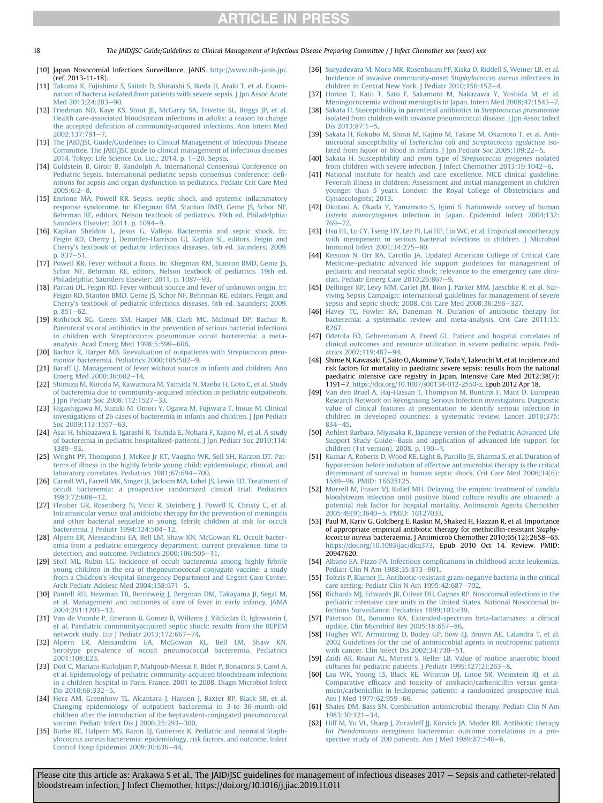18 The JAID/JSC Guide/Guidelines to Clinical Management of Infectious Disease Preparing Committee / J Infect Chemother xxx (xxxx) xxx

- <span id="page-17-0"></span>[10] Japan Nosocomial Infections Surveillance. JANIS. <http://www.nih-janis.jp/>. (ref. 2013-11-18).
- <span id="page-17-1"></span>[11] [Takuma K, Fujishima S, Saitoh D, Shiraishi S, Ikeda H, Araki T, et al. Exami](http://refhub.elsevier.com/S1341-321X(19)30368-X/sref11)[nation of bacteria isolated from patients with severe sepsis. J Jpn Assoc Acute](http://refhub.elsevier.com/S1341-321X(19)30368-X/sref11) Med 2013:24:283-[90.](http://refhub.elsevier.com/S1341-321X(19)30368-X/sref11)
- <span id="page-17-2"></span>[12] [Friedman ND, Kaye KS, Stout JE, McGarry SA, Trivette SL, Briggs JP, et al.](http://refhub.elsevier.com/S1341-321X(19)30368-X/sref12) [Health care-associated bloodstream infections in adults: a reason to change](http://refhub.elsevier.com/S1341-321X(19)30368-X/sref12) the accepted defi[nition of community-acquired infections. Ann Intern Med](http://refhub.elsevier.com/S1341-321X(19)30368-X/sref12)  $2002:137:791 - 7$ .
- <span id="page-17-3"></span>[13] [The JAID/JSC Guide/Guidelines to Clinical Management of Infectious Disease](http://refhub.elsevier.com/S1341-321X(19)30368-X/sref13) [Committee. The JAID/JSC guide to clinical management of infectious diseases](http://refhub.elsevier.com/S1341-321X(19)30368-X/sref13) 2014. Tokyo: Life Science Co. Ltd.; 2014. p.  $1-20$ . Sepsis.
- <span id="page-17-4"></span>[14] [Goldstein B, Giroir B, Randolph A. International Consensus Conference on](http://refhub.elsevier.com/S1341-321X(19)30368-X/sref14) [Pediatric Sepsis. International pediatric sepsis consensus conference: de](http://refhub.elsevier.com/S1341-321X(19)30368-X/sref14)fi[nitions for sepsis and organ dysfunction in pediatrics. Pediatr Crit Care Med](http://refhub.elsevier.com/S1341-321X(19)30368-X/sref14)  $2005:6:2-8.$  $2005:6:2-8.$
- <span id="page-17-5"></span>[15] Enrione MA, Powell KR, Sepsis, septic shock, and systemic inflammatory [response syndorome. In: Kliegman RM, Stanton BMD, Geme JS, Schor NF,](http://refhub.elsevier.com/S1341-321X(19)30368-X/sref15) [Behrman RE, editors. Nelson textbook of pediatrics. 19th ed. Philadelphia:](http://refhub.elsevier.com/S1341-321X(19)30368-X/sref15) [Saunders Elsevier; 2011. p. 1094](http://refhub.elsevier.com/S1341-321X(19)30368-X/sref15)-[9](http://refhub.elsevier.com/S1341-321X(19)30368-X/sref15).
- <span id="page-17-6"></span>[16] [Kaplian Sheldon L, Jesus G, Vallejo. Bacteremia and septic shock. In:](http://refhub.elsevier.com/S1341-321X(19)30368-X/sref16) [Feigin RD, Cherry J, Demmler-Harrison GJ, Kaplan SL, editors. Feigin and](http://refhub.elsevier.com/S1341-321X(19)30368-X/sref16) [Cherry's textbook of pediatric infectious diseases. 6th ed. Saunders; 2009.](http://refhub.elsevier.com/S1341-321X(19)30368-X/sref16)  $p. 837 - 51.$  $p. 837 - 51.$  $p. 837 - 51.$  $p. 837 - 51.$
- <span id="page-17-7"></span>[17] [Powell KR. Fever without a focus. In: Kliegman RM, Stanton BMD, Geme JS,](http://refhub.elsevier.com/S1341-321X(19)30368-X/sref17) [Schor NF, Behrman RE, editors. Nelson textbook of pediatrics. 19th ed.](http://refhub.elsevier.com/S1341-321X(19)30368-X/sref17) [Philadelphia: Saunders Elsevier; 2011. p. 1087](http://refhub.elsevier.com/S1341-321X(19)30368-X/sref17)-[93](http://refhub.elsevier.com/S1341-321X(19)30368-X/sref17).
- <span id="page-17-8"></span>[18] Parrati DL, Feigin RD, Fever without source and fever of unknown origin. In: [Feigin RD, Stanton BMD, Geme JS, Schor NF, Behrman RE, editors. Feigin and](http://refhub.elsevier.com/S1341-321X(19)30368-X/sref18) [Cherry's textbook of pediatric infectious diseases. 6th ed. Saunders; 2009.](http://refhub.elsevier.com/S1341-321X(19)30368-X/sref18)  $p. 851 - 62$  $p. 851 - 62$  $p. 851 - 62$
- <span id="page-17-9"></span>[19] [Rothrock SG, Green SM, Harper MB, Clark MC, Mcllmail DP, Bachur R.](http://refhub.elsevier.com/S1341-321X(19)30368-X/sref19) [Parenteral vs oral antibiotics in the prevention of serious bacterial infections](http://refhub.elsevier.com/S1341-321X(19)30368-X/sref19) [in children with Streptococcus pneumoniae occult bacteremia: a meta](http://refhub.elsevier.com/S1341-321X(19)30368-X/sref19)[analysis. Acad Emerg Med 1998;5:599](http://refhub.elsevier.com/S1341-321X(19)30368-X/sref19)-[606](http://refhub.elsevier.com/S1341-321X(19)30368-X/sref19).
- [20] [Bachur R, Harper MB. Reevaluation of outpatients with](http://refhub.elsevier.com/S1341-321X(19)30368-X/sref20) Streptococcus pneumoniae [bacteremia. Pediatrics 2000;105:502](http://refhub.elsevier.com/S1341-321X(19)30368-X/sref20)-[9.](http://refhub.elsevier.com/S1341-321X(19)30368-X/sref20)
- [21] [Baraff LJ. Management of fever without source in infants and children. Ann](http://refhub.elsevier.com/S1341-321X(19)30368-X/sref21) [Emerg Med 2000;36:602](http://refhub.elsevier.com/S1341-321X(19)30368-X/sref21)-[14](http://refhub.elsevier.com/S1341-321X(19)30368-X/sref21).
- <span id="page-17-10"></span>[22] [Shimizu M, Kuroda M, Kawamura M, Yamada N, Maeba H, Goto C, et al. Study](http://refhub.elsevier.com/S1341-321X(19)30368-X/sref22) [of bacteremia due to community-acquired infection in pediatric outpatients.](http://refhub.elsevier.com/S1341-321X(19)30368-X/sref22)<br>[J Jpn Pediatr Soc 2008;112:1527](http://refhub.elsevier.com/S1341-321X(19)30368-X/sref22)–[33](http://refhub.elsevier.com/S1341-321X(19)30368-X/sref22).
- [23] [Higashigawa M, Suzuki M, Omori Y, Ogawa M, Fujiwara T, Inoue M. Clinical](http://refhub.elsevier.com/S1341-321X(19)30368-X/sref23) [investigations of 26 cases of bacteremia in infants and children. J Jpn Pediatr](http://refhub.elsevier.com/S1341-321X(19)30368-X/sref23) Soc 2009:113:1557-[63.](http://refhub.elsevier.com/S1341-321X(19)30368-X/sref23)
- [24] [Asai H, Ishibazawa E, Igarashi K, Tsutida E, Nohara F, Kajino M, et al. A study](http://refhub.elsevier.com/S1341-321X(19)30368-X/sref24) [of bacteremia in pediatric hospitalized-patients. J Jpn Pediatr Soc 2010;114:](http://refhub.elsevier.com/S1341-321X(19)30368-X/sref24) [1389](http://refhub.elsevier.com/S1341-321X(19)30368-X/sref24)-[93](http://refhub.elsevier.com/S1341-321X(19)30368-X/sref24)
- <span id="page-17-11"></span>[25] [Wright PF, Thompson J, McKee Jr KT, Vaughn WK, Sell SH, Karzon DT. Pat](http://refhub.elsevier.com/S1341-321X(19)30368-X/sref25)[terns of illness in the highly febrile young child: epidemiologic, clinical, and](http://refhub.elsevier.com/S1341-321X(19)30368-X/sref25) [laboratory correlates. Pediatrics 1981;67:694](http://refhub.elsevier.com/S1341-321X(19)30368-X/sref25)-[700](http://refhub.elsevier.com/S1341-321X(19)30368-X/sref25).
- [26] [Carroll WL, Farrell MK, Singer JI, Jackson MA, Lobel JS, Lewis ED. Treatment of](http://refhub.elsevier.com/S1341-321X(19)30368-X/sref26) [occult bacteremia: a prospective randomized clinical trial. Pediatrics](http://refhub.elsevier.com/S1341-321X(19)30368-X/sref26) [1983;72:608](http://refhub.elsevier.com/S1341-321X(19)30368-X/sref26)-[12.](http://refhub.elsevier.com/S1341-321X(19)30368-X/sref26)
- [27] [Fleisher GR, Rosenberg N, Vinci R, Steinberg J, Powell K, Christy C, et al.](http://refhub.elsevier.com/S1341-321X(19)30368-X/sref27) [Intramuscular versus oral antibiotic therapy for the prevention of meningitis](http://refhub.elsevier.com/S1341-321X(19)30368-X/sref27) [and other bacterial sequelae in young, febrile children at risk for occult](http://refhub.elsevier.com/S1341-321X(19)30368-X/sref27) [bacteremia. J Pediatr 1994;124:504](http://refhub.elsevier.com/S1341-321X(19)30368-X/sref27)–[12](http://refhub.elsevier.com/S1341-321X(19)30368-X/sref27).
- <span id="page-17-12"></span>[28] [Alpern ER, Alessandrini EA, Bell LM, Shaw KN, McGowan KL. Occult bacter](http://refhub.elsevier.com/S1341-321X(19)30368-X/sref28)[emia from a pediatric emergency department: current prevalence, time to](http://refhub.elsevier.com/S1341-321X(19)30368-X/sref28) [detection, and outcome. Pediatrics 2000;106:505](http://refhub.elsevier.com/S1341-321X(19)30368-X/sref28)-[11](http://refhub.elsevier.com/S1341-321X(19)30368-X/sref28).
- [29] [Stoll ML, Rubin LG. Incidence of occult bacteremia among highly febrile](http://refhub.elsevier.com/S1341-321X(19)30368-X/sref29) [young children in the era of thepneumococcal conjugate vaccine: a study](http://refhub.elsevier.com/S1341-321X(19)30368-X/sref29) [from a Children's Hospital Emergency Department and Urgent Care Center.](http://refhub.elsevier.com/S1341-321X(19)30368-X/sref29) [Arch Pediatr Adolesc Med 2004;158:671](http://refhub.elsevier.com/S1341-321X(19)30368-X/sref29)-[5](http://refhub.elsevier.com/S1341-321X(19)30368-X/sref29).
- [30] [Pantell RH, Newman TB, Bernzweig J, Bergman DM, Takayama JI, Segal M,](http://refhub.elsevier.com/S1341-321X(19)30368-X/sref30) [et al. Management and outcomes of care of fever in early infancy. JAMA](http://refhub.elsevier.com/S1341-321X(19)30368-X/sref30) 2004:291:1203-[12.](http://refhub.elsevier.com/S1341-321X(19)30368-X/sref30)
- <span id="page-17-13"></span>[31] [Van de Voorde P, Emerson B, Gomez B, Willems J, Yildizdas D, Iglowstein I,](http://refhub.elsevier.com/S1341-321X(19)30368-X/sref31) [et al. Paediatric communityacquired septic shock: results from the REPEM](http://refhub.elsevier.com/S1341-321X(19)30368-X/sref31) [network study. Eur J Pediatr 2013;172:667](http://refhub.elsevier.com/S1341-321X(19)30368-X/sref31)-[74.](http://refhub.elsevier.com/S1341-321X(19)30368-X/sref31)
- <span id="page-17-14"></span>[32] [Alpern ER, Alessandrini EA, McGowan KL, Bell LM, Shaw KN.](http://refhub.elsevier.com/S1341-321X(19)30368-X/sref32) [Serotype prevalence of occult pneumococcal bacteremia. Pediatrics](http://refhub.elsevier.com/S1341-321X(19)30368-X/sref32) [2001;108:E23](http://refhub.elsevier.com/S1341-321X(19)30368-X/sref32).
- <span id="page-17-15"></span>[33] [Doit C, Mariani-Kurkdjian P, Mahjoub-Messai F, Bidet P, Bonacorsi S, Carol A,](http://refhub.elsevier.com/S1341-321X(19)30368-X/sref33) [et al. Epidemiology of pediatric community-acquired bloodstream infections](http://refhub.elsevier.com/S1341-321X(19)30368-X/sref33) [in a children hospital in Paris, France, 2001 to 2008. Diagn Microbiol Infect](http://refhub.elsevier.com/S1341-321X(19)30368-X/sref33) [Dis 2010;66:332](http://refhub.elsevier.com/S1341-321X(19)30368-X/sref33)-[5.](http://refhub.elsevier.com/S1341-321X(19)30368-X/sref33)
- <span id="page-17-16"></span>[34] [Herz AM, Greenhow TL, Alcantara J, Hansen J, Baxter RP, Black SB, et al.](http://refhub.elsevier.com/S1341-321X(19)30368-X/sref34) [Changing epidemiology of outpatient bacteremia in 3-to 36-month-old](http://refhub.elsevier.com/S1341-321X(19)30368-X/sref34) [children after the introduction of the heptavalent-conjugated pneumococcal](http://refhub.elsevier.com/S1341-321X(19)30368-X/sref34) vaccine. Pediatr Infect Dis J  $2006;25:293-300$  $2006;25:293-300$ .
- <span id="page-17-17"></span>[35] [Burke RE, Halpern MS, Baron EJ, Gutierrez K. Pediatric and neonatal Staph](http://refhub.elsevier.com/S1341-321X(19)30368-X/sref35)[ylococcus aureus bacteremia: epidemiology, risk factors, and outcome. Infect](http://refhub.elsevier.com/S1341-321X(19)30368-X/sref35) [Control Hosp Epidemiol 2009;30:636](http://refhub.elsevier.com/S1341-321X(19)30368-X/sref35)-[44](http://refhub.elsevier.com/S1341-321X(19)30368-X/sref35).
- <span id="page-17-18"></span>[36] [Suryadevara M, Moro MR, Rosenbaum PF, Kiska D, Riddell S, Weiner LB, et al.](http://refhub.elsevier.com/S1341-321X(19)30368-X/sref36) [Incidence of invasive community-onset](http://refhub.elsevier.com/S1341-321X(19)30368-X/sref36) Staphylococcus aureus infections in children in Central New York. J Pediatr  $2010;156:152-4$  $2010;156:152-4$ .
- <span id="page-17-19"></span>[37] [Horino T, Kato T, Sato F, Sakamoto M, Nakazawa Y, Yoshida M, et al.](http://refhub.elsevier.com/S1341-321X(19)30368-X/sref37) [Meningococcemia without meningitis in Japan. Intern Med 2008;47:1543](http://refhub.elsevier.com/S1341-321X(19)30368-X/sref37)-[7](http://refhub.elsevier.com/S1341-321X(19)30368-X/sref37).
- <span id="page-17-20"></span>[38] [Sakata H. Susceptibility in parenteral antibiotics in](http://refhub.elsevier.com/S1341-321X(19)30368-X/sref38) Streptococcus pneumoniae isolated from children with invasive pneumococcal disease. I Ipn Assoc Infect Dis  $2013:87:1-5$  $2013:87:1-5$ .
- <span id="page-17-21"></span>[39] [Sakata H, Kokubo M, Shirai M, Kajino M, Takase M, Okamoto T, et al. Anti](http://refhub.elsevier.com/S1341-321X(19)30368-X/sref39)[microbial susceptibility of](http://refhub.elsevier.com/S1341-321X(19)30368-X/sref39) Escherichia coli and Streptococcus agalactiae iso[lated from liquor or blood in infants. J Jpn Pediatr Soc 2005;109:22](http://refhub.elsevier.com/S1341-321X(19)30368-X/sref39)-[5.](http://refhub.elsevier.com/S1341-321X(19)30368-X/sref39)<br>
[40] [Sakata H. Susceptibility and](http://refhub.elsevier.com/S1341-321X(19)30368-X/sref40) emm type of Streptococcus pyogenes isolated
- <span id="page-17-22"></span>[from children with severe infection. J Infect Chemother 2013;19:1042](http://refhub.elsevier.com/S1341-321X(19)30368-X/sref40)-[6.](http://refhub.elsevier.com/S1341-321X(19)30368-X/sref40)
- <span id="page-17-23"></span>[41] [National institute for health and care excellence. NICE clinical guideline.](http://refhub.elsevier.com/S1341-321X(19)30368-X/sref41) [Feverish illness in children: Assessment and initial management in children](http://refhub.elsevier.com/S1341-321X(19)30368-X/sref41) [younger than 5 years. London: the Royal College of Obstetricians and](http://refhub.elsevier.com/S1341-321X(19)30368-X/sref41) [Gynaecologists; 2013.](http://refhub.elsevier.com/S1341-321X(19)30368-X/sref41)
- <span id="page-17-24"></span>[42] [Okutani A, Okada Y, Yamamoto S, Igimi S. Nationwide survey of human](http://refhub.elsevier.com/S1341-321X(19)30368-X/sref42) Listeria monocytogenes [infection in Japan. Epidemiol Infect 2004;132:](http://refhub.elsevier.com/S1341-321X(19)30368-X/sref42) [769](http://refhub.elsevier.com/S1341-321X(19)30368-X/sref42)-72
- <span id="page-17-25"></span>[43] [Hsu HL, Lu CY, Tseng HY, Lee PI, Lai HP, Lin WC, et al. Empirical monotherapy](http://refhub.elsevier.com/S1341-321X(19)30368-X/sref43) [with meropenem in serious bacterial infections in children. J Microbiol](http://refhub.elsevier.com/S1341-321X(19)30368-X/sref43) Immunol Infect 2001:34:275-[80](http://refhub.elsevier.com/S1341-321X(19)30368-X/sref43).
- <span id="page-17-26"></span>[44] [Kissoon N, Orr RA, Carcillo JA. Updated American College of Critical Care](http://refhub.elsevier.com/S1341-321X(19)30368-X/sref44) Medicine–[pediatric advanced life support guidelines for management of](http://refhub.elsevier.com/S1341-321X(19)30368-X/sref44) [pediatric and neonatal septic shock: relevance to the emergency care clini](http://refhub.elsevier.com/S1341-321X(19)30368-X/sref44)[cian. Pediatr Emerg Care 2010;26:867](http://refhub.elsevier.com/S1341-321X(19)30368-X/sref44)–[9](http://refhub.elsevier.com/S1341-321X(19)30368-X/sref44).<br>
[45] [Dellinger RP, Levy MM, Carlet JM, Bion J, Parker MM, Jaeschke R, et al. Sur-](http://refhub.elsevier.com/S1341-321X(19)30368-X/sref45)
- <span id="page-17-27"></span>[viving Sepsis Campaign: international guidelines for management of severe](http://refhub.elsevier.com/S1341-321X(19)30368-X/sref45) [sepsis and septic shock: 2008. Crit Care Med 2008;36:296](http://refhub.elsevier.com/S1341-321X(19)30368-X/sref45)-[327.](http://refhub.elsevier.com/S1341-321X(19)30368-X/sref45)
- <span id="page-17-28"></span>[46] [Havey TC, Fowler RA, Daneman N. Duration of antibiotic therapy for](http://refhub.elsevier.com/S1341-321X(19)30368-X/sref46) [bacteremia: a systematic review and meta-analysis. Crit Care 2011;15:](http://refhub.elsevier.com/S1341-321X(19)30368-X/sref46) [R267](http://refhub.elsevier.com/S1341-321X(19)30368-X/sref46).
- <span id="page-17-29"></span>[47] [Odetola FO, Gebremariam A, Freed GL. Patient and hospital correlates of](http://refhub.elsevier.com/S1341-321X(19)30368-X/sref47) [clinical outcomes and resource utilization in severe pediatric sepsis. Pedi-](http://refhub.elsevier.com/S1341-321X(19)30368-X/sref47)atrics 2007:119:487-[94](http://refhub.elsevier.com/S1341-321X(19)30368-X/sref47).
- <span id="page-17-30"></span>[48] Shime N, Kawasaki T, Saito O, Akamine Y, Toda Y, Takeuchi M, et al. Incidence and risk factors for mortality in paediatric severe sepsis: results from the national paediatric intensive care registry in Japan. Intensive Care Med 2012;38(7): 1191e7. <https://doi.org/10.1007/s00134-012-2550-z>. Epub 2012 Apr 18.
- <span id="page-17-31"></span>[49] [Van den Bruel A, Haj-Hassan T, Thompson M, Buntinx F, Mant D. European](http://refhub.elsevier.com/S1341-321X(19)30368-X/sref49) [Research Network on Recognising Serious Infection investigators. Diagnostic](http://refhub.elsevier.com/S1341-321X(19)30368-X/sref49) [value of clinical features at presentation to identify serious infection in](http://refhub.elsevier.com/S1341-321X(19)30368-X/sref49) [children in developed countries: a systematic review. Lancet 2010;375:](http://refhub.elsevier.com/S1341-321X(19)30368-X/sref49)  $834 - 45.$  $834 - 45.$  $834 - 45.$
- <span id="page-17-32"></span>[50] [Aehlert Barbara, Miyasaka K. Japanese version of the Pediatric Advanced Life](http://refhub.elsevier.com/S1341-321X(19)30368-X/sref50) Support Study Guide—[Basis and application of advanced life support for](http://refhub.elsevier.com/S1341-321X(19)30368-X/sref50) [children \(1st version\). 2008. p. 190](http://refhub.elsevier.com/S1341-321X(19)30368-X/sref50)-[3.](http://refhub.elsevier.com/S1341-321X(19)30368-X/sref50)
- <span id="page-17-33"></span>[51] [Kumar A, Roberts D, Wood KE, Light B, Parrillo JE, Sharma S, et al. Duration of](http://refhub.elsevier.com/S1341-321X(19)30368-X/sref51) [hypotension before initiation of effective antimicrobial therapy is the critical](http://refhub.elsevier.com/S1341-321X(19)30368-X/sref51) [determinant of survival in human septic shock. Crit Care Med 2006;34\(6\):](http://refhub.elsevier.com/S1341-321X(19)30368-X/sref51) [1589](http://refhub.elsevier.com/S1341-321X(19)30368-X/sref51)-96. PMID: 16625125
- <span id="page-17-34"></span>[52] [Morrell M, Fraser VJ, Kollef MH. Delaying the empiric treatment of candida](http://refhub.elsevier.com/S1341-321X(19)30368-X/sref52) [bloodstream infection until positive blood culture results are obtained: a](http://refhub.elsevier.com/S1341-321X(19)30368-X/sref52) [potential risk factor for hospital mortality. Antimicrob Agents Chemother](http://refhub.elsevier.com/S1341-321X(19)30368-X/sref52) [2005;49\(9\):3640](http://refhub.elsevier.com/S1341-321X(19)30368-X/sref52)-[5. PMID: 16127033.](http://refhub.elsevier.com/S1341-321X(19)30368-X/sref52)
- <span id="page-17-35"></span>[53] Paul M, Kariv G, Goldberg E, Raskin M, Shaked H, Hazzan R, et al. Importance of appropriate empirical antibiotic therapy for methicillin-resistant Staphylococcus aureus bacteraemia. J Antimicrob Chemother 2010;65(12):2658-65. [https://doi.org/10.1093/jac/dkq373.](https://doi.org/10.1093/jac/dkq373) Epub 2010 Oct 14. Review. PMID: 20947620.
- <span id="page-17-36"></span>[54] [Albano EA, Pizzo PA. Infectious complications in childhood acute leukemias.](http://refhub.elsevier.com/S1341-321X(19)30368-X/sref54) [Pediatr Clin N Am 1988;35:873](http://refhub.elsevier.com/S1341-321X(19)30368-X/sref54)-[901](http://refhub.elsevier.com/S1341-321X(19)30368-X/sref54).
- [55] [Toltzis P, Blumer JL. Antibiotic-resistant gram-negative bacteria in the critical](http://refhub.elsevier.com/S1341-321X(19)30368-X/sref55) care setting. Pediatr Clin N Am  $1995;42:687-702$  $1995;42:687-702$ .
- [56] [Richards MJ, Edwards JR, Culver DH, Gaynes RP. Nosocomial infections in the](http://refhub.elsevier.com/S1341-321X(19)30368-X/sref56) [pediatric intensive care units in the United States. National Nosocomial In](http://refhub.elsevier.com/S1341-321X(19)30368-X/sref56)[fections Surveillance. Pediatrics 1999;103:e39.](http://refhub.elsevier.com/S1341-321X(19)30368-X/sref56)
- <span id="page-17-37"></span>[57] [Paterson DL, Bonomo RA. Extended-spectrum beta-lactamases: a clinical](http://refhub.elsevier.com/S1341-321X(19)30368-X/sref57) [update. Clin Microbiol Rev 2005;18:657](http://refhub.elsevier.com/S1341-321X(19)30368-X/sref57)-[86](http://refhub.elsevier.com/S1341-321X(19)30368-X/sref57).
- <span id="page-17-38"></span>[58] [Hughes WT, Armstrong D, Bodey GP, Bow EJ, Brown AE, Calandra T, et al.](http://refhub.elsevier.com/S1341-321X(19)30368-X/sref58) [2002 Guidelines for the use of antimicrobial agents in neutropenic patients](http://refhub.elsevier.com/S1341-321X(19)30368-X/sref58) with cancer. Clin Infect Dis  $2002;34:730-51$ .
- <span id="page-17-39"></span>[59] [Zaidi AK, Knaut AL, Mirrett S, Reller LB. Value of routine anaerobic blood](http://refhub.elsevier.com/S1341-321X(19)30368-X/sref59) cultures for pediatric patients. J Pediatr  $1995;127(2):263-8$ .
- <span id="page-17-40"></span>[60] [Lau WK, Young LS, Black RE, Winston DJ, Linne SR, Weinstein RJ, et al.](http://refhub.elsevier.com/S1341-321X(19)30368-X/sref60) Comparative effi[cacy and toxicity of amikacin/carbenicillin versus genta](http://refhub.elsevier.com/S1341-321X(19)30368-X/sref60)[micin/carbenicillin in leukopenic patients: a randomized prospective trial.](http://refhub.elsevier.com/S1341-321X(19)30368-X/sref60) [Am J Med 1977;62:959](http://refhub.elsevier.com/S1341-321X(19)30368-X/sref60)-[66.](http://refhub.elsevier.com/S1341-321X(19)30368-X/sref60)
- <span id="page-17-41"></span>[61] [Shales DM, Bass SN. Combination antimicrobial therapy. Pediatr Clin N Am](http://refhub.elsevier.com/S1341-321X(19)30368-X/sref61) [1983;30:121](http://refhub.elsevier.com/S1341-321X(19)30368-X/sref61)-[34.](http://refhub.elsevier.com/S1341-321X(19)30368-X/sref61)
- <span id="page-17-42"></span>[62] [Hilf M, Yu VL, Sharp J, Zuravleff JJ, Korvick JA, Muder RR. Antibiotic therapy](http://refhub.elsevier.com/S1341-321X(19)30368-X/sref62) for Pseudomonas aeruginosa [bacteremia: outcome correlations in a pro](http://refhub.elsevier.com/S1341-321X(19)30368-X/sref62)[spective study of 200 patients. Am J Med 1989;87:540](http://refhub.elsevier.com/S1341-321X(19)30368-X/sref62)-[6.](http://refhub.elsevier.com/S1341-321X(19)30368-X/sref62)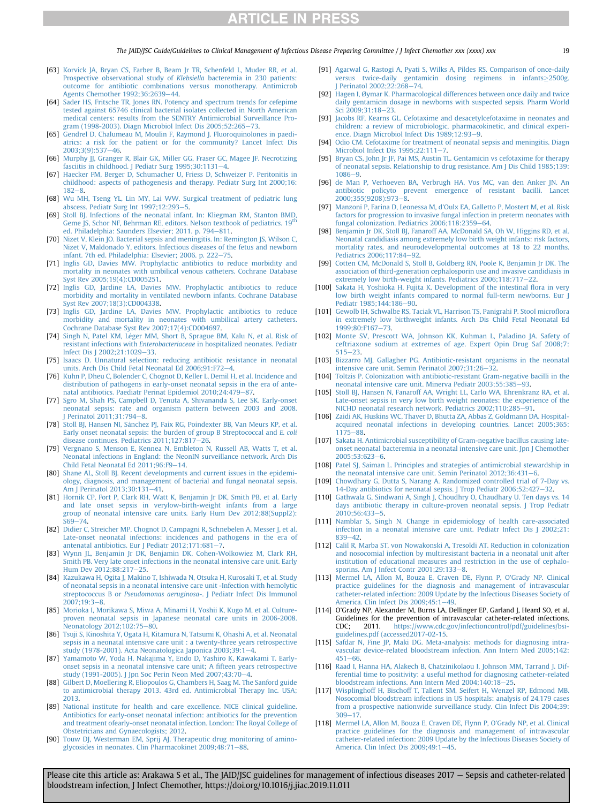The JAID/JSC Guide/Guidelines to Clinical Management of Infectious Disease Preparing Committee / I Infect Chemother xxx (xxxx) xxx 193

- <span id="page-18-0"></span>[63] [Korvick JA, Bryan CS, Farber B, Beam Jr TR, Schenfeld L, Muder RR, et al.](http://refhub.elsevier.com/S1341-321X(19)30368-X/sref63) [Prospective observational study of](http://refhub.elsevier.com/S1341-321X(19)30368-X/sref63) Klebsiella bacteremia in 230 patients: [outcome for antibiotic combinations versus monotherapy. Antimicrob](http://refhub.elsevier.com/S1341-321X(19)30368-X/sref63) [Agents Chemother 1992;36:2639](http://refhub.elsevier.com/S1341-321X(19)30368-X/sref63)-[44](http://refhub.elsevier.com/S1341-321X(19)30368-X/sref63).
- <span id="page-18-1"></span>[64] [Sader HS, Fritsche TR, Jones RN. Potency and spectrum trends for cefepime](http://refhub.elsevier.com/S1341-321X(19)30368-X/sref64) [tested against 65746 clinical bacterial isolates collected in North American](http://refhub.elsevier.com/S1341-321X(19)30368-X/sref64) [medical centers: results from the SENTRY Antimicrobial Surveillance Pro-](http://refhub.elsevier.com/S1341-321X(19)30368-X/sref64)gram (1998-2003). Diagn Microbiol Infect Dis 2005:52:265-[73](http://refhub.elsevier.com/S1341-321X(19)30368-X/sref64).
- <span id="page-18-2"></span>[65] [Gendrel D, Chalumeau M, Moulin F, Raymond J. Fluoroquinolones in paedi](http://refhub.elsevier.com/S1341-321X(19)30368-X/sref65)[atrics: a risk for the patient or for the community? Lancet Infect Dis](http://refhub.elsevier.com/S1341-321X(19)30368-X/sref65) 2003:3(9):537-[46](http://refhub.elsevier.com/S1341-321X(19)30368-X/sref65).
- <span id="page-18-3"></span>[66] Murphy JJ, Granger R, Blair GK, Miller GG, Fraser GC, Magee JF, Necrotizing fasciitis in childhood. J Pediatr Surg  $1995;30:1131-4$ .
- <span id="page-18-4"></span>[67] [Haecker FM, Berger D, Schumacher U, Friess D, Schweizer P. Peritonitis in](http://refhub.elsevier.com/S1341-321X(19)30368-X/sref67) [childhood: aspects of pathogenesis and therapy. Pediatr Surg Int 2000;16:](http://refhub.elsevier.com/S1341-321X(19)30368-X/sref67)  $182 - 8$  $182 - 8$  $182 - 8$
- <span id="page-18-5"></span>[68] [Wu MH, Tseng YL, Lin MY, Lai WW. Surgical treatment of pediatric lung](http://refhub.elsevier.com/S1341-321X(19)30368-X/sref68) abscess. Pediatr Surg Int  $1997:12:293-5$  $1997:12:293-5$ .
- <span id="page-18-6"></span>[69] [Stoll BJ. Infections of the neonatal infant. In: Kliegman RM, Stanton BMD,](http://refhub.elsevier.com/S1341-321X(19)30368-X/sref69) [Geme](http://refhub.elsevier.com/S1341-321X(19)30368-X/sref69) [JS,](http://refhub.elsevier.com/S1341-321X(19)30368-X/sref69) [Schor](http://refhub.elsevier.com/S1341-321X(19)30368-X/sref69) [NF,](http://refhub.elsevier.com/S1341-321X(19)30368-X/sref69) [Behrman](http://refhub.elsevier.com/S1341-321X(19)30368-X/sref69) [RE,](http://refhub.elsevier.com/S1341-321X(19)30368-X/sref69) [editors.](http://refhub.elsevier.com/S1341-321X(19)30368-X/sref69) [Nelson](http://refhub.elsevier.com/S1341-321X(19)30368-X/sref69) [textbook](http://refhub.elsevier.com/S1341-321X(19)30368-X/sref69) [of](http://refhub.elsevier.com/S1341-321X(19)30368-X/sref69) [pediatrics.](http://refhub.elsevier.com/S1341-321X(19)30368-X/sref69) [19](http://refhub.elsevier.com/S1341-321X(19)30368-X/sref69)<sup>th</sup> [ed. Philadelphia: Saunders Elsevier; 2011. p. 794](http://refhub.elsevier.com/S1341-321X(19)30368-X/sref69)-[811.](http://refhub.elsevier.com/S1341-321X(19)30368-X/sref69)
- <span id="page-18-7"></span>[70] [Nizet V, Klein JO. Bacterial sepsis and meningitis. In: Remington JS, Wilson C,](http://refhub.elsevier.com/S1341-321X(19)30368-X/sref70) [Nizet V, Maldonado Y, editors. Infectious diseases of the fetus and newborn](http://refhub.elsevier.com/S1341-321X(19)30368-X/sref70) [infant. 7th ed. Philadelphia: Elsevier; 2006. p. 222](http://refhub.elsevier.com/S1341-321X(19)30368-X/sref70)-[75](http://refhub.elsevier.com/S1341-321X(19)30368-X/sref70).
- <span id="page-18-8"></span>[71] [Inglis GD, Davies MW. Prophylactic antibiotics to reduce morbidity and](http://refhub.elsevier.com/S1341-321X(19)30368-X/sref71) [mortality in neonates with umbilical venous catheters. Cochrane Database](http://refhub.elsevier.com/S1341-321X(19)30368-X/sref71) [Syst Rev 2005;19\(4\):CD005251.](http://refhub.elsevier.com/S1341-321X(19)30368-X/sref71)
- [72] [Inglis GD, Jardine LA, Davies MW. Prophylactic antibiotics to reduce](http://refhub.elsevier.com/S1341-321X(19)30368-X/sref72) [morbidity and mortality in ventilated newborn infants. Cochrane Database](http://refhub.elsevier.com/S1341-321X(19)30368-X/sref72) [Syst Rev 2007;18\(3\):CD004338.](http://refhub.elsevier.com/S1341-321X(19)30368-X/sref72)
- [73] [Inglis GD, Jardine LA, Davies MW. Prophylactic antibiotics to reduce](http://refhub.elsevier.com/S1341-321X(19)30368-X/sref73) [morbidity and mortality in neonates with umbilical artery catheters.](http://refhub.elsevier.com/S1341-321X(19)30368-X/sref73) [Cochrane Database Syst Rev 2007;17\(4\):CD004697.](http://refhub.elsevier.com/S1341-321X(19)30368-X/sref73)
- <span id="page-18-9"></span>[74] Singh N, Patel KM, Léger MM, Short B, Sprague BM, Kalu N, et al. Risk of resistant infections with Enterobacteriaceae [in hospitalized neonates. Pediatr](http://refhub.elsevier.com/S1341-321X(19)30368-X/sref74) [Infect Dis J 2002;21:1029](http://refhub.elsevier.com/S1341-321X(19)30368-X/sref74)-[33.](http://refhub.elsevier.com/S1341-321X(19)30368-X/sref74)
- <span id="page-18-10"></span>[75] [Isaacs D. Unnatural selection: reducing antibiotic resistance in neonatal](http://refhub.elsevier.com/S1341-321X(19)30368-X/sref75) [units. Arch Dis Child Fetal Neonatal Ed 2006;91:F72](http://refhub.elsevier.com/S1341-321X(19)30368-X/sref75)-[4](http://refhub.elsevier.com/S1341-321X(19)30368-X/sref75).
- <span id="page-18-11"></span>[76] [Kuhn P, Dheu C, Bolender C, Chognot D, Keller L, Demil H, et al. Incidence and](http://refhub.elsevier.com/S1341-321X(19)30368-X/sref76) [distribution of pathogens in early-onset neonatal sepsis in the era of ante](http://refhub.elsevier.com/S1341-321X(19)30368-X/sref76)[natal antibiotics. Paediatr Perinat Epidemiol 2010;24:479](http://refhub.elsevier.com/S1341-321X(19)30368-X/sref76)-[87](http://refhub.elsevier.com/S1341-321X(19)30368-X/sref76).
- [77] [Sgro M, Shah PS, Campbell D, Tenuta A, Shivananda S, Lee SK. Early-onset](http://refhub.elsevier.com/S1341-321X(19)30368-X/sref77) [neonatal sepsis: rate and organism pattern between 2003 and 2008.](http://refhub.elsevier.com/S1341-321X(19)30368-X/sref77) Perinatol 2011;31:794-[8.](http://refhub.elsevier.com/S1341-321X(19)30368-X/sref77)
- [78] [Stoll BJ, Hansen NI, S](http://refhub.elsevier.com/S1341-321X(19)30368-X/sref78)ánchez PJ, Faix RG, Poindexter BB, Van Meurs KP, et al. [Early onset neonatal sepsis: the burden of group B Streptococcal and](http://refhub.elsevier.com/S1341-321X(19)30368-X/sref78) E. coli [disease continues. Pediatrics 2011;127:817](http://refhub.elsevier.com/S1341-321X(19)30368-X/sref78)-[26](http://refhub.elsevier.com/S1341-321X(19)30368-X/sref78).
- [79] [Vergnano S, Menson E, Kennea N, Embleton N, Russell AB, Watts T, et al.](http://refhub.elsevier.com/S1341-321X(19)30368-X/sref79) [Neonatal infections in England: the NeonIN surveillance network. Arch Dis](http://refhub.elsevier.com/S1341-321X(19)30368-X/sref79) Child Fetal Neonatal Ed  $2011;96:$ F9-[14](http://refhub.elsevier.com/S1341-321X(19)30368-X/sref79).
- <span id="page-18-12"></span>[80] [Shane AL, Stoll BJ. Recent developments and current issues in the epidemi](http://refhub.elsevier.com/S1341-321X(19)30368-X/sref80)[ology, diagnosis, and management of bacterial and fungal neonatal sepsis.](http://refhub.elsevier.com/S1341-321X(19)30368-X/sref80) [Am J Perinatol 2013;30:131](http://refhub.elsevier.com/S1341-321X(19)30368-X/sref80)-[41.](http://refhub.elsevier.com/S1341-321X(19)30368-X/sref80)
- [81] [Hornik CP, Fort P, Clark RH, Watt K, Benjamin Jr DK, Smith PB, et al. Early](http://refhub.elsevier.com/S1341-321X(19)30368-X/sref81) [and late onset sepsis in verylow-birth-weight infants from a large](http://refhub.elsevier.com/S1341-321X(19)30368-X/sref81) [group of neonatal intensive care units. Early Hum Dev 2012;88\(Suppl2\):](http://refhub.elsevier.com/S1341-321X(19)30368-X/sref81)  $S69 - 74$  $S69 - 74$
- [82] [Didier C, Streicher MP, Chognot D, Campagni R, Schnebelen A, Messer J, et al.](http://refhub.elsevier.com/S1341-321X(19)30368-X/sref82) [Late-onset neonatal infections: incidences and pathogens in the era of](http://refhub.elsevier.com/S1341-321X(19)30368-X/sref82) [antenatal antibiotics. Eur J Pediatr 2012;171:681](http://refhub.elsevier.com/S1341-321X(19)30368-X/sref82)-
- [83] [Wynn JL, Benjamin Jr DK, Benjamin DK, Cohen-Wolkowiez M, Clark RH,](http://refhub.elsevier.com/S1341-321X(19)30368-X/sref83) [Smith PB. Very late onset infections in the neonatal intensive care unit. Early](http://refhub.elsevier.com/S1341-321X(19)30368-X/sref83) [Hum Dev 2012;88:217](http://refhub.elsevier.com/S1341-321X(19)30368-X/sref83)-[25.](http://refhub.elsevier.com/S1341-321X(19)30368-X/sref83)
- <span id="page-18-13"></span>[84] [Kazukawa H, Ogita J, Makino T, Ishiwada N, Otsuka H, Kurosaki T, et al. Study](http://refhub.elsevier.com/S1341-321X(19)30368-X/sref84) [of neonatal sepsis in a neonatal intensive care unit -Infection with hemolytic](http://refhub.elsevier.com/S1341-321X(19)30368-X/sref84) streptococcus B or Pseudomonas aeruginosa[-. J Pediatr Infect Dis Immunol](http://refhub.elsevier.com/S1341-321X(19)30368-X/sref84)  $2007:19:3-8$  $2007:19:3-8$
- [85] [Morioka I, Morikawa S, Miwa A, Minami H, Yoshii K, Kugo M, et al. Culture](http://refhub.elsevier.com/S1341-321X(19)30368-X/sref85)[proven neonatal sepsis in Japanese neonatal care units in 2006-2008.](http://refhub.elsevier.com/S1341-321X(19)30368-X/sref85) [Neonatology 2012;102:75](http://refhub.elsevier.com/S1341-321X(19)30368-X/sref85)-[80](http://refhub.elsevier.com/S1341-321X(19)30368-X/sref85).
- [86] [Tsuji S, Kinoshita Y, Ogata H, Kitamura N, Tatsumi K, Ohashi A, et al. Neonatal](http://refhub.elsevier.com/S1341-321X(19)30368-X/sref86) [sepsis in a neonatal intensive care unit : a twenty-three years retrospective](http://refhub.elsevier.com/S1341-321X(19)30368-X/sref86) [study \(1978-2001\). Acta Neonatologica Japonica 2003;39:1](http://refhub.elsevier.com/S1341-321X(19)30368-X/sref86)-[4](http://refhub.elsevier.com/S1341-321X(19)30368-X/sref86).
- [87] [Yamamoto W, Yoda H, Nakajima Y, Endo D, Yashiro K, Kawakami T. Early](http://refhub.elsevier.com/S1341-321X(19)30368-X/sref87)[onset sepsis in a neonatal intensive care unit; A](http://refhub.elsevier.com/S1341-321X(19)30368-X/sref87) fifteen years retrospective [study \(1991-2005\). J Jpn Soc Perin Neon Med 2007;43:70](http://refhub.elsevier.com/S1341-321X(19)30368-X/sref87)-[4](http://refhub.elsevier.com/S1341-321X(19)30368-X/sref87).
- <span id="page-18-14"></span>[88] [Gilbert D, Moellering R, Eliopoulos G, Chambers H, Saag M. The Sanford guide](http://refhub.elsevier.com/S1341-321X(19)30368-X/sref88) [to antimicrobial therapy 2013. 43rd ed. Antimicrobial Therapy Inc. USA;](http://refhub.elsevier.com/S1341-321X(19)30368-X/sref88) [2013](http://refhub.elsevier.com/S1341-321X(19)30368-X/sref88).
- <span id="page-18-15"></span>[89] [National institute for health and care excellence. NICE clinical guideline.](http://refhub.elsevier.com/S1341-321X(19)30368-X/sref89) [Antibiotics for early-onset neonatal infection: antibiotics for the prevention](http://refhub.elsevier.com/S1341-321X(19)30368-X/sref89) [and treatment ofearly-onset neonatal infection. London: The Royal College of](http://refhub.elsevier.com/S1341-321X(19)30368-X/sref89) [Obstetricians and Gynaecologists; 2012.](http://refhub.elsevier.com/S1341-321X(19)30368-X/sref89)
- <span id="page-18-16"></span>[90] [Touw DJ, Westerman EM, Sprij AJ. Therapeutic drug monitoring of amino](http://refhub.elsevier.com/S1341-321X(19)30368-X/sref90)[glycosides in neonates. Clin Pharmacokinet 2009;48:71](http://refhub.elsevier.com/S1341-321X(19)30368-X/sref90)-[88](http://refhub.elsevier.com/S1341-321X(19)30368-X/sref90).
- <span id="page-18-17"></span>[91] [Agarwal G, Rastogi A, Pyati S, Wilks A, Pildes RS. Comparison of once-daily](http://refhub.elsevier.com/S1341-321X(19)30368-X/sref91) [versus twice-daily gentamicin dosing regimens in infants](http://refhub.elsevier.com/S1341-321X(19)30368-X/sref91)>[2500g.](http://refhub.elsevier.com/S1341-321X(19)30368-X/sref91) | Perinatol 2002;22:268–[74](http://refhub.elsevier.com/S1341-321X(19)30368-X/sref91).
- <span id="page-18-18"></span>[92] [Hagen I,](http://refhub.elsevier.com/S1341-321X(19)30368-X/sref92) [Øymar K. Pharmacological differences between once daily and twice](http://refhub.elsevier.com/S1341-321X(19)30368-X/sref92) [daily gentamicin dosage in newborns with suspected sepsis. Pharm World](http://refhub.elsevier.com/S1341-321X(19)30368-X/sref92) [Sci 2009;31:18](http://refhub.elsevier.com/S1341-321X(19)30368-X/sref92)-[23.](http://refhub.elsevier.com/S1341-321X(19)30368-X/sref92)
- <span id="page-18-19"></span>[93] [Jacobs RF, Kearns GL. Cefotaxime and desacetylcefotaxime in neonates and](http://refhub.elsevier.com/S1341-321X(19)30368-X/sref93) [children: a review of microbiologic, pharmacokinetic, and clinical experi](http://refhub.elsevier.com/S1341-321X(19)30368-X/sref93)ence. Diagn Microbiol Infect Dis  $1989:12:93-9$ .
- <span id="page-18-20"></span>[94] [Odio CM. Cefotaxime for treatment of neonatal sepsis and meningitis. Diagn](http://refhub.elsevier.com/S1341-321X(19)30368-X/sref94) Microbiol Infect Dis  $1995:22:111-7$  $1995:22:111-7$ .
- <span id="page-18-21"></span>[95] [Bryan CS, John Jr JF, Pai MS, Austin TL. Gentamicin vs cefotaxime for therapy](http://refhub.elsevier.com/S1341-321X(19)30368-X/sref95) [of neonatal sepsis. Relationship to drug resistance. Am J Dis Child 1985;139:](http://refhub.elsevier.com/S1341-321X(19)30368-X/sref95)  $1086 - 9$  $1086 - 9$  $1086 - 9$
- <span id="page-18-22"></span>[96] [de Man P, Verhoeven BA, Verbrugh HA, Vos MC, van den Anker JN. An](http://refhub.elsevier.com/S1341-321X(19)30368-X/sref96) [antibiotic policyto prevent emergence of resistant bacilli. Lancet](http://refhub.elsevier.com/S1341-321X(19)30368-X/sref96)  $2000:355(9208):973-8.$  $2000:355(9208):973-8.$
- <span id="page-18-23"></span>[97] [Manzoni P, Farina D, Leonessa M, d'Oulx EA, Galletto P, Mostert M, et al. Risk](http://refhub.elsevier.com/S1341-321X(19)30368-X/sref97) [factors for progression to invasive fungal infection in preterm neonates with](http://refhub.elsevier.com/S1341-321X(19)30368-X/sref97) fungal colonization. Pediatrics  $2006$ ;  $118$ :  $2359-64$ .
- [98] [Benjamin Jr DK, Stoll BJ, Fanaroff AA, McDonald SA, Oh W, Higgins RD, et al.](http://refhub.elsevier.com/S1341-321X(19)30368-X/sref98) [Neonatal candidiasis among extremely low birth weight infants: risk factors,](http://refhub.elsevier.com/S1341-321X(19)30368-X/sref98) [mortality rates, and neurodevelopmental outcomes at 18 to 22 months.](http://refhub.elsevier.com/S1341-321X(19)30368-X/sref98) Pediatrics  $2006:117:84-92$  $2006:117:84-92$
- [99] [Cotten CM, McDonald S, Stoll B, Goldberg RN, Poole K, Benjamin Jr DK. The](http://refhub.elsevier.com/S1341-321X(19)30368-X/sref99) [association of third-generation cephalosporin use and invasive candidiasis in](http://refhub.elsevier.com/S1341-321X(19)30368-X/sref99) [extremely low birth-weight infants. Pediatrics 2006;118:717](http://refhub.elsevier.com/S1341-321X(19)30368-X/sref99)-[22.](http://refhub.elsevier.com/S1341-321X(19)30368-X/sref99)
- <span id="page-18-24"></span>[100] [Sakata H, Yoshioka H, Fujita K. Development of the intestinal](http://refhub.elsevier.com/S1341-321X(19)30368-X/sref100) flora in very [low birth weight infants compared to normal full-term newborns. Eur J](http://refhub.elsevier.com/S1341-321X(19)30368-X/sref100) Pediatr 1985:144:186-[90](http://refhub.elsevier.com/S1341-321X(19)30368-X/sref100).
- <span id="page-18-25"></span>[101] [Gewolb IH, Schwalbe RS, Taciak VL, Harrison TS, Panigrahi P. Stool micro](http://refhub.elsevier.com/S1341-321X(19)30368-X/sref101)flora [in extremely low birthweight infants. Arch Dis Child Fetal Neonatal Ed](http://refhub.elsevier.com/S1341-321X(19)30368-X/sref101) 1999:80:F167-[73](http://refhub.elsevier.com/S1341-321X(19)30368-X/sref101).
- <span id="page-18-26"></span>[102] [Monte SV, Prescott WA, Johnson KK, Kuhman L, Paladino JA. Safety of](http://refhub.elsevier.com/S1341-321X(19)30368-X/sref102) [ceftriaxone sodium at extremes of age. Expert Opin Drug Saf 2008;7:](http://refhub.elsevier.com/S1341-321X(19)30368-X/sref102)  $515 - 23.$  $515 - 23.$  $515 - 23.$  $515 - 23.$
- <span id="page-18-27"></span>[103] [Bizzarro MJ, Gallagher PG. Antibiotic-resistant organisms in the neonatal](http://refhub.elsevier.com/S1341-321X(19)30368-X/sref103) [intensive care unit. Semin Perinatol 2007;31:26](http://refhub.elsevier.com/S1341-321X(19)30368-X/sref103)-[32](http://refhub.elsevier.com/S1341-321X(19)30368-X/sref103).
- <span id="page-18-28"></span>[104] [Toltzis P. Colonization with antibiotic-resistant Gram-negative bacilli in the](http://refhub.elsevier.com/S1341-321X(19)30368-X/sref104) neonatal intensive care unit. Minerva Pediatr 2003:55:385-[93](http://refhub.elsevier.com/S1341-321X(19)30368-X/sref104).
- <span id="page-18-29"></span>[105] [Stoll BJ, Hansen N, Fanaroff AA, Wright LL, Carlo WA, Ehrenkranz RA, et al.](http://refhub.elsevier.com/S1341-321X(19)30368-X/sref105) [Late-onset sepsis in very low birth weight neonates: the experience of the](http://refhub.elsevier.com/S1341-321X(19)30368-X/sref105) [NICHD neonatal research network. Pediatrics 2002;110:285](http://refhub.elsevier.com/S1341-321X(19)30368-X/sref105)-[91.](http://refhub.elsevier.com/S1341-321X(19)30368-X/sref105)
- <span id="page-18-30"></span>[106] [Zaidi AK, Huskins WC, Thaver D, Bhutta ZA, Abbas Z, Goldmann DA. Hospital](http://refhub.elsevier.com/S1341-321X(19)30368-X/sref106)[acquired neonatal infections in developing countries. Lancet 2005;365:](http://refhub.elsevier.com/S1341-321X(19)30368-X/sref106) [1175](http://refhub.elsevier.com/S1341-321X(19)30368-X/sref106)-[88](http://refhub.elsevier.com/S1341-321X(19)30368-X/sref106)
- <span id="page-18-31"></span>[107] [Sakata H. Antimicrobial susceptibility of Gram-negative bacillus causing late](http://refhub.elsevier.com/S1341-321X(19)30368-X/sref107)[onset neonatal bacteremia in a neonatal intensive care unit. Jpn J Chemother](http://refhub.elsevier.com/S1341-321X(19)30368-X/sref107) [2005;53:623](http://refhub.elsevier.com/S1341-321X(19)30368-X/sref107)-[6](http://refhub.elsevier.com/S1341-321X(19)30368-X/sref107).
- <span id="page-18-32"></span>[108] [Patel SJ, Saiman L. Principles and strategies of antimicrobial stewardship in](http://refhub.elsevier.com/S1341-321X(19)30368-X/sref108) [the neonatal intensive care unit. Semin Perinatol 2012;36:431](http://refhub.elsevier.com/S1341-321X(19)30368-X/sref108)-[6](http://refhub.elsevier.com/S1341-321X(19)30368-X/sref108)
- <span id="page-18-33"></span>[109] [Chowdhary G, Dutta S, Narang A. Randomized controlled trial of 7-Day vs.](http://refhub.elsevier.com/S1341-321X(19)30368-X/sref109) [14-Day antibiotics for neonatal sepsis. J Trop Pediatr 2006;52:427](http://refhub.elsevier.com/S1341-321X(19)30368-X/sref109)-[32](http://refhub.elsevier.com/S1341-321X(19)30368-X/sref109).
- <span id="page-18-34"></span>[110] [Gathwala G, Sindwani A, Singh J, Choudhry O, Chaudhary U. Ten days vs. 14](http://refhub.elsevier.com/S1341-321X(19)30368-X/sref110) [days antibiotic therapy in culture-proven neonatal sepsis. J Trop Pediatr](http://refhub.elsevier.com/S1341-321X(19)30368-X/sref110) [2010;56:433](http://refhub.elsevier.com/S1341-321X(19)30368-X/sref110)-[5](http://refhub.elsevier.com/S1341-321X(19)30368-X/sref110).
- <span id="page-18-35"></span>[111] [Namblar S, Singh N. Change in epidemiology of health care-associated](http://refhub.elsevier.com/S1341-321X(19)30368-X/sref111) [infection in a neonatal intensive care unit. Pediatr Infect Dis J 2002;21:](http://refhub.elsevier.com/S1341-321X(19)30368-X/sref111)  $839 - 42.$  $839 - 42.$  $839 - 42.$
- <span id="page-18-36"></span>[112] [Calil R, Marba ST, von Nowakonski A, Tresoldi AT. Reduction in colonization](http://refhub.elsevier.com/S1341-321X(19)30368-X/sref112) [and nosocomial infection by multiresistant bacteria in a neonatal unit after](http://refhub.elsevier.com/S1341-321X(19)30368-X/sref112) [institution of educational measures and restriction in the use of cephalo](http://refhub.elsevier.com/S1341-321X(19)30368-X/sref112)[sporins. Am J Infect Contr 2001;29:133](http://refhub.elsevier.com/S1341-321X(19)30368-X/sref112)-[8](http://refhub.elsevier.com/S1341-321X(19)30368-X/sref112).
- <span id="page-18-37"></span>[113] [Mermel LA, Allon M, Bouza E, Craven DE, Flynn P, O'Grady NP. Clinical](http://refhub.elsevier.com/S1341-321X(19)30368-X/sref113) [practice guidelines for the diagnosis and management of intravascular](http://refhub.elsevier.com/S1341-321X(19)30368-X/sref113) [catheter-related infection: 2009 Update by the Infectious Diseases Society of](http://refhub.elsevier.com/S1341-321X(19)30368-X/sref113) America. Clin Infect Dis  $2009;45:1-49$  $2009;45:1-49$ .
- <span id="page-18-38"></span>[114] O'Grady NP, Alexander M, Burns LA, Dellinger EP, Garland J, Heard SO, et al. Guidelines for the prevention of intravascular catheter-related infections.<br>CDC: 2011. https://www.cdc.gov/infectioncontrol/pdf/guidelines/bsi[https://www.cdc.gov/infectioncontrol/pdf/guidelines/bsi](https://www.cdc.gov/infectioncontrol/pdf/guidelines/bsi-guidelines.pdf%20(accessed2017-02-15)[guidelines.pdf \(accessed2017-02-15.](https://www.cdc.gov/infectioncontrol/pdf/guidelines/bsi-guidelines.pdf%20(accessed2017-02-15)
- <span id="page-18-39"></span>[115] [Safdar N, Fine JP, Maki DG. Meta-analysis: methods for diagnosing intra](http://refhub.elsevier.com/S1341-321X(19)30368-X/sref115)[vascular device-related bloodstream infection. Ann Intern Med 2005;142:](http://refhub.elsevier.com/S1341-321X(19)30368-X/sref115)  $451 - 66$  $451 - 66$
- <span id="page-18-40"></span>[116] [Raad I, Hanna HA, Alakech B, Chatzinikolaou I, Johnson MM, Tarrand J. Dif](http://refhub.elsevier.com/S1341-321X(19)30368-X/sref116)[ferential time to positivity: a useful method for diagnosing catheter-related](http://refhub.elsevier.com/S1341-321X(19)30368-X/sref116) [bloodstream infections. Ann Intern Med 2004;140:18](http://refhub.elsevier.com/S1341-321X(19)30368-X/sref116)-[25.](http://refhub.elsevier.com/S1341-321X(19)30368-X/sref116)
- <span id="page-18-41"></span>[117] [Wisplinghoff H, Bischoff T, Tallent SM, Seifert H, Wenzel RP, Edmond MB.](http://refhub.elsevier.com/S1341-321X(19)30368-X/sref117) [Nosocomial bloodstream infections in US hospitals: analysis of 24,179 cases](http://refhub.elsevier.com/S1341-321X(19)30368-X/sref117) [from a prospective nationwide surveillance study. Clin Infect Dis 2004;39:](http://refhub.elsevier.com/S1341-321X(19)30368-X/sref117)  $309 - 17.$  $309 - 17.$  $309 - 17.$
- <span id="page-18-42"></span>[118] [Mermel LA, Allon M, Bouza E, Craven DE, Flynn P, O'Grady NP, et al. Clinical](http://refhub.elsevier.com/S1341-321X(19)30368-X/sref118) [practice guidelines for the diagnosis and management of intravascular](http://refhub.elsevier.com/S1341-321X(19)30368-X/sref118) [catheter-related infection: 2009 Update by the Infectious Diseases Society of](http://refhub.elsevier.com/S1341-321X(19)30368-X/sref118) [America. Clin Infect Dis 2009;49:1](http://refhub.elsevier.com/S1341-321X(19)30368-X/sref118)-[45](http://refhub.elsevier.com/S1341-321X(19)30368-X/sref118).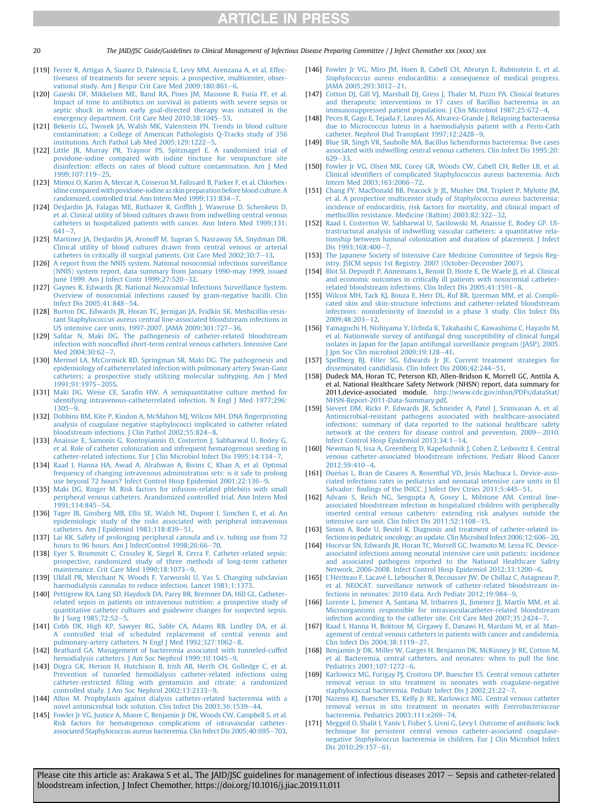20 The JAID/JSC Guide/Guidelines to Clinical Management of Infectious Disease Preparing Committee / J Infect Chemother xxx (xxxx) xxx

- <span id="page-19-0"></span>[119] [Ferrer R, Artigas A, Suarez D, Palencia E, Levy MM, Arenzana A, et al. Effec](http://refhub.elsevier.com/S1341-321X(19)30368-X/sref119)[tiveness of treatments for severe sepsis: a prospective, multicenter, obser](http://refhub.elsevier.com/S1341-321X(19)30368-X/sref119)vational study. Am J Respir Crit Care Med  $2009, 180.861-6$ .
- <span id="page-19-1"></span>[120] [Gaieski DF, Mikkelsen ME, Band RA, Pines JM, Massone R, Furia FF, et al.](http://refhub.elsevier.com/S1341-321X(19)30368-X/sref120) [Impact of time to antibiotics on survival in patients with severe sepsis or](http://refhub.elsevier.com/S1341-321X(19)30368-X/sref120) [septic shock in whom early goal-directed therapy was initiated in the](http://refhub.elsevier.com/S1341-321X(19)30368-X/sref120) emergency department. Crit Care Med  $2010;38:1045-53$ .
- <span id="page-19-2"></span>[121] [Bekeris LG, Tworek JA, Walsh MK, Valenstein PN. Trends in blood culture](http://refhub.elsevier.com/S1341-321X(19)30368-X/sref121) [contamination: a College of American Pathologists Q-Tracks study of 356](http://refhub.elsevier.com/S1341-321X(19)30368-X/sref121) institutions. Arch Pathol Lab Med  $2005$  $2005$ ; 129:1222-5.
- <span id="page-19-3"></span>[122] [Little JR, Murray PR, Traynor PS, Spitznagel E. A randomized trial of](http://refhub.elsevier.com/S1341-321X(19)30368-X/sref122) [povidone-iodine compared with iodine tincture for venipuncture site](http://refhub.elsevier.com/S1341-321X(19)30368-X/sref122) [disinfection: effects on rates of blood culture contamination. Am J Med](http://refhub.elsevier.com/S1341-321X(19)30368-X/sref122)  $1999:107:119-25$  $1999:107:119-25$
- <span id="page-19-4"></span>[123] [Mimoz O, Karim A, Mercat A, Cosseron M, Falissard B, Parker F, et al. Chlorhex](http://refhub.elsevier.com/S1341-321X(19)30368-X/sref123)idine compared with povidone-iodine as skin preparation before blood culture. A randomized, controlled trial. Ann Intern Med  $1999:131:834-7$  $1999:131:834-7$
- <span id="page-19-5"></span>[124] [DesJardin JA, Falagas ME, Ruthazer R, Grif](http://refhub.elsevier.com/S1341-321X(19)30368-X/sref124)fith J, Wawrose D, Schenkein D, [et al. Clinical utility of blood cultures drawn from indwelling central venous](http://refhub.elsevier.com/S1341-321X(19)30368-X/sref124) [catheters in hospitalized patients with cancer. Ann Intern Med 1999;131:](http://refhub.elsevier.com/S1341-321X(19)30368-X/sref124)  $641 - 7$  $641 - 7$  $641 - 7$
- <span id="page-19-6"></span>[125] [Martinez JA, DesJardin JA, Aronoff M, Supran S, Nasraway SA, Snydman DR.](http://refhub.elsevier.com/S1341-321X(19)30368-X/sref125) [Clinical utility of blood cultures drawn from central venous or arterial](http://refhub.elsevier.com/S1341-321X(19)30368-X/sref125) [catheters in critically ill surgical patients. Crit Care Med 2002;30:7](http://refhub.elsevier.com/S1341-321X(19)30368-X/sref125)-[13](http://refhub.elsevier.com/S1341-321X(19)30368-X/sref125).
- <span id="page-19-7"></span>[126] [A report from the NNIS system. National nosocomial infections surveillance](http://refhub.elsevier.com/S1341-321X(19)30368-X/sref126) [\(NNIS\) system report, data summary from January 1990-may 1999, issued](http://refhub.elsevier.com/S1341-321X(19)30368-X/sref126) [June 1999. Am J Infect Contr 1999;27:520](http://refhub.elsevier.com/S1341-321X(19)30368-X/sref126)-[32.](http://refhub.elsevier.com/S1341-321X(19)30368-X/sref126)
- <span id="page-19-8"></span>[127] [Gaynes R, Edwards JR. National Nosocomial Infections Surveillance System.](http://refhub.elsevier.com/S1341-321X(19)30368-X/sref127) [Overview of nosocomial infections caused by gram-negative bacilli. Clin](http://refhub.elsevier.com/S1341-321X(19)30368-X/sref127) [Infect Dis 2005;41:848](http://refhub.elsevier.com/S1341-321X(19)30368-X/sref127)-[54](http://refhub.elsevier.com/S1341-321X(19)30368-X/sref127).
- <span id="page-19-9"></span>[128] [Burton DC, Edwards JR, Horan TC, Jernigan JA, Fridkin SK. Methicillin-resis](http://refhub.elsevier.com/S1341-321X(19)30368-X/sref128)[tant Staphylococcus aureus central line-associated bloodstream infections in](http://refhub.elsevier.com/S1341-321X(19)30368-X/sref128) [US intensive care units, 1997-2007. JAMA 2009;301:727](http://refhub.elsevier.com/S1341-321X(19)30368-X/sref128)-36
- <span id="page-19-10"></span>[129] [Safdar N, Maki DG. The pathogenesis of catheter-related bloodstream](http://refhub.elsevier.com/S1341-321X(19)30368-X/sref129) [infection with noncuffed short-term central venous catheters. Intensive Care](http://refhub.elsevier.com/S1341-321X(19)30368-X/sref129) [Med 2004;30:62](http://refhub.elsevier.com/S1341-321X(19)30368-X/sref129)-[7](http://refhub.elsevier.com/S1341-321X(19)30368-X/sref129).
- [130] [Mermel LA, McCormick RD, Springman SR, Maki DG. The pathogenesis and](http://refhub.elsevier.com/S1341-321X(19)30368-X/sref130) [epidemiology of catheterrelated infection with pulmonary artery Swan-Ganz](http://refhub.elsevier.com/S1341-321X(19)30368-X/sref130) [catheters: a prospective study utilizing molecular subtyping. Am J Med](http://refhub.elsevier.com/S1341-321X(19)30368-X/sref130) 1991:91:197S-[205S.](http://refhub.elsevier.com/S1341-321X(19)30368-X/sref130)
- [131] Maki DG, Weise CE, Sarafi[n HW. A semiquantitative culture method for](http://refhub.elsevier.com/S1341-321X(19)30368-X/sref131) [identifying intravenous-catheterrelated infection. N Engl J Med 1977;296:](http://refhub.elsevier.com/S1341-321X(19)30368-X/sref131)  $1305 - 9.$  $1305 - 9.$  $1305 - 9.$
- <span id="page-19-11"></span>[132] [Dobbins BM, Kite P, Kindon A, McMahon MJ, Wilcox MH. DNA](http://refhub.elsevier.com/S1341-321X(19)30368-X/sref132) fingerprinting [analysis of coagulase negative staphylococci implicated in catheter related](http://refhub.elsevier.com/S1341-321X(19)30368-X/sref132) [bloodstream infections. J Clin Pathol 2002;55:824](http://refhub.elsevier.com/S1341-321X(19)30368-X/sref132)-[8.](http://refhub.elsevier.com/S1341-321X(19)30368-X/sref132)
- <span id="page-19-12"></span>[133] [Anaissie E, Samonis G, Kontoyiannis D, Costerton J, Sabharwal U, Bodey G,](http://refhub.elsevier.com/S1341-321X(19)30368-X/sref133) [et al. Role of catheter colonization and infrequent hematogenous seeding in](http://refhub.elsevier.com/S1341-321X(19)30368-X/sref133) [catheter-related infections. Eur J Clin Microbiol Infect Dis 1995;14:134](http://refhub.elsevier.com/S1341-321X(19)30368-X/sref133)-
- <span id="page-19-13"></span>[134] [Raad I, Hanna HA, Awad A, Alrahwan A, Bivins C, Khan A, et al. Optimal](http://refhub.elsevier.com/S1341-321X(19)30368-X/sref134) [frequency of changing intravenous administration sets: is it safe to prolong](http://refhub.elsevier.com/S1341-321X(19)30368-X/sref134) [use beyond 72 hours? Infect Control Hosp Epidemiol 2001;22:136](http://refhub.elsevier.com/S1341-321X(19)30368-X/sref134)-[9.](http://refhub.elsevier.com/S1341-321X(19)30368-X/sref134)
- <span id="page-19-14"></span>[135] [Maki DG, Ringer M. Risk factors for infusion-related phlebitis with small](http://refhub.elsevier.com/S1341-321X(19)30368-X/sref135) [peripheral venous catheters. Arandomized controlled trial. Ann Intern Med](http://refhub.elsevier.com/S1341-321X(19)30368-X/sref135) 1991:114:845-[54.](http://refhub.elsevier.com/S1341-321X(19)30368-X/sref135)
- [136] [Tager IB, Ginsberg MB, Ellis SE, Walsh NE, Dupont I, Simchen E, et al. An](http://refhub.elsevier.com/S1341-321X(19)30368-X/sref136) [epidemiologic study of the risks associated with peripheral intravenous](http://refhub.elsevier.com/S1341-321X(19)30368-X/sref136) [catheters. Am J Epidemiol 1983;118:839](http://refhub.elsevier.com/S1341-321X(19)30368-X/sref136)-[51](http://refhub.elsevier.com/S1341-321X(19)30368-X/sref136).
- [137] [Lai KK. Safety of prolonging peripheral cannula and i.v. tubing use from 72](http://refhub.elsevier.com/S1341-321X(19)30368-X/sref137) [hours to 96 hours. Am J InfectControl 1998;26:66](http://refhub.elsevier.com/S1341-321X(19)30368-X/sref137)-[70.](http://refhub.elsevier.com/S1341-321X(19)30368-X/sref137)
- <span id="page-19-15"></span>[138] [Eyer S, Brummitt C, Crossley K, Siegel R, Cerra F. Catheter-related sepsis:](http://refhub.elsevier.com/S1341-321X(19)30368-X/sref138) [prospective, randomized study of three methods of long-term catheter](http://refhub.elsevier.com/S1341-321X(19)30368-X/sref138) [maintenance. Crit Care Med 1990;18:1073](http://refhub.elsevier.com/S1341-321X(19)30368-X/sref138)-[9.](http://refhub.elsevier.com/S1341-321X(19)30368-X/sref138)
- <span id="page-19-16"></span>[139] [Uldall PR, Merchant N, Woods F, Yarworski U, Vas S. Changing subclavian](http://refhub.elsevier.com/S1341-321X(19)30368-X/sref139) [haemodialysis cannulas to reduce infection. Lancet 1981;1:1373](http://refhub.elsevier.com/S1341-321X(19)30368-X/sref139).
- <span id="page-19-17"></span>[140] [Pettigrew RA, Lang SD, Haydock DA, Parry BR, Bremner DA, Hill GL. Catheter](http://refhub.elsevier.com/S1341-321X(19)30368-X/sref140)[related sepsis in patients on intravenous nutrition: a prospective study of](http://refhub.elsevier.com/S1341-321X(19)30368-X/sref140) [quantitative catheter cultures and guidewire changes for suspected sepsis.](http://refhub.elsevier.com/S1341-321X(19)30368-X/sref140)  $\hat{Br}$  J Surg 1985;72:52-[5.](http://refhub.elsevier.com/S1341-321X(19)30368-X/sref140)
- <span id="page-19-18"></span>[141] [Cobb DK, High KP, Sawyer RG, Sable CA, Adams RB, Lindley DA, et al.](http://refhub.elsevier.com/S1341-321X(19)30368-X/sref141) [A controlled trial of scheduled replacement of central venous and](http://refhub.elsevier.com/S1341-321X(19)30368-X/sref141) [pulmonary-artery catheters. N Engl J Med 1992;327:1062](http://refhub.elsevier.com/S1341-321X(19)30368-X/sref141)-[8](http://refhub.elsevier.com/S1341-321X(19)30368-X/sref141).
- <span id="page-19-19"></span>[142] [Beathard GA. Management of bacteremia associated with tunneled-cuffed](http://refhub.elsevier.com/S1341-321X(19)30368-X/sref142) [hemodialysis catheters. J Am Soc Nephrol 1999;10:1045](http://refhub.elsevier.com/S1341-321X(19)30368-X/sref142)-[9.](http://refhub.elsevier.com/S1341-321X(19)30368-X/sref142)
- <span id="page-19-20"></span>[143] [Dogra GK, Herson H, Hutchison B, Irish AB, Herth CH, Golledge C, et al.](http://refhub.elsevier.com/S1341-321X(19)30368-X/sref143) [Prevention of tunneled hemodialysis catheter-related infections using](http://refhub.elsevier.com/S1341-321X(19)30368-X/sref143) catheter-restricted fi[lling with gentamicin and citrate: a randomized](http://refhub.elsevier.com/S1341-321X(19)30368-X/sref143) controlled study. J Am Soc Nephrol  $2002;13:2133-9$ .
- <span id="page-19-21"></span>[144] [Allon M. Prophylaxis against dialysis catheter-related bacteremia with a](http://refhub.elsevier.com/S1341-321X(19)30368-X/sref144) [novel antimicrobial lock solution. Clin Infect Dis 2003;36:1539](http://refhub.elsevier.com/S1341-321X(19)30368-X/sref144)-[44](http://refhub.elsevier.com/S1341-321X(19)30368-X/sref144).
- <span id="page-19-22"></span>[145] [Fowler Jr VG, Justice A, Moore C, Benjamin Jr DK, Woods CW, Campbell S, et al.](http://refhub.elsevier.com/S1341-321X(19)30368-X/sref145) [Risk factors for hematogenous complications of intravascular catheter](http://refhub.elsevier.com/S1341-321X(19)30368-X/sref145)[associated Staphylococcus aureus bacteremia. Clin Infect Dis 2005;40:695](http://refhub.elsevier.com/S1341-321X(19)30368-X/sref145)-[703](http://refhub.elsevier.com/S1341-321X(19)30368-X/sref145).
- <span id="page-19-23"></span>[146] [Fowler Jr VG, Miro JM, Hoen B, Cabell CH, Abrutyn E, Rubinstein E, et al.](http://refhub.elsevier.com/S1341-321X(19)30368-X/sref146) Staphylococcus aureus [endocarditis: a consequence of medical progress.](http://refhub.elsevier.com/S1341-321X(19)30368-X/sref146) [JAMA 2005;293:3012](http://refhub.elsevier.com/S1341-321X(19)30368-X/sref146)-[21.](http://refhub.elsevier.com/S1341-321X(19)30368-X/sref146)
- <span id="page-19-24"></span>[147] Cotton DJ, Gill VJ, Marshall DJ, Gress J, Thaler M, Pizzo PA, Clinical features [and therapeutic interventions in 17 cases of Bacillus bacteremia in an](http://refhub.elsevier.com/S1341-321X(19)30368-X/sref147) [immunosuppressed patient population. J Clin Microbiol 1987;25:672](http://refhub.elsevier.com/S1341-321X(19)30368-X/sref147)-[4](http://refhub.elsevier.com/S1341-321X(19)30368-X/sref147).
- [148] [Peces R, Gago E, Tejada F, Laures AS, Alvarez-Grande J. Relapsing bacteraemia](http://refhub.elsevier.com/S1341-321X(19)30368-X/sref148) [due to Micrococcus luteus in a haemodialysis patient with a Perm-Cath](http://refhub.elsevier.com/S1341-321X(19)30368-X/sref148) catheter. Nephrol Dial Transplant  $1997:12:2428-9$  $1997:12:2428-9$  $1997:12:2428-9$ .
- [149] Blue SR, Singh VR, Saubolle MA, Bacillus licheniformis bacteremia: five cases [associated with indwelling central venous catheters. Clin Infect Dis 1995;20:](http://refhub.elsevier.com/S1341-321X(19)30368-X/sref149) [629](http://refhub.elsevier.com/S1341-321X(19)30368-X/sref149)-33
- <span id="page-19-25"></span>[150] [Fowler Jr VG, Olsen MK, Corey GR, Woods CW, Cabell CH, Reller LB, et al.](http://refhub.elsevier.com/S1341-321X(19)30368-X/sref150) Clinical identifi[ers of complicated Staphylococcus aureus bacteremia. Arch](http://refhub.elsevier.com/S1341-321X(19)30368-X/sref150)  $Intern Med 2003:163:2066 - 72.$  $Intern Med 2003:163:2066 - 72.$  $Intern Med 2003:163:2066 - 72.$
- <span id="page-19-26"></span>[151] [Chang FY, MacDonald BB, Peacock Jr JE, Musher DM, Triplett P, Mylotte JM,](http://refhub.elsevier.com/S1341-321X(19)30368-X/sref151) [et al. A prospective multicenter study of](http://refhub.elsevier.com/S1341-321X(19)30368-X/sref151) Staphylococcus aureus bacteremia: [incidence of endocarditis, risk factors for mortality, and clinical impact of](http://refhub.elsevier.com/S1341-321X(19)30368-X/sref151) methicillin resistance. Medicine (Baltim) 2003:82:322-[32.](http://refhub.elsevier.com/S1341-321X(19)30368-X/sref151)
- <span id="page-19-27"></span>[152] [Raad I, Costerton W, Sabharwal U, Sacilowski M, Anaissie E, Bodey GP. Ul](http://refhub.elsevier.com/S1341-321X(19)30368-X/sref152)[trastructural analysis of indwelling vascular catheters: a quantitative rela](http://refhub.elsevier.com/S1341-321X(19)30368-X/sref152)[tionship between luminal colonization and duration of placement. J Infect](http://refhub.elsevier.com/S1341-321X(19)30368-X/sref152) Dis 1993:168:400-[7.](http://refhub.elsevier.com/S1341-321X(19)30368-X/sref152)
- <span id="page-19-28"></span>[153] [The Japanese Society of Intensive Care Medicine Committee of Sepsis Reg](http://refhub.elsevier.com/S1341-321X(19)30368-X/sref153)[istry. JSICM sepsis 1st Registry. 2007 \(October-December 2007\).](http://refhub.elsevier.com/S1341-321X(19)30368-X/sref153) [154] [Blot SI, Depuydt P, Annemans L, Benoit D, Hoste E, De Waele JJ, et al. Clinical](http://refhub.elsevier.com/S1341-321X(19)30368-X/sref154)
- <span id="page-19-29"></span>[and economic outcomes in critically ill patients with nosocomial catheter-](http://refhub.elsevier.com/S1341-321X(19)30368-X/sref154)related bloodstream infections. Clin Infect Dis 2005:41:1591-[8](http://refhub.elsevier.com/S1341-321X(19)30368-X/sref154).
- <span id="page-19-30"></span>[155] [Wilcox MH, Tack KJ, Bouza E, Herr DL, Ruf BR, Ijzerman MM, et al. Compli](http://refhub.elsevier.com/S1341-321X(19)30368-X/sref155)[cated skin and skin-structure infections and catheter-related bloodstream](http://refhub.elsevier.com/S1341-321X(19)30368-X/sref155) [infections: noninferiority of linezolid in a phase 3 study. Clin Infect Dis](http://refhub.elsevier.com/S1341-321X(19)30368-X/sref155) [2009;48:203](http://refhub.elsevier.com/S1341-321X(19)30368-X/sref155)e[12](http://refhub.elsevier.com/S1341-321X(19)30368-X/sref155).
- <span id="page-19-31"></span>[156] [Yamaguchi H, Nishiyama Y, Uchida K, Takahashi C, Kawashima C, Hayashi M,](http://refhub.elsevier.com/S1341-321X(19)30368-X/sref156) [et al. Nationwide survey of antifungal drug susceptibility of clinical fungal](http://refhub.elsevier.com/S1341-321X(19)30368-X/sref156) [isolates in Japan for the Japan antifungal surveillance program \(JASP\), 2005.](http://refhub.elsevier.com/S1341-321X(19)30368-X/sref156) [J Jpn Soc Clin microbiol 2009;19:128](http://refhub.elsevier.com/S1341-321X(19)30368-X/sref156)-[41](http://refhub.elsevier.com/S1341-321X(19)30368-X/sref156).
- <span id="page-19-32"></span>[157] [Spellberg BJ, Filler SG, Edwards Jr JE. Current treatment strategies for](http://refhub.elsevier.com/S1341-321X(19)30368-X/sref157) [disseminated candidiasis. Clin Infect Dis 2006;42:244](http://refhub.elsevier.com/S1341-321X(19)30368-X/sref157)-[51.](http://refhub.elsevier.com/S1341-321X(19)30368-X/sref157)
- <span id="page-19-33"></span>[158] Dudeck MA, Horan TC, Peterson KD, Allen-Bridson K, Morrell GC, Anttila A, et al. National Healthcare Safety Network (NHSN) report, data summary for 2011,device-associated module. [http://www.cdc.gov/nhsn/PDFs/dataStat/](http://www.cdc.gov/nhsn/PDFs/dataStat/NHSN-Report-2011-Data-Summary.pdf) [NHSN-Report-2011-Data-Summary.pdf.](http://www.cdc.gov/nhsn/PDFs/dataStat/NHSN-Report-2011-Data-Summary.pdf)
- <span id="page-19-34"></span>[159] [Sievert DM, Ricks P, Edwards JR, Schneider A, Patel J, Srinivasan A, et al.](http://refhub.elsevier.com/S1341-321X(19)30368-X/sref159) [Antimicrobial-resistant pathogens associated with healthcare-associated](http://refhub.elsevier.com/S1341-321X(19)30368-X/sref159) [infections: summary of data reported to the national healthcare safety](http://refhub.elsevier.com/S1341-321X(19)30368-X/sref159) [network at the centers for disease control and prevention, 2009](http://refhub.elsevier.com/S1341-321X(19)30368-X/sref159)-[2010.](http://refhub.elsevier.com/S1341-321X(19)30368-X/sref159) [Infect Control Hosp Epidemiol 2013;34:1](http://refhub.elsevier.com/S1341-321X(19)30368-X/sref159)-[14](http://refhub.elsevier.com/S1341-321X(19)30368-X/sref159).
- <span id="page-19-35"></span>[160] [Newman N, Issa A, Greenberg D, Kapelushnik J, Cohen Z, Leibovitz E. Central](http://refhub.elsevier.com/S1341-321X(19)30368-X/sref160) [venous catheter-associated bloodstream infections. Pediatr Blood Cancer](http://refhub.elsevier.com/S1341-321X(19)30368-X/sref160)  $2012:59:410-4$  $2012:59:410-4$  $2012:59:410-4$
- [161] Dueñas L, Bran de Casares A, Rosenthal VD, Jesús Machuca L. Device-asso[ciated infections rates in pediatrics and neonatal intensive care units in El](http://refhub.elsevier.com/S1341-321X(19)30368-X/sref161) Salvador: fi[ndings of the INICC. J Infect Dev Ctries 2011;5:445](http://refhub.elsevier.com/S1341-321X(19)30368-X/sref161)-[51](http://refhub.elsevier.com/S1341-321X(19)30368-X/sref161).
- [162] [Advani S, Reich NG, Sengupta A, Gosey L, Milstone AM. Central line](http://refhub.elsevier.com/S1341-321X(19)30368-X/sref162)[associated bloodstream infection in hospitalized children with peripherally](http://refhub.elsevier.com/S1341-321X(19)30368-X/sref162) [inserted central venous catheters: extending risk analyses outside the](http://refhub.elsevier.com/S1341-321X(19)30368-X/sref162) intensive care unit. Clin Infect Dis  $2011;52:1108-15$ .
- [163] [Simon A, Bode U, Beutel K. Diagnosis and treatment of catheter-related in](http://refhub.elsevier.com/S1341-321X(19)30368-X/sref163)[fections in pediatric oncology: an update. Clin Microbiol Infect 2006;12:606](http://refhub.elsevier.com/S1341-321X(19)30368-X/sref163)-[20](http://refhub.elsevier.com/S1341-321X(19)30368-X/sref163).
- [164] [Hocevar SN, Edwards JR, Horan TC, Morrell GC, Iwamoto M, Lessa FC. Device](http://refhub.elsevier.com/S1341-321X(19)30368-X/sref164)[associated infections among neonatal intensive care unit patients: incidence](http://refhub.elsevier.com/S1341-321X(19)30368-X/sref164) [and associated pathogens reported to the National Healthcare Safety](http://refhub.elsevier.com/S1341-321X(19)30368-X/sref164) [Network, 2006-2008. Infect Control Hosp Epidemiol 2012;33:1200](http://refhub.elsevier.com/S1341-321X(19)30368-X/sref164)-[6.](http://refhub.elsevier.com/S1341-321X(19)30368-X/sref164)
- [165] L'Hériteau F, Lacavé L, Leboucher B, Decousser JW, De Chillaz C, Astagneau P, [et al. NEOCAT, surveillance network of catheter-related bloodstream in](http://refhub.elsevier.com/S1341-321X(19)30368-X/sref165)[fections in neonates: 2010 data. Arch Pediatr 2012;19:984](http://refhub.elsevier.com/S1341-321X(19)30368-X/sref165)-[9.](http://refhub.elsevier.com/S1341-321X(19)30368-X/sref165)
- <span id="page-19-36"></span>[166] [Lorente L, Jimenez A, Santana M, Iribarren JL, Jim](http://refhub.elsevier.com/S1341-321X(19)30368-X/sref166)é[nez JJ, Martín MM, et al.](http://refhub.elsevier.com/S1341-321X(19)30368-X/sref166) [Microorganisms responsible for intravasculacatheter-related bloodstream](http://refhub.elsevier.com/S1341-321X(19)30368-X/sref166) [infection according to the catheter site. Crit Care Med 2007;35:2424](http://refhub.elsevier.com/S1341-321X(19)30368-X/sref166)-[7](http://refhub.elsevier.com/S1341-321X(19)30368-X/sref166)
- <span id="page-19-37"></span>[167] [Raad I, Hanna H, Boktour M, Girgawy E, Danawi H, Mardani M, et al. Man](http://refhub.elsevier.com/S1341-321X(19)30368-X/sref167)[agement of central venous catheters in patients with cancer and candidemia.](http://refhub.elsevier.com/S1341-321X(19)30368-X/sref167) [Clin Infect Dis 2004;38:1119](http://refhub.elsevier.com/S1341-321X(19)30368-X/sref167)-[27](http://refhub.elsevier.com/S1341-321X(19)30368-X/sref167).
- <span id="page-19-38"></span>[168] [Benjamin Jr DK, Miller W, Garges H, Benjamin DK, McKinney Jr RE, Cotton M,](http://refhub.elsevier.com/S1341-321X(19)30368-X/sref168) [et al. Bacteremia, central catheters, and neonates: when to pull the line.](http://refhub.elsevier.com/S1341-321X(19)30368-X/sref168) [Pediatrics 2001;107:1272](http://refhub.elsevier.com/S1341-321X(19)30368-X/sref168)-[6.](http://refhub.elsevier.com/S1341-321X(19)30368-X/sref168)
- [169] [Karlowicz MG, Furigay PJ, Croitoru DP, Buescher ES. Central venous catheter](http://refhub.elsevier.com/S1341-321X(19)30368-X/sref169) [removal versus in situ treatment in neonates with coagulase-negative](http://refhub.elsevier.com/S1341-321X(19)30368-X/sref169) [staphylococcal bacteremia. Pediatr Infect Dis J 2002;21:22](http://refhub.elsevier.com/S1341-321X(19)30368-X/sref169)-[7](http://refhub.elsevier.com/S1341-321X(19)30368-X/sref169).
- [170] [Nazemi KJ, Buescher ES, Kelly Jr RE, Karlowicz MG. Central venous catheter](http://refhub.elsevier.com/S1341-321X(19)30368-X/sref170) [removal versus in situ treatment in neonates with](http://refhub.elsevier.com/S1341-321X(19)30368-X/sref170) Enterobacteriaceae [bacteremia. Pediatrics 2003;111:e269](http://refhub.elsevier.com/S1341-321X(19)30368-X/sref170)-[74.](http://refhub.elsevier.com/S1341-321X(19)30368-X/sref170)
- <span id="page-19-39"></span>[171] [Megged O, Shalit I, Yaniv I, Fisher S, Livni G, Levy I. Outcome of antibiotic lock](http://refhub.elsevier.com/S1341-321X(19)30368-X/sref171) [technique for persistent central venous catheter-associated coagulase](http://refhub.elsevier.com/S1341-321X(19)30368-X/sref171)negative Staphylococcus [bacteremia in children. Eur J Clin Microbiol Infect](http://refhub.elsevier.com/S1341-321X(19)30368-X/sref171) [Dis 2010;29:157](http://refhub.elsevier.com/S1341-321X(19)30368-X/sref171)-[61.](http://refhub.elsevier.com/S1341-321X(19)30368-X/sref171)